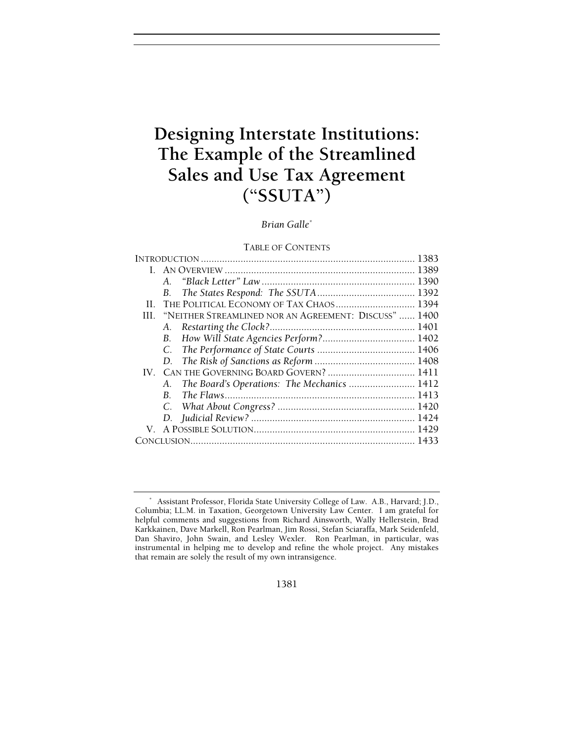# **Designing Interstate Institutions: The Example of the Streamlined Sales and Use Tax Agreement ("SSUTA")**

# *Brian Galle\**

# TABLE OF CONTENTS

| II. | THE POLITICAL ECONOMY OF TAX CHAOS 1394               |  |
|-----|-------------------------------------------------------|--|
| HL. | "NEITHER STREAMLINED NOR AN AGREEMENT: DISCUSS"  1400 |  |
|     |                                                       |  |
|     |                                                       |  |
|     |                                                       |  |
|     | D.                                                    |  |
|     | IV. CAN THE GOVERNING BOARD GOVERN?  1411             |  |
|     | A. The Board's Operations: The Mechanics  1412        |  |
|     | $B_{-}$                                               |  |
|     |                                                       |  |
|     |                                                       |  |
|     |                                                       |  |
|     |                                                       |  |
|     |                                                       |  |

1381

Assistant Professor, Florida State University College of Law. A.B., Harvard; J.D., Columbia; LL.M. in Taxation, Georgetown University Law Center. I am grateful for helpful comments and suggestions from Richard Ainsworth, Wally Hellerstein, Brad Karkkainen, Dave Markell, Ron Pearlman, Jim Rossi, Stefan Sciaraffa, Mark Seidenfeld, Dan Shaviro, John Swain, and Lesley Wexler. Ron Pearlman, in particular, was instrumental in helping me to develop and refine the whole project. Any mistakes that remain are solely the result of my own intransigence.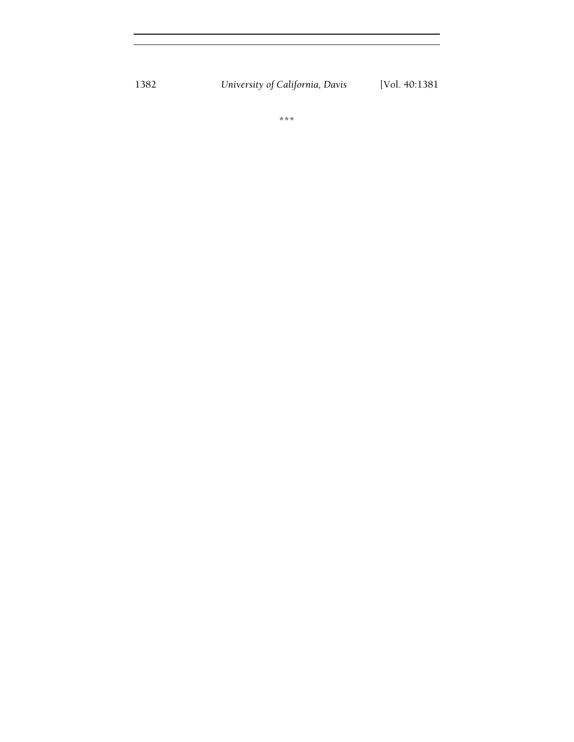1382 *University of California, Davis* [Vol. 40:1381

\*\*\*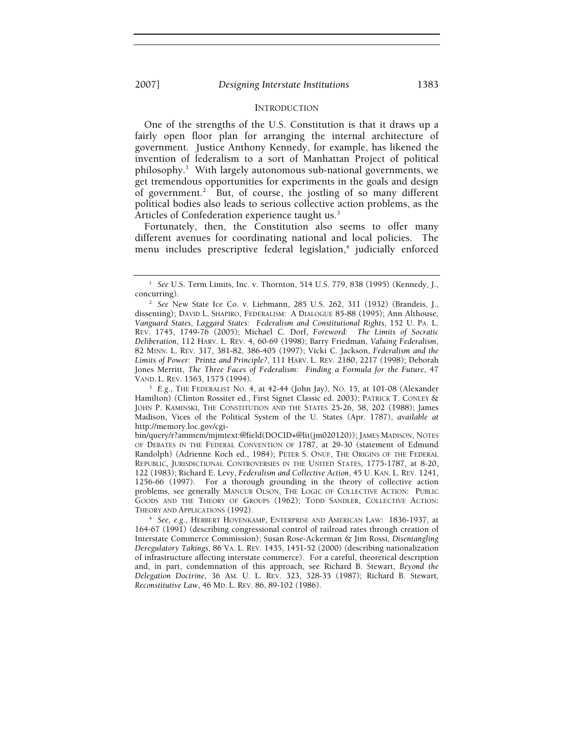#### INTRODUCTION

One of the strengths of the U.S. Constitution is that it draws up a fairly open floor plan for arranging the internal architecture of government. Justice Anthony Kennedy, for example, has likened the invention of federalism to a sort of Manhattan Project of political philosophy.<sup>1</sup> With largely autonomous sub-national governments, we get tremendous opportunities for experiments in the goals and design of government.<sup>2</sup> But, of course, the jostling of so many different political bodies also leads to serious collective action problems, as the Articles of Confederation experience taught us.<sup>3</sup>

Fortunately, then, the Constitution also seems to offer many different avenues for coordinating national and local policies. The menu includes prescriptive federal legislation,<sup>4</sup> judicially enforced

<sup>3</sup> E.g., THE FEDERALIST NO. 4, at 42-44 (John Jay), No. 15, at 101-08 (Alexander Hamilton) (Clinton Rossiter ed., First Signet Classic ed. 2003); PATRICK T. CONLEY & JOHN P. KAMINSKI, THE CONSTITUTION AND THE STATES 25-26, 58, 202 (1988); James Madison, Vices of the Political System of the U. States (Apr. 1787), *available at*  http://memory.loc.gov/cgi-

bin/query/r?ammem/mjmtext:@field(DOCID+@lit(jm020120)); JAMES MADISON, NOTES OF DEBATES IN THE FEDERAL CONVENTION OF 1787, at 29-30 (statement of Edmund Randolph) (Adrienne Koch ed., 1984); PETER S. ONUF, THE ORIGINS OF THE FEDERAL REPUBLIC, JURISDICTIONAL CONTROVERSIES IN THE UNITED STATES, 1775-1787, at 8-20, 122 (1983); Richard E. Levy, *Federalism and Collective Action*, 45 U. KAN. L. REV. 1241, 1256-66 (1997). For a thorough grounding in the theory of collective action problems, see generally MANCUR OLSON, THE LOGIC OF COLLECTIVE ACTION: PUBLIC GOODS AND THE THEORY OF GROUPS (1962); TODD SANDLER, COLLECTIVE ACTION: THEORY AND APPLICATIONS (1992).

 *See, e.g*., HERBERT HOVENKAMP, ENTERPRISE AND AMERICAN LAW: 1836-1937, at 164-67 (1991) (describing congressional control of railroad rates through creation of Interstate Commerce Commission); Susan Rose-Ackerman & Jim Rossi, *Disentangling Deregulatory Takings*, 86 VA. L. REV. 1435, 1451-52 (2000) (describing nationalization of infrastructure affecting interstate commerce). For a careful, theoretical description and, in part, condemnation of this approach, see Richard B. Stewart, *Beyond the Delegation Doctrine*, 36 AM. U. L. REV. 323, 328-35 (1987); Richard B. Stewart, *Reconstitutive Law*, 46 MD. L. REV. 86, 89-102 (1986).

<sup>1</sup>  *See* U.S. Term Limits, Inc. v. Thornton, 514 U.S. 779, 838 (1995) (Kennedy, J., concurring).

*See* New State Ice Co. v. Liebmann, 285 U.S. 262, 311 (1932) (Brandeis, J., dissenting); DAVID L. SHAPIRO, FEDERALISM: A DIALOGUE 85-88 (1995); Ann Althouse, *Vanguard States, Laggard States: Federalism and Constitutional Rights*, 152 U. PA. L. REV. 1745, 1749-76 (2005); Michael C. Dorf, *Foreword: The Limits of Socratic Deliberation*, 112 HARV. L. REV. 4, 60-69 (1998); Barry Friedman, *Valuing Federalism*, 82 MINN. L. REV. 317, 381-82, 386-405 (1997); Vicki C. Jackson, *Federalism and the Limits of Power:* Printz *and Principle?*, 111 HARV. L. REV. 2180, 2217 (1998); Deborah Jones Merritt, *The Three Faces of Federalism: Finding a Formula for the Future*, 47 VAND. L. REV. 1563, 1575 (1994). 3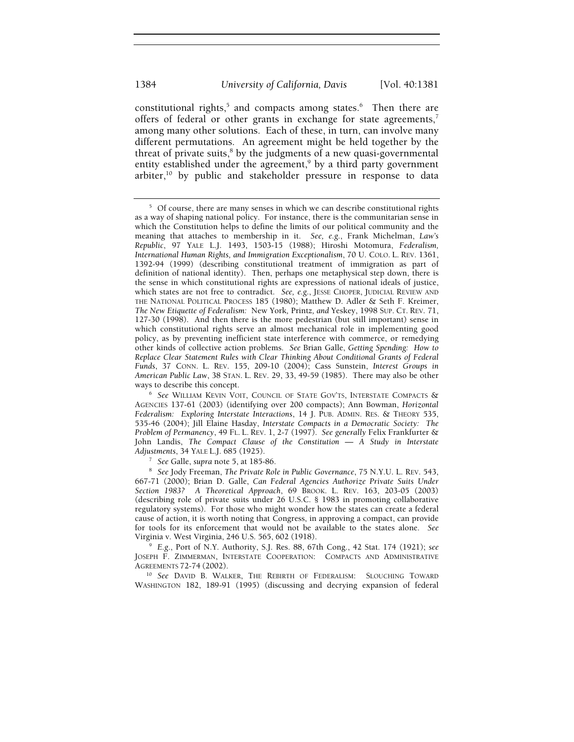constitutional rights,<sup>5</sup> and compacts among states.<sup>6</sup> Then there are offers of federal or other grants in exchange for state agreements, $7$ among many other solutions. Each of these, in turn, can involve many different permutations. An agreement might be held together by the threat of private suits,<sup>8</sup> by the judgments of a new quasi-governmental entity established under the agreement,<sup>9</sup> by a third party government arbiter, $10$  by public and stakeholder pressure in response to data

 *See* WILLIAM KEVIN VOIT, COUNCIL OF STATE GOV'TS, INTERSTATE COMPACTS & AGENCIES 137-61 (2003) (identifying over 200 compacts); Ann Bowman, *Horizontal Federalism: Exploring Interstate Interactions*, 14 J. PUB. ADMIN. RES. & THEORY 535, 535-46 (2004); Jill Elaine Hasday, *Interstate Compacts in a Democratic Society: The Problem of Permanency*, 49 FL. L. REV. 1, 2-7 (1997). *See generally* Felix Frankfurter & John Landis, *The Compact Clause of the Constitution — A Study in Interstate Adjustments*, 34 YALE L.J. 685 (1925). 7

<sup>7</sup> See Galle, *supra* note 5, at 185-86.

 *See* Jody Freeman, *The Private Role in Public Governance*, 75 N.Y.U. L. REV. 543, 667-71 (2000); Brian D. Galle, *Can Federal Agencies Authorize Private Suits Under Section 1983? A Theoretical Approach*, 69 BROOK. L. REV. 163, 203-05 (2003) (describing role of private suits under 26 U.S.C. § 1983 in promoting collaborative regulatory systems). For those who might wonder how the states can create a federal cause of action, it is worth noting that Congress, in approving a compact, can provide for tools for its enforcement that would not be available to the states alone. *See*  Virginia v. West Virginia, 246 U.S. 565, 602 (1918). 9

 *E.g*., Port of N.Y. Authority, S.J. Res. 88, 67th Cong., 42 Stat. 174 (1921); *see* JOSEPH F. ZIMMERMAN, INTERSTATE COOPERATION: COMPACTS AND ADMINISTRATIVE AGREEMENTS 72-74 (2002). 10 *See* DAVID B. WALKER, THE REBIRTH OF FEDERALISM: SLOUCHING TOWARD

WASHINGTON 182, 189-91 (1995) (discussing and decrying expansion of federal

<sup>&</sup>lt;sup>5</sup> Of course, there are many senses in which we can describe constitutional rights as a way of shaping national policy. For instance, there is the communitarian sense in which the Constitution helps to define the limits of our political community and the meaning that attaches to membership in it. *See, e.g*., Frank Michelman, *Law's Republic*, 97 YALE L.J. 1493, 1503-15 (1988); Hiroshi Motomura, *Federalism, International Human Rights, and Immigration Exceptionalism*, 70 U. COLO. L. REV. 1361, 1392-94 (1999) (describing constitutional treatment of immigration as part of definition of national identity). Then, perhaps one metaphysical step down, there is the sense in which constitutional rights are expressions of national ideals of justice, which states are not free to contradict. See, e.g., JESSE CHOPER, JUDICIAL REVIEW AND THE NATIONAL POLITICAL PROCESS 185 (1980); Matthew D. Adler & Seth F. Kreimer, *The New Etiquette of Federalism:* New York*,* Printz*, and* Yeskey, 1998 SUP. CT. REV. 71, 127-30 (1998). And then there is the more pedestrian (but still important) sense in which constitutional rights serve an almost mechanical role in implementing good policy, as by preventing inefficient state interference with commerce, or remedying other kinds of collective action problems. *See* Brian Galle, *Getting Spending: How to Replace Clear Statement Rules with Clear Thinking About Conditional Grants of Federal Funds*, 37 CONN. L. REV. 155, 209-10 (2004); Cass Sunstein, *Interest Groups in American Public Law*, 38 STAN. L. REV. 29, 33, 49-59 (1985). There may also be other ways to describe this concept.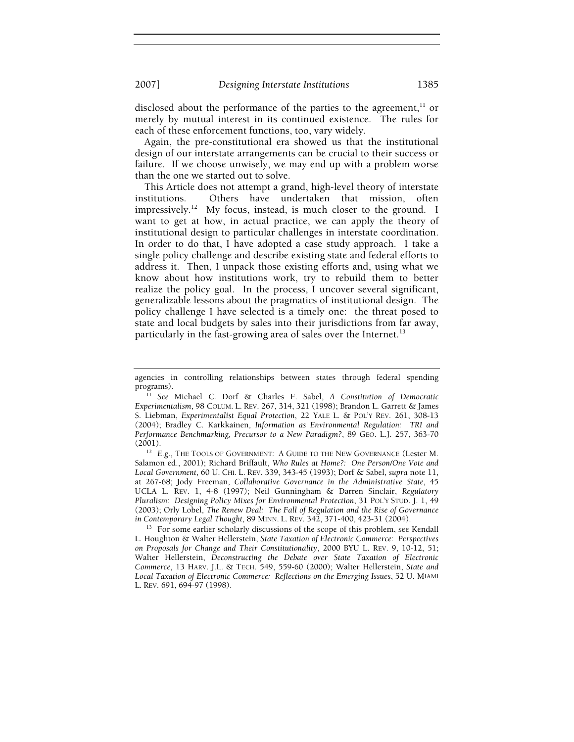disclosed about the performance of the parties to the agreement, $11$  or merely by mutual interest in its continued existence. The rules for each of these enforcement functions, too, vary widely.

Again, the pre-constitutional era showed us that the institutional design of our interstate arrangements can be crucial to their success or failure. If we choose unwisely, we may end up with a problem worse than the one we started out to solve.

This Article does not attempt a grand, high-level theory of interstate institutions. Others have undertaken that mission, often impressively.12 My focus, instead, is much closer to the ground. I want to get at how, in actual practice, we can apply the theory of institutional design to particular challenges in interstate coordination. In order to do that, I have adopted a case study approach. I take a single policy challenge and describe existing state and federal efforts to address it. Then, I unpack those existing efforts and, using what we know about how institutions work, try to rebuild them to better realize the policy goal. In the process, I uncover several significant, generalizable lessons about the pragmatics of institutional design. The policy challenge I have selected is a timely one: the threat posed to state and local budgets by sales into their jurisdictions from far away, particularly in the fast-growing area of sales over the Internet.<sup>13</sup>

agencies in controlling relationships between states through federal spending programs). 11 *See* Michael C. Dorf & Charles F. Sabel, *A Constitution of Democratic* 

*Experimentalism*, 98 COLUM. L. REV. 267, 314, 321 (1998); Brandon L. Garrett & James S. Liebman, *Experimentalist Equal Protection*, 22 YALE L. & POL'Y REV. 261, 308-13 (2004); Bradley C. Karkkainen, *Information as Environmental Regulation: TRI and Performance Benchmarking, Precursor to a New Paradigm?*, 89 GEO. L.J. 257, 363-70 (2001). 12 *E.g*., THE TOOLS OF GOVERNMENT: A GUIDE TO THE NEW GOVERNANCE (Lester M.

Salamon ed., 2001); Richard Briffault, *Who Rules at Home?: One Person/One Vote and Local Government*, 60 U. CHI. L. REV. 339, 343-45 (1993); Dorf & Sabel, *supra* note 11, at 267-68; Jody Freeman, *Collaborative Governance in the Administrative State*, 45 UCLA L. REV. 1, 4-8 (1997); Neil Gunningham & Darren Sinclair, *Regulatory Pluralism: Designing Policy Mixes for Environmental Protection*, 31 POL'Y STUD. J. 1, 49 (2003); Orly Lobel, *The Renew Deal: The Fall of Regulation and the Rise of Governance* 

<sup>&</sup>lt;sup>13</sup> For some earlier scholarly discussions of the scope of this problem, see Kendall L. Houghton & Walter Hellerstein, *State Taxation of Electronic Commerce: Perspectives on Proposals for Change and Their Constitutionality*, 2000 BYU L. REV. 9, 10-12, 51; Walter Hellerstein, *Deconstructing the Debate over State Taxation of Electronic Commerce*, 13 HARV. J.L. & TECH. 549, 559-60 (2000); Walter Hellerstein, *State and Local Taxation of Electronic Commerce: Reflections on the Emerging Issues*, 52 U. MIAMI L. REV. 691, 694-97 (1998).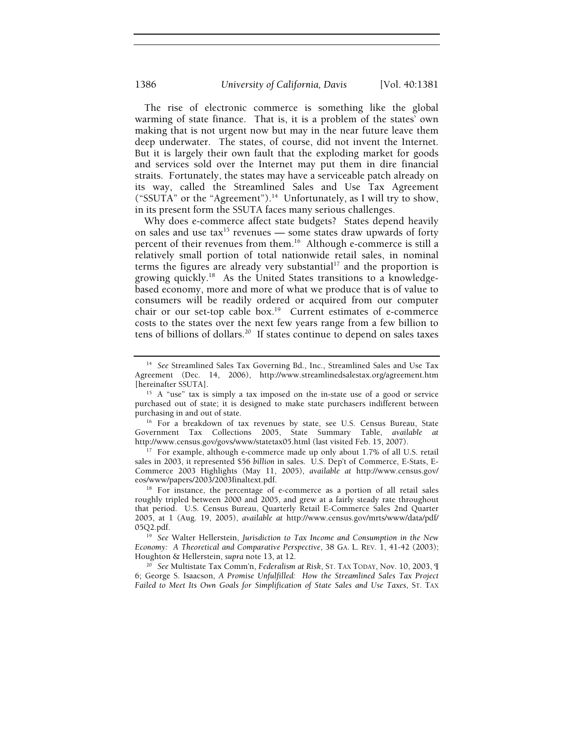The rise of electronic commerce is something like the global warming of state finance. That is, it is a problem of the states' own making that is not urgent now but may in the near future leave them deep underwater. The states, of course, did not invent the Internet. But it is largely their own fault that the exploding market for goods and services sold over the Internet may put them in dire financial straits. Fortunately, the states may have a serviceable patch already on its way, called the Streamlined Sales and Use Tax Agreement ("SSUTA" or the "Agreement").<sup>14</sup> Unfortunately, as I will try to show, in its present form the SSUTA faces many serious challenges.

Why does e-commerce affect state budgets? States depend heavily on sales and use tax<sup>15</sup> revenues — some states draw upwards of forty percent of their revenues from them.<sup>16</sup> Although e-commerce is still a relatively small portion of total nationwide retail sales, in nominal terms the figures are already very substantial<sup>17</sup> and the proportion is growing quickly.18 As the United States transitions to a knowledgebased economy, more and more of what we produce that is of value to consumers will be readily ordered or acquired from our computer chair or our set-top cable box.<sup>19</sup> Current estimates of e-commerce costs to the states over the next few years range from a few billion to tens of billions of dollars.<sup>20</sup> If states continue to depend on sales taxes

http://www.census.gov/govs/www/statetax05.html (last visited Feb. 15, 2007). 17 For example, although e-commerce made up only about 1.7% of all U.S. retail sales in 2003, it represented \$56 *billion* in sales. U.S. Dep't of Commerce, E-Stats, E-Commerce 2003 Highlights (May 11, 2005), *available at* http://www.census.gov/ eos/www/papers/2003/2003finaltext.pdf. 18 For instance, the percentage of e-commerce as a portion of all retail sales

roughly tripled between 2000 and 2005, and grew at a fairly steady rate throughout that period. U.S. Census Bureau, Quarterly Retail E-Commerce Sales 2nd Quarter 2005, at 1 (Aug. 19, 2005), *available at* http://www.census.gov/mrts/www/data/pdf/ 05Q2.pdf. 19 *See* Walter Hellerstein, *Jurisdiction to Tax Income and Consumption in the New* 

*Economy: A Theoretical and Comparative Perspective*, 38 GA. L. REV. 1, 41-42 (2003); Houghton & Hellerstein, *supra* note 13, at 12.<br><sup>20</sup> See Multistate Tax Comm'n, *Federalism at Risk*, St. TAX TODAY, Nov. 10, 2003, ¶

6; George S. Isaacson, *A Promise Unfulfilled: How the Streamlined Sales Tax Project Failed to Meet Its Own Goals for Simplification of State Sales and Use Taxes*, ST. TAX

<sup>14</sup> *See* Streamlined Sales Tax Governing Bd., Inc., Streamlined Sales and Use Tax Agreement (Dec. 14, 2006), http://www.streamlinedsalestax.org/agreement.htm [hereinafter SSUTA]. 15 A "use" tax is simply a tax imposed on the in-state use of a good or service

purchased out of state; it is designed to make state purchasers indifferent between

<sup>&</sup>lt;sup>16</sup> For a breakdown of tax revenues by state, see U.S. Census Bureau, State Government Tax Collections 2005, State Summary Table, *available*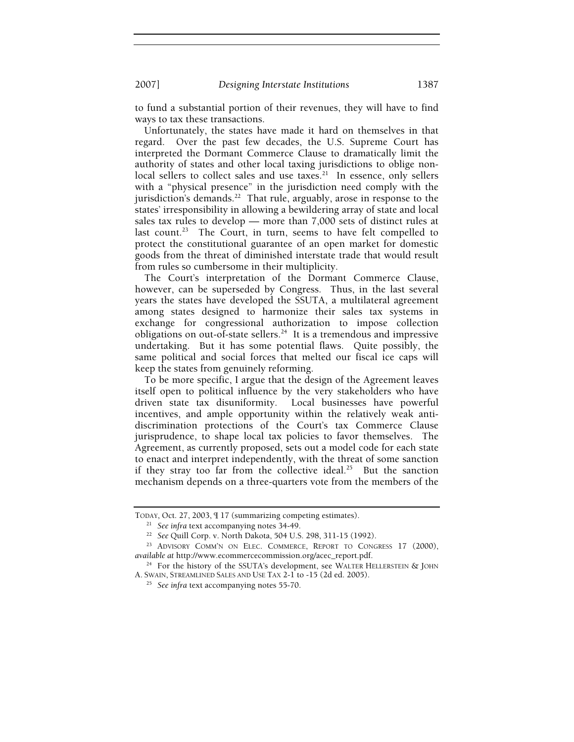to fund a substantial portion of their revenues, they will have to find ways to tax these transactions.

Unfortunately, the states have made it hard on themselves in that regard. Over the past few decades, the U.S. Supreme Court has interpreted the Dormant Commerce Clause to dramatically limit the authority of states and other local taxing jurisdictions to oblige nonlocal sellers to collect sales and use taxes.<sup>21</sup> In essence, only sellers with a "physical presence" in the jurisdiction need comply with the jurisdiction's demands.<sup>22</sup> That rule, arguably, arose in response to the states' irresponsibility in allowing a bewildering array of state and local sales tax rules to develop — more than 7,000 sets of distinct rules at last count.<sup>23</sup> The Court, in turn, seems to have felt compelled to protect the constitutional guarantee of an open market for domestic goods from the threat of diminished interstate trade that would result from rules so cumbersome in their multiplicity.

The Court's interpretation of the Dormant Commerce Clause, however, can be superseded by Congress. Thus, in the last several years the states have developed the SSUTA, a multilateral agreement among states designed to harmonize their sales tax systems in exchange for congressional authorization to impose collection obligations on out-of-state sellers.<sup>24</sup> It is a tremendous and impressive undertaking. But it has some potential flaws. Quite possibly, the same political and social forces that melted our fiscal ice caps will keep the states from genuinely reforming.

To be more specific, I argue that the design of the Agreement leaves itself open to political influence by the very stakeholders who have driven state tax disuniformity. Local businesses have powerful incentives, and ample opportunity within the relatively weak antidiscrimination protections of the Court's tax Commerce Clause jurisprudence, to shape local tax policies to favor themselves. The Agreement, as currently proposed, sets out a model code for each state to enact and interpret independently, with the threat of some sanction if they stray too far from the collective ideal.<sup>25</sup> But the sanction mechanism depends on a three-quarters vote from the members of the

TODAY, Oct. 27, 2003, ¶ 17 (summarizing competing estimates).<br><sup>21</sup> See infra text accompanying notes 34-49.<br><sup>22</sup> See Quill Corp. v. North Dakota, 504 U.S. 298, 311-15 (1992).<br><sup>23</sup> ADVISORY COMM<sup>N</sup>N ON ELEC. COMMERCE, REPOR

<sup>&</sup>lt;sup>24</sup> For the history of the SSUTA's development, see WALTER HELLERSTEIN & JOHN A. SWAIN, STREAMLINED SALES AND USE TAX 2-1 to -15 (2d ed. 2005). 25 *See infra* text accompanying notes 55-70.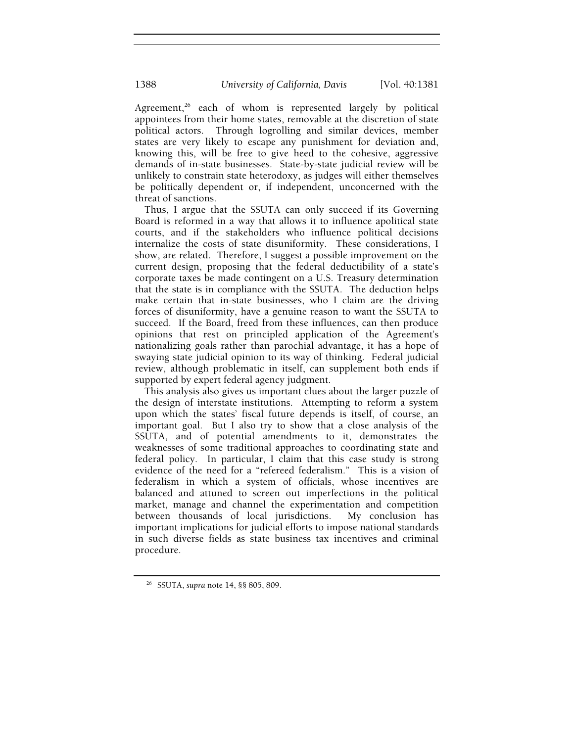Agreement,<sup>26</sup> each of whom is represented largely by political appointees from their home states, removable at the discretion of state political actors. Through logrolling and similar devices, member states are very likely to escape any punishment for deviation and, knowing this, will be free to give heed to the cohesive, aggressive demands of in-state businesses. State-by-state judicial review will be unlikely to constrain state heterodoxy, as judges will either themselves be politically dependent or, if independent, unconcerned with the threat of sanctions.

Thus, I argue that the SSUTA can only succeed if its Governing Board is reformed in a way that allows it to influence apolitical state courts, and if the stakeholders who influence political decisions internalize the costs of state disuniformity. These considerations, I show, are related. Therefore, I suggest a possible improvement on the current design, proposing that the federal deductibility of a state's corporate taxes be made contingent on a U.S. Treasury determination that the state is in compliance with the SSUTA. The deduction helps make certain that in-state businesses, who I claim are the driving forces of disuniformity, have a genuine reason to want the SSUTA to succeed. If the Board, freed from these influences, can then produce opinions that rest on principled application of the Agreement's nationalizing goals rather than parochial advantage, it has a hope of swaying state judicial opinion to its way of thinking. Federal judicial review, although problematic in itself, can supplement both ends if supported by expert federal agency judgment.

This analysis also gives us important clues about the larger puzzle of the design of interstate institutions. Attempting to reform a system upon which the states' fiscal future depends is itself, of course, an important goal. But I also try to show that a close analysis of the SSUTA, and of potential amendments to it, demonstrates the weaknesses of some traditional approaches to coordinating state and federal policy. In particular, I claim that this case study is strong evidence of the need for a "refereed federalism." This is a vision of federalism in which a system of officials, whose incentives are balanced and attuned to screen out imperfections in the political market, manage and channel the experimentation and competition between thousands of local jurisdictions. My conclusion has important implications for judicial efforts to impose national standards in such diverse fields as state business tax incentives and criminal procedure.

<sup>26</sup> SSUTA, *supra* note 14, §§ 805, 809.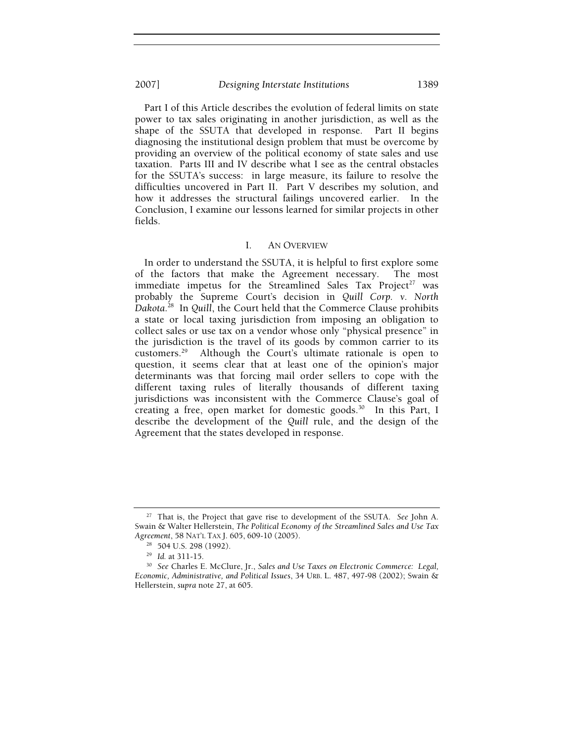Part I of this Article describes the evolution of federal limits on state power to tax sales originating in another jurisdiction, as well as the shape of the SSUTA that developed in response. Part II begins diagnosing the institutional design problem that must be overcome by providing an overview of the political economy of state sales and use taxation. Parts III and IV describe what I see as the central obstacles for the SSUTA's success: in large measure, its failure to resolve the difficulties uncovered in Part II. Part V describes my solution, and how it addresses the structural failings uncovered earlier. In the Conclusion, I examine our lessons learned for similar projects in other fields.

# I. AN OVERVIEW

In order to understand the SSUTA, it is helpful to first explore some of the factors that make the Agreement necessary. The most immediate impetus for the Streamlined Sales Tax Project<sup>27</sup> was probably the Supreme Court's decision in *Quill Corp. v. North Dakota*. 28 In *Quill*, the Court held that the Commerce Clause prohibits a state or local taxing jurisdiction from imposing an obligation to collect sales or use tax on a vendor whose only "physical presence" in the jurisdiction is the travel of its goods by common carrier to its customers.29 Although the Court's ultimate rationale is open to question, it seems clear that at least one of the opinion's major determinants was that forcing mail order sellers to cope with the different taxing rules of literally thousands of different taxing jurisdictions was inconsistent with the Commerce Clause's goal of creating a free, open market for domestic goods.<sup>30</sup> In this Part, I describe the development of the *Quill* rule, and the design of the Agreement that the states developed in response.

<sup>27</sup> That is, the Project that gave rise to development of the SSUTA. *See* John A. Swain & Walter Hellerstein, *The Political Economy of the Streamlined Sales and Use Tax Agreement*, 58 NAT'L TAX J. 605, 609-10 (2005).<br><sup>28</sup> 504 U.S. 298 (1992).<br><sup>29</sup> Id. at 311-15.

<sup>&</sup>lt;sup>30</sup> See Charles E. McClure, Jr., Sales and Use Taxes on Electronic Commerce: Legal, *Economic, Administrative, and Political Issues*, 34 URB. L. 487, 497-98 (2002); Swain & Hellerstein, *supra* note 27, at 605.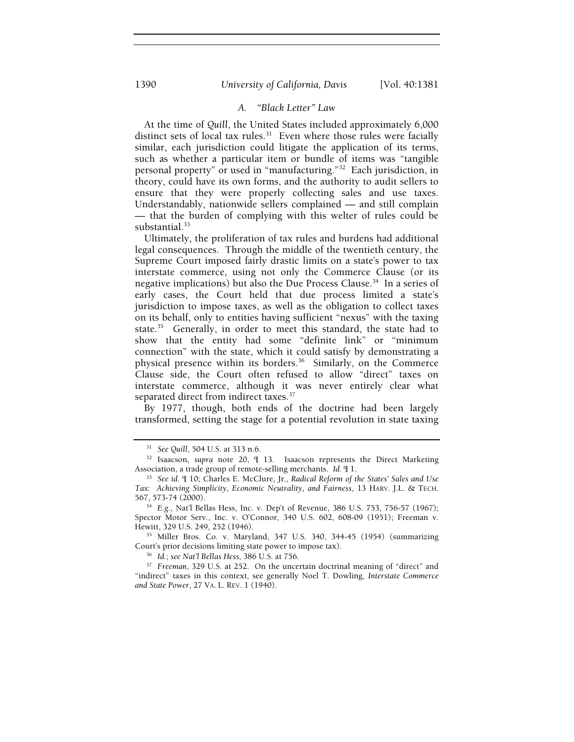# *A. "Black Letter" Law*

At the time of *Quill*, the United States included approximately 6,000 distinct sets of local tax rules.<sup>31</sup> Even where those rules were facially similar, each jurisdiction could litigate the application of its terms, such as whether a particular item or bundle of items was "tangible personal property" or used in "manufacturing."32 Each jurisdiction, in theory, could have its own forms, and the authority to audit sellers to ensure that they were properly collecting sales and use taxes. Understandably, nationwide sellers complained — and still complain — that the burden of complying with this welter of rules could be substantial.<sup>33</sup>

Ultimately, the proliferation of tax rules and burdens had additional legal consequences. Through the middle of the twentieth century, the Supreme Court imposed fairly drastic limits on a state's power to tax interstate commerce, using not only the Commerce Clause (or its negative implications) but also the Due Process Clause.<sup>34</sup> In a series of early cases, the Court held that due process limited a state's jurisdiction to impose taxes, as well as the obligation to collect taxes on its behalf, only to entities having sufficient "nexus" with the taxing state.<sup>35</sup> Generally, in order to meet this standard, the state had to show that the entity had some "definite link" or "minimum connection" with the state, which it could satisfy by demonstrating a physical presence within its borders.36 Similarly, on the Commerce Clause side, the Court often refused to allow "direct" taxes on interstate commerce, although it was never entirely clear what separated direct from indirect taxes.<sup>37</sup>

By 1977, though, both ends of the doctrine had been largely transformed, setting the stage for a potential revolution in state taxing

<sup>31</sup> *See Quill*, 504 U.S. at 313 n.6. 32 Isaacson, *supra* note 20, ¶ 13. Isaacson represents the Direct Marketing Association, a trade group of remote-selling merchants. *Id.* ¶ 1.<br><sup>33</sup> See id. ¶ 10; Charles E. McClure, Jr., *Radical Reform of the States' Sales and Use* 

*Tax: Achieving Simplicity, Economic Neutrality, and Fairness*, 13 HARV. J.L. & TECH.

<sup>&</sup>lt;sup>34</sup> E.g., Nat'l Bellas Hess, Inc. v. Dep't of Revenue, 386 U.S. 753, 756-57 (1967); Spector Motor Serv., Inc. v. O'Connor, 340 U.S. 602, 608-09 (1951); Freeman v.

<sup>&</sup>lt;sup>35</sup> Miller Bros. Co. v. Maryland, 347 U.S. 340, 344-45 (1954) (summarizing Court's prior decisions limiting state power to impose tax). 36 *Id.*; *see Nat'l Bellas Hess*, 386 U.S. at 756. 37 *Freeman*, 329 U.S. at 252. On the uncertain doctrinal meaning of "direct" and

<sup>&</sup>quot;indirect" taxes in this context, see generally Noel T. Dowling, *Interstate Commerce and State Power*, 27 VA. L. REV. 1 (1940).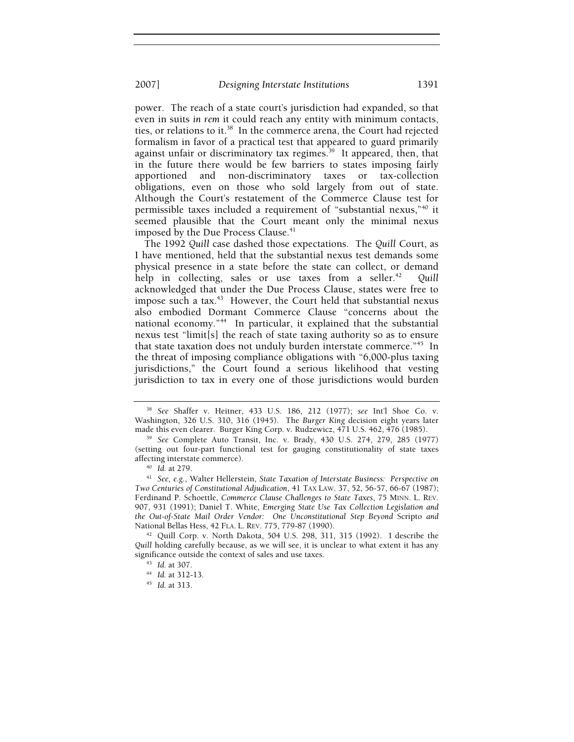power. The reach of a state court's jurisdiction had expanded, so that even in suits *in rem* it could reach any entity with minimum contacts, ties, or relations to it.<sup>38</sup> In the commerce arena, the Court had rejected formalism in favor of a practical test that appeared to guard primarily against unfair or discriminatory tax regimes.<sup>39</sup> It appeared, then, that in the future there would be few barriers to states imposing fairly apportioned and non-discriminatory taxes or tax-collection obligations, even on those who sold largely from out of state. Although the Court's restatement of the Commerce Clause test for permissible taxes included a requirement of "substantial nexus,"40 it seemed plausible that the Court meant only the minimal nexus imposed by the Due Process Clause.<sup>41</sup>

The 1992 *Quill* case dashed those expectations. The *Quill* Court, as I have mentioned, held that the substantial nexus test demands some physical presence in a state before the state can collect, or demand help in collecting, sales or use taxes from a seller.<sup>42</sup> *Quill* acknowledged that under the Due Process Clause, states were free to impose such a tax.<sup>43</sup> However, the Court held that substantial nexus also embodied Dormant Commerce Clause "concerns about the national economy."<sup>44</sup> In particular, it explained that the substantial nexus test "limit[s] the reach of state taxing authority so as to ensure that state taxation does not unduly burden interstate commerce."<sup>45</sup> In the threat of imposing compliance obligations with "6,000-plus taxing jurisdictions," the Court found a serious likelihood that vesting jurisdiction to tax in every one of those jurisdictions would burden

National Bellas Hess, 42 FLA. L. REV. 775, 779-87 (1990). 42 Quill Corp. v. North Dakota, 504 U.S. 298, 311, 315 (1992). I describe the *Quill* holding carefully because, as we will see, it is unclear to what extent it has any significance outside the context of sales and use taxes. 43 *Id.* at 307. 44 *Id.* at 312-13. 45 *Id.* at 313.

<sup>38</sup> *See* Shaffer v. Heitner, 433 U.S. 186, 212 (1977); *see* Int'l Shoe Co. v. Washington, 326 U.S. 310, 316 (1945). The *Burger King* decision eight years later

made this even clearer. Burger King Corp. v. Rudzewicz, 471 U.S. 462, 476 (1985). 39 *See* Complete Auto Transit, Inc. v. Brady, 430 U.S. 274, 279, 285 (1977) (setting out four-part functional test for gauging constitutionality of state taxes

<sup>&</sup>lt;sup>40</sup> Id. at 279.<br><sup>41</sup> See, e.g., Walter Hellerstein, *State Taxation of Interstate Business: Perspective on Two Centuries of Constitutional Adjudication*, 41 TAX LAW. 37, 52, 56-57, 66-67 (1987); Ferdinand P. Schoettle, *Commerce Clause Challenges to State Taxes*, 75 MINN. L. REV. 907, 931 (1991); Daniel T. White, *Emerging State Use Tax Collection Legislation and the Out-of-State Mail Order Vendor: One Unconstitutional Step Beyond* Scripto *and*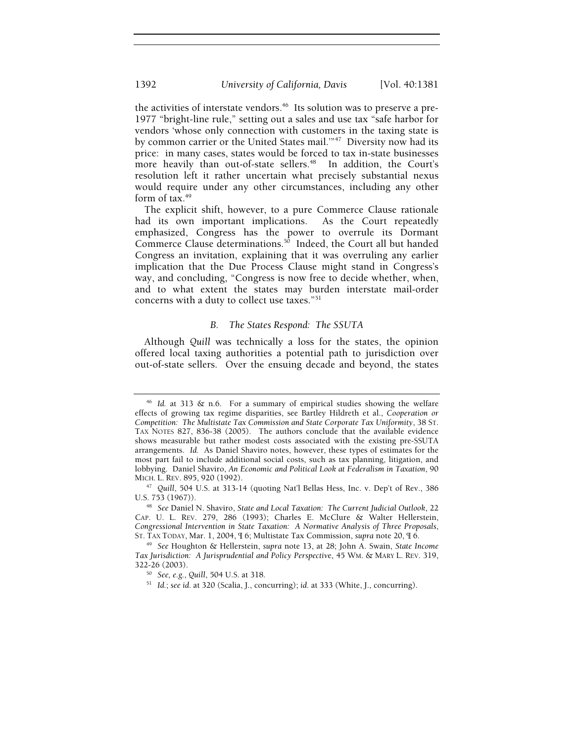the activities of interstate vendors.<sup>46</sup> Its solution was to preserve a pre-1977 "bright-line rule," setting out a sales and use tax "safe harbor for vendors 'whose only connection with customers in the taxing state is by common carrier or the United States mail."<sup>47</sup> Diversity now had its price: in many cases, states would be forced to tax in-state businesses more heavily than out-of-state sellers.<sup>48</sup> In addition, the Court's resolution left it rather uncertain what precisely substantial nexus would require under any other circumstances, including any other form of tax. $49$ 

The explicit shift, however, to a pure Commerce Clause rationale had its own important implications. As the Court repeatedly emphasized, Congress has the power to overrule its Dormant Commerce Clause determinations.<sup>50</sup> Indeed, the Court all but handed Congress an invitation, explaining that it was overruling any earlier implication that the Due Process Clause might stand in Congress's way, and concluding, "Congress is now free to decide whether, when, and to what extent the states may burden interstate mail-order concerns with a duty to collect use taxes."51

# *B. The States Respond: The SSUTA*

Although *Quill* was technically a loss for the states, the opinion offered local taxing authorities a potential path to jurisdiction over out-of-state sellers. Over the ensuing decade and beyond, the states

<sup>46</sup> *Id.* at 313 & n.6. For a summary of empirical studies showing the welfare effects of growing tax regime disparities, see Bartley Hildreth et al., *Cooperation or Competition: The Multistate Tax Commission and State Corporate Tax Uniformity*, 38 ST. TAX NOTES 827, 836-38 (2005). The authors conclude that the available evidence shows measurable but rather modest costs associated with the existing pre-SSUTA arrangements. *Id.* As Daniel Shaviro notes, however, these types of estimates for the most part fail to include additional social costs, such as tax planning, litigation, and lobbying. Daniel Shaviro, *An Economic and Political Look at Federalism in Taxation*, 90

<sup>&</sup>lt;sup>47</sup> Quill, 504 U.S. at 313-14 (quoting Nat'l Bellas Hess, Inc. v. Dep't of Rev., 386 U.S. 753 (1967)).

<sup>&</sup>lt;sup>48</sup> See Daniel N. Shaviro, State and Local Taxation: The Current Judicial Outlook, 22 CAP. U. L. REV. 279, 286 (1993); Charles E. McClure & Walter Hellerstein, *Congressional Intervention in State Taxation: A Normative Analysis of Three Proposals*,

<sup>&</sup>lt;sup>49</sup> See Houghton & Hellerstein, *supra* note 13, at 28; John A. Swain, *State Income Tax Jurisdiction: A Jurisprudential and Policy Perspectiv*e, 45 WM. & MARY L. REV. 319, 322-26 (2003). 50 *See, e.g.*, *Quill*, 504 U.S. at 318. 51 *Id.*; *see id.* at 320 (Scalia, J., concurring); *id.* at 333 (White, J., concurring).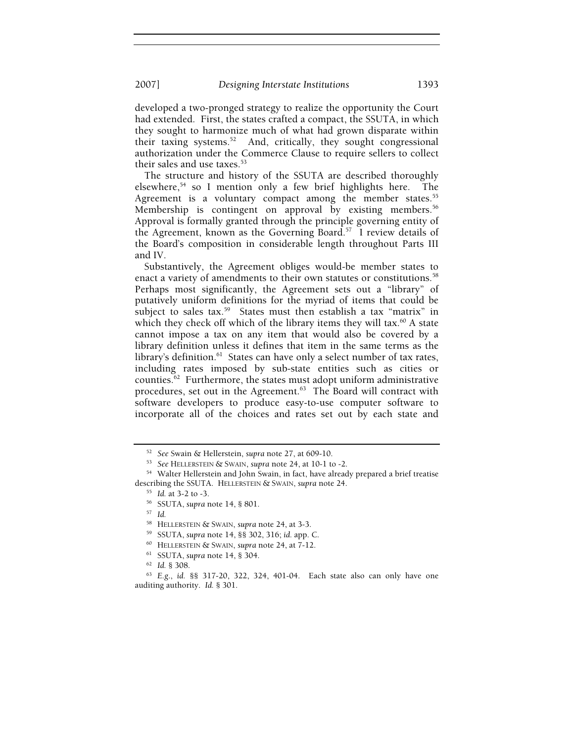developed a two-pronged strategy to realize the opportunity the Court had extended. First, the states crafted a compact, the SSUTA, in which they sought to harmonize much of what had grown disparate within their taxing systems.<sup>52</sup> And, critically, they sought congressional authorization under the Commerce Clause to require sellers to collect their sales and use taxes.<sup>53</sup>

The structure and history of the SSUTA are described thoroughly elsewhere,<sup>54</sup> so I mention only a few brief highlights here. The Agreement is a voluntary compact among the member states. $55$ Membership is contingent on approval by existing members.<sup>56</sup> Approval is formally granted through the principle governing entity of the Agreement, known as the Governing Board.<sup>57</sup> I review details of the Board's composition in considerable length throughout Parts III and IV.

Substantively, the Agreement obliges would-be member states to enact a variety of amendments to their own statutes or constitutions.<sup>58</sup> Perhaps most significantly, the Agreement sets out a "library" of putatively uniform definitions for the myriad of items that could be subject to sales tax.<sup>59</sup> States must then establish a tax "matrix" in which they check off which of the library items they will tax.<sup>60</sup> A state cannot impose a tax on any item that would also be covered by a library definition unless it defines that item in the same terms as the library's definition. $61$  States can have only a select number of tax rates, including rates imposed by sub-state entities such as cities or counties.62 Furthermore, the states must adopt uniform administrative procedures, set out in the Agreement.<sup>63</sup> The Board will contract with software developers to produce easy-to-use computer software to incorporate all of the choices and rates set out by each state and

- 
- 
- 

<sup>&</sup>lt;sup>52</sup> See Swain & Hellerstein, supra note 27, at 609-10.<br><sup>53</sup> See HELLERSTEIN & SWAIN, supra note 24, at 10-1 to -2.<br><sup>54</sup> Walter Hellerstein and John Swain, in fact, have already prepared a brief treatise describing the SSUTA. HELLERSTEIN & SWAIN, *supra* note 24.<br><sup>55</sup> Id. at 3-2 to -3.<br><sup>56</sup> SSUTA, *supra* note 14, § 801.<br><sup>57</sup> Id

<sup>&</sup>lt;sup>58</sup> HELLERSTEIN & SWAIN, supra note 24, at 3-3.<br><sup>59</sup> SSUTA, supra note 14, §§ 302, 316; id. app. C.<br><sup>60</sup> HELLERSTEIN & SWAIN, supra note 24, at 7-12.<br><sup>61</sup> SSUTA, supra note 14, § 304.<br><sup>62</sup> Id. § 308.<br><sup>63</sup> E.g., id. §§ 31 auditing authority. *Id.* § 301.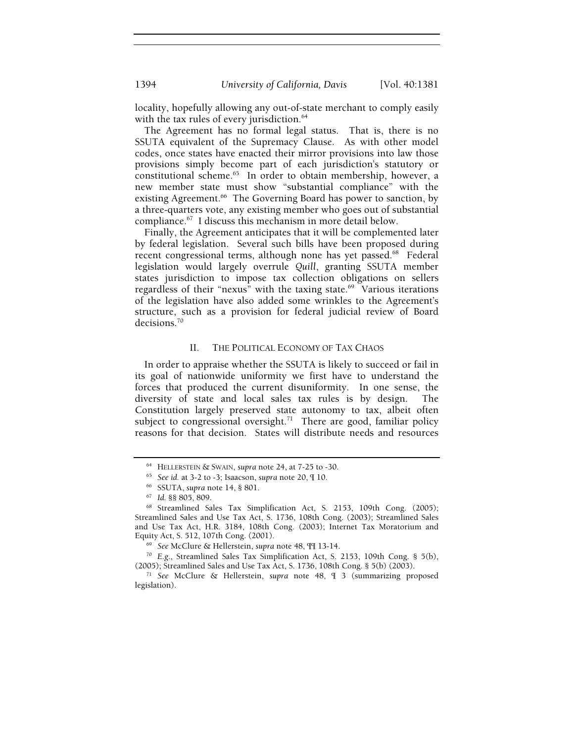locality, hopefully allowing any out-of-state merchant to comply easily with the tax rules of every jurisdiction.<sup>64</sup>

The Agreement has no formal legal status. That is, there is no SSUTA equivalent of the Supremacy Clause. As with other model codes, once states have enacted their mirror provisions into law those provisions simply become part of each jurisdiction's statutory or constitutional scheme.65 In order to obtain membership, however, a new member state must show "substantial compliance" with the existing Agreement.<sup>66</sup> The Governing Board has power to sanction, by a three-quarters vote, any existing member who goes out of substantial compliance.67 I discuss this mechanism in more detail below.

Finally, the Agreement anticipates that it will be complemented later by federal legislation. Several such bills have been proposed during recent congressional terms, although none has yet passed.<sup>68</sup> Federal legislation would largely overrule *Quill*, granting SSUTA member states jurisdiction to impose tax collection obligations on sellers regardless of their "nexus" with the taxing state.<sup>69</sup> Various iterations of the legislation have also added some wrinkles to the Agreement's structure, such as a provision for federal judicial review of Board decisions.70

# II. THE POLITICAL ECONOMY OF TAX CHAOS

In order to appraise whether the SSUTA is likely to succeed or fail in its goal of nationwide uniformity we first have to understand the forces that produced the current disuniformity. In one sense, the diversity of state and local sales tax rules is by design. The Constitution largely preserved state autonomy to tax, albeit often subject to congressional oversight.<sup>71</sup> There are good, familiar policy reasons for that decision. States will distribute needs and resources

<sup>&</sup>lt;sup>64</sup> HELLERSTEIN & SWAIN, supra note 24, at 7-25 to -30.<br>
<sup>65</sup> See id. at 3-2 to -3; Isaacson, supra note 20,  $\P$  10.<br>
<sup>66</sup> SSUTA, supra note 14, § 801.<br>
<sup>67</sup> Id. §§ 805, 809.<br>
<sup>68</sup> Streamlined Sales Tax Simplification Ac Streamlined Sales and Use Tax Act, S. 1736, 108th Cong. (2003); Streamlined Sales and Use Tax Act, H.R. 3184, 108th Cong. (2003); Internet Tax Moratorium and Equity Act, S. 512, 107th Cong. (2001).<br><sup>69</sup> See McClure & Hellerstein, *supra* note 48, ¶¶ 13-14.<br><sup>70</sup> E.g., Streamlined Sales Tax Simplification Act, S. 2153, 109th Cong. § 5(b),

<sup>(2005);</sup> Streamlined Sales and Use Tax Act, S. 1736, 108th Cong. § 5(b) (2003). 71 *See* McClure & Hellerstein, *supra* note 48, ¶ 3 (summarizing proposed

legislation).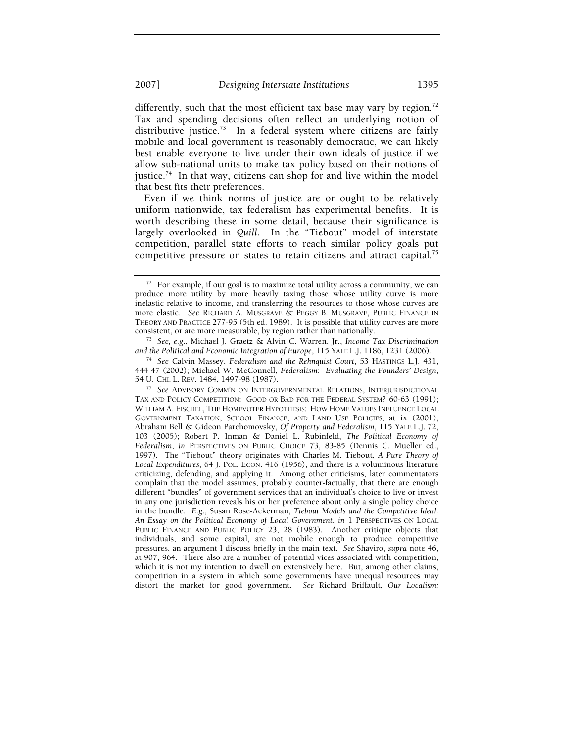differently, such that the most efficient tax base may vary by region.<sup>72</sup> Tax and spending decisions often reflect an underlying notion of distributive justice.<sup>73</sup> In a federal system where citizens are fairly mobile and local government is reasonably democratic, we can likely best enable everyone to live under their own ideals of justice if we allow sub-national units to make tax policy based on their notions of justice.<sup>74</sup> In that way, citizens can shop for and live within the model that best fits their preferences.

Even if we think norms of justice are or ought to be relatively uniform nationwide, tax federalism has experimental benefits. It is worth describing these in some detail, because their significance is largely overlooked in *Quill*. In the "Tiebout" model of interstate competition, parallel state efforts to reach similar policy goals put competitive pressure on states to retain citizens and attract capital.<sup>75</sup>

444-47 (2002); Michael W. McConnell, *Federalism: Evaluating the Founders' Design*,

<sup>75</sup> See ADVISORY COMM'N ON INTERGOVERNMENTAL RELATIONS, INTERJURISDICTIONAL TAX AND POLICY COMPETITION: GOOD OR BAD FOR THE FEDERAL SYSTEM? 60-63 (1991); WILLIAM A. FISCHEL, THE HOMEVOTER HYPOTHESIS: HOW HOME VALUES INFLUENCE LOCAL GOVERNMENT TAXATION, SCHOOL FINANCE, AND LAND USE POLICIES, at ix (2001); Abraham Bell & Gideon Parchomovsky, *Of Property and Federalism*, 115 YALE L.J. 72, 103 (2005); Robert P. Inman & Daniel L. Rubinfeld, *The Political Economy of Federalism*, *in* PERSPECTIVES ON PUBLIC CHOICE 73, 83-85 (Dennis C. Mueller ed., 1997). The "Tiebout" theory originates with Charles M. Tiebout, *A Pure Theory of Local Expenditures*, 64 J. POL. ECON. 416 (1956), and there is a voluminous literature criticizing, defending, and applying it. Among other criticisms, later commentators complain that the model assumes, probably counter-factually, that there are enough different "bundles" of government services that an individual's choice to live or invest in any one jurisdiction reveals his or her preference about only a single policy choice in the bundle. *E.g*., Susan Rose-Ackerman, *Tiebout Models and the Competitive Ideal: An Essay on the Political Economy of Local Government*, *in* 1 PERSPECTIVES ON LOCAL PUBLIC FINANCE AND PUBLIC POLICY 23, 28 (1983). Another critique objects that individuals, and some capital, are not mobile enough to produce competitive pressures, an argument I discuss briefly in the main text. *See* Shaviro, *supra* note 46, at 907, 964. There also are a number of potential vices associated with competition, which it is not my intention to dwell on extensively here. But, among other claims, competition in a system in which some governments have unequal resources may distort the market for good government. *See* Richard Briffault, *Our Localism:* 

 $72$  For example, if our goal is to maximize total utility across a community, we can produce more utility by more heavily taxing those whose utility curve is more inelastic relative to income, and transferring the resources to those whose curves are more elastic. *See* RICHARD A. MUSGRAVE & PEGGY B. MUSGRAVE, PUBLIC FINANCE IN THEORY AND PRACTICE 277-95 (5th ed. 1989). It is possible that utility curves are more

<sup>&</sup>lt;sup>73</sup> See, e.g., Michael J. Graetz & Alvin C. Warren, Jr., *Income Tax Discrimination and the Political and Economic Integration of Europe*, 115 YALE L.J. 1186, 1231 (2006). 74 *See* Calvin Massey, *Federalism and the Rehnquist Court*, 53 HASTINGS L.J. 431,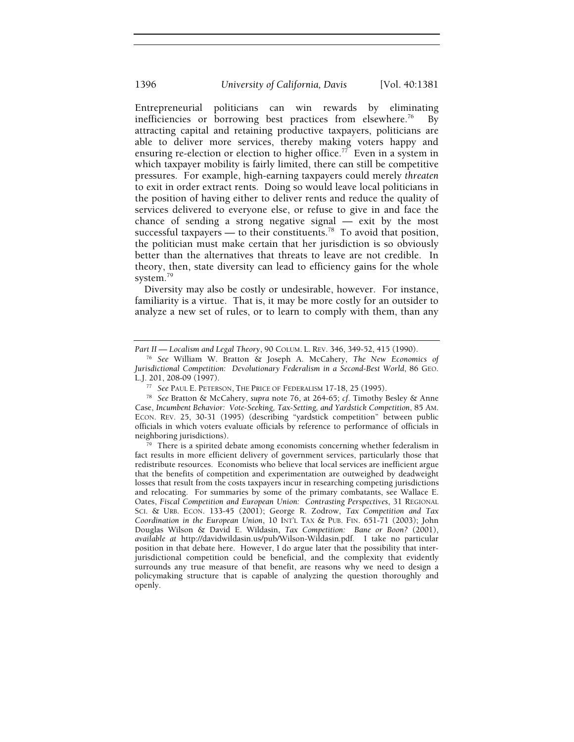Entrepreneurial politicians can win rewards by eliminating inefficiencies or borrowing best practices from elsewhere.<sup>76</sup> By attracting capital and retaining productive taxpayers, politicians are able to deliver more services, thereby making voters happy and ensuring re-election or election to higher office.<sup>77</sup> Even in a system in which taxpayer mobility is fairly limited, there can still be competitive pressures. For example, high-earning taxpayers could merely *threaten* to exit in order extract rents. Doing so would leave local politicians in the position of having either to deliver rents and reduce the quality of services delivered to everyone else, or refuse to give in and face the chance of sending a strong negative signal — exit by the most successful taxpayers — to their constituents.<sup>78</sup> To avoid that position,

the politician must make certain that her jurisdiction is so obviously better than the alternatives that threats to leave are not credible. In theory, then, state diversity can lead to efficiency gains for the whole system.<sup>79</sup>

Diversity may also be costly or undesirable, however. For instance, familiarity is a virtue. That is, it may be more costly for an outsider to analyze a new set of rules, or to learn to comply with them, than any

*Part II — Localism and Legal Theory*, 90 COLUM. L. REV. 346, 349-52, 415 (1990). 76 *See* William W. Bratton & Joseph A. McCahery, *The New Economics of Jurisdictional Competition: Devolutionary Federalism in a Second-Best World*, 86 GEO. L.J. 201, 208-09 (1997). 77 *See* PAUL E. PETERSON, THE PRICE OF FEDERALISM 17-18, 25 (1995). 78 *See* Bratton & McCahery, *supra* note 76, at 264-65; *cf*. Timothy Besley & Anne

Case, *Incumbent Behavior: Vote-Seeking, Tax-Setting, and Yardstick Competition*, 85 AM. ECON. REV. 25, 30-31 (1995) (describing "yardstick competition" between public officials in which voters evaluate officials by reference to performance of officials in neighboring jurisdictions).<br><sup>79</sup> There is a spirited debate among economists concerning whether federalism in

fact results in more efficient delivery of government services, particularly those that redistribute resources. Economists who believe that local services are inefficient argue that the benefits of competition and experimentation are outweighed by deadweight losses that result from the costs taxpayers incur in researching competing jurisdictions and relocating. For summaries by some of the primary combatants, see Wallace E. Oates, *Fiscal Competition and European Union: Contrasting Perspectives*, 31 REGIONAL SCI. & URB. ECON. 133-45 (2001); George R. Zodrow, *Tax Competition and Tax Coordination in the European Union*, 10 INT'L TAX & PUB. FIN. 651-71 (2003); John Douglas Wilson & David E. Wildasin, *Tax Competition: Bane or Boon?* (2001), *available at* http://davidwildasin.us/pub/Wilson-Wildasin.pdf. I take no particular position in that debate here. However, I do argue later that the possibility that interjurisdictional competition could be beneficial, and the complexity that evidently surrounds any true measure of that benefit, are reasons why we need to design a policymaking structure that is capable of analyzing the question thoroughly and openly.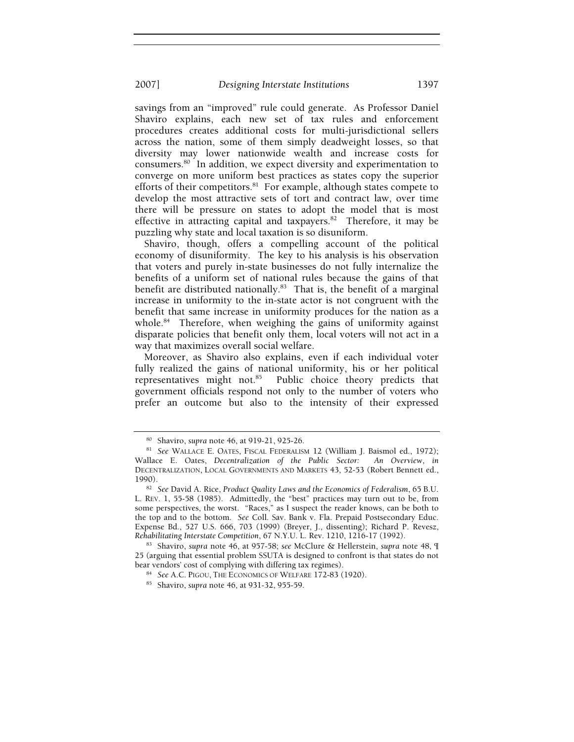savings from an "improved" rule could generate. As Professor Daniel Shaviro explains, each new set of tax rules and enforcement procedures creates additional costs for multi-jurisdictional sellers across the nation, some of them simply deadweight losses, so that diversity may lower nationwide wealth and increase costs for consumers.80 In addition, we expect diversity and experimentation to converge on more uniform best practices as states copy the superior efforts of their competitors.<sup>81</sup> For example, although states compete to develop the most attractive sets of tort and contract law, over time there will be pressure on states to adopt the model that is most effective in attracting capital and taxpayers. $82$  Therefore, it may be puzzling why state and local taxation is so disuniform.

Shaviro, though, offers a compelling account of the political economy of disuniformity. The key to his analysis is his observation that voters and purely in-state businesses do not fully internalize the benefits of a uniform set of national rules because the gains of that benefit are distributed nationally.<sup>83</sup> That is, the benefit of a marginal increase in uniformity to the in-state actor is not congruent with the benefit that same increase in uniformity produces for the nation as a whole.<sup>84</sup> Therefore, when weighing the gains of uniformity against disparate policies that benefit only them, local voters will not act in a way that maximizes overall social welfare.

Moreover, as Shaviro also explains, even if each individual voter fully realized the gains of national uniformity, his or her political representatives might not.<sup>85</sup> Public choice theory predicts that government officials respond not only to the number of voters who prefer an outcome but also to the intensity of their expressed

<sup>80</sup> Shaviro, *supra* note 46, at 919-21, 925-26. 81 *See* WALLACE E. OATES, FISCAL FEDERALISM 12 (William J. Baismol ed., 1972); Wallace E. Oates, *Decentralization of the Public Sector: An Overview*, *in* DECENTRALIZATION, LOCAL GOVERNMENTS AND MARKETS 43, 52-53 (Robert Bennett ed., 1990). 82 *See* David A. Rice, *Product Quality Laws and the Economics of Federalism*, 65 B.U.

L. REV. 1, 55-58 (1985). Admittedly, the "best" practices may turn out to be, from some perspectives, the worst. "Races," as I suspect the reader knows, can be both to the top and to the bottom. *See* Coll. Sav. Bank v. Fla. Prepaid Postsecondary Educ. Expense Bd., 527 U.S. 666, 703 (1999) (Breyer, J., dissenting); Richard P. Revesz, *Rehabilitating Interstate Competition*, 67 N.Y.U. L. Rev. 1210, 1216-17 (1992). 83 Shaviro, *supra* note 46, at 957-58; *see* McClure & Hellerstein, *supra* note 48, ¶

<sup>25 (</sup>arguing that essential problem SSUTA is designed to confront is that states do not bear vendors' cost of complying with differing tax regimes). 84 *See* A.C. PIGOU, THE ECONOMICS OF WELFARE 172-83 (1920). 85 Shaviro, *supra* note 46, at 931-32, 955-59.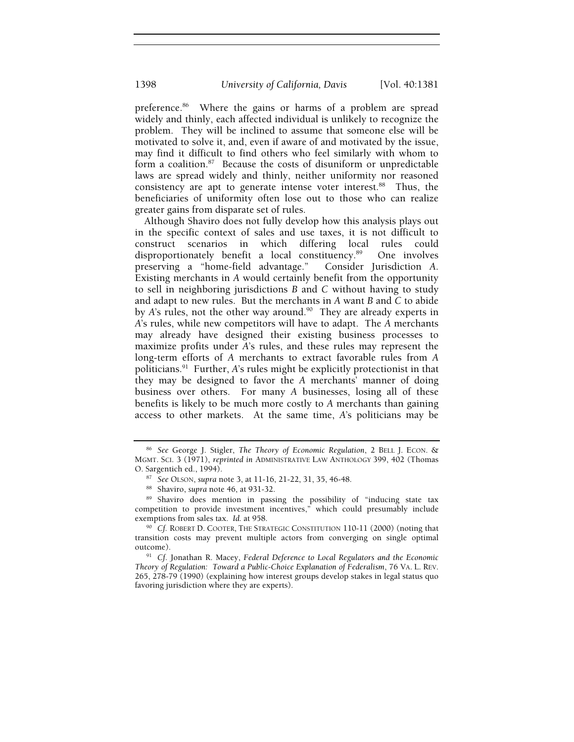preference.<sup>86</sup> Where the gains or harms of a problem are spread widely and thinly, each affected individual is unlikely to recognize the problem. They will be inclined to assume that someone else will be motivated to solve it, and, even if aware of and motivated by the issue, may find it difficult to find others who feel similarly with whom to form a coalition.<sup>87</sup> Because the costs of disuniform or unpredictable laws are spread widely and thinly, neither uniformity nor reasoned consistency are apt to generate intense voter interest. $88$  Thus, the beneficiaries of uniformity often lose out to those who can realize greater gains from disparate set of rules.

Although Shaviro does not fully develop how this analysis plays out in the specific context of sales and use taxes, it is not difficult to construct scenarios in which differing local rules could disproportionately benefit a local constituency.<sup>89</sup> One involves preserving a "home-field advantage." Consider Jurisdiction *A*. Existing merchants in *A* would certainly benefit from the opportunity to sell in neighboring jurisdictions *B* and *C* without having to study and adapt to new rules. But the merchants in *A* want *B* and *C* to abide by *A*'s rules, not the other way around.<sup>90</sup> They are already experts in *A*'s rules, while new competitors will have to adapt. The *A* merchants may already have designed their existing business processes to maximize profits under *A*'s rules, and these rules may represent the long-term efforts of *A* merchants to extract favorable rules from *A* politicians.91 Further, *A*'s rules might be explicitly protectionist in that they may be designed to favor the *A* merchants' manner of doing business over others. For many *A* businesses, losing all of these benefits is likely to be much more costly to *A* merchants than gaining access to other markets. At the same time, *A*'s politicians may be

<sup>86</sup> *See* George J. Stigler, *The Theory of Economic Regulation*, 2 BELL J. ECON. & MGMT. SCI. 3 (1971), *reprinted in* ADMINISTRATIVE LAW ANTHOLOGY 399, 402 (Thomas

O. Sargentich ed., 1994). 87 *See* OLSON, *supra* note 3, at 11-16, 21-22, 31, 35, 46-48. 88 Shaviro, *supra* note 46, at 931-32. 89 Shaviro does mention in passing the possibility of "inducing state tax competition to provide investment incentives," which could presumably include exemptions from sales tax. *Id.* at 958.<br><sup>90</sup> *Cf.* ROBERT D. COOTER, THE STRATEGIC CONSTITUTION 110-11 (2000) (noting that

transition costs may prevent multiple actors from converging on single optimal outcome). 91 *Cf*. Jonathan R. Macey, *Federal Deference to Local Regulators and the Economic* 

*Theory of Regulation: Toward a Public-Choice Explanation of Federalism*, 76 VA. L. REV. 265, 278-79 (1990) (explaining how interest groups develop stakes in legal status quo favoring jurisdiction where they are experts).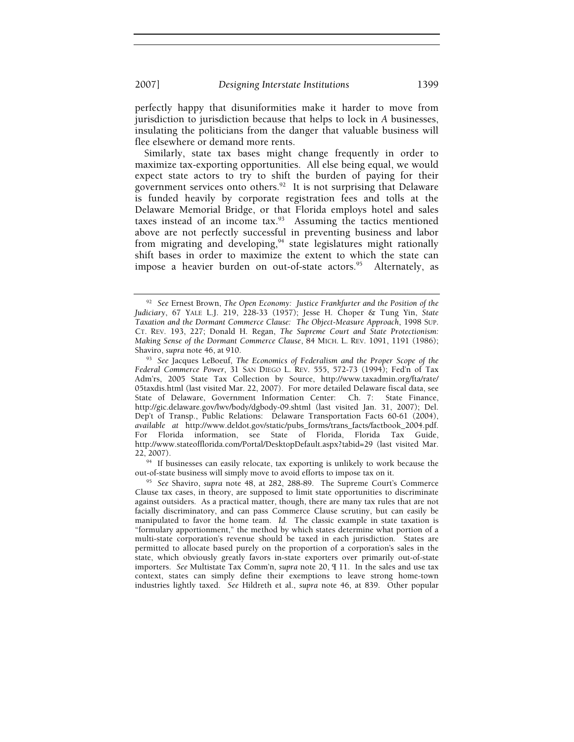perfectly happy that disuniformities make it harder to move from jurisdiction to jurisdiction because that helps to lock in *A* businesses, insulating the politicians from the danger that valuable business will flee elsewhere or demand more rents.

Similarly, state tax bases might change frequently in order to maximize tax-exporting opportunities. All else being equal, we would expect state actors to try to shift the burden of paying for their government services onto others.<sup>92</sup> It is not surprising that Delaware is funded heavily by corporate registration fees and tolls at the Delaware Memorial Bridge, or that Florida employs hotel and sales taxes instead of an income tax. $93$  Assuming the tactics mentioned above are not perfectly successful in preventing business and labor from migrating and developing, $94$  state legislatures might rationally shift bases in order to maximize the extent to which the state can impose a heavier burden on out-of-state actors.<sup>95</sup> Alternately, as

22, 2007). <sup>94</sup> If businesses can easily relocate, tax exporting is unlikely to work because the out-of-state business will simply move to avoid efforts to impose tax on it.

<sup>95</sup> See Shaviro, *supra* note 48, at 282, 288-89. The Supreme Court's Commerce Clause tax cases, in theory, are supposed to limit state opportunities to discriminate against outsiders. As a practical matter, though, there are many tax rules that are not facially discriminatory, and can pass Commerce Clause scrutiny, but can easily be manipulated to favor the home team. *Id.* The classic example in state taxation is "formulary apportionment," the method by which states determine what portion of a multi-state corporation's revenue should be taxed in each jurisdiction. States are permitted to allocate based purely on the proportion of a corporation's sales in the state, which obviously greatly favors in-state exporters over primarily out-of-state importers. *See* Multistate Tax Comm'n, *supra* note 20, ¶ 11. In the sales and use tax context, states can simply define their exemptions to leave strong home-town industries lightly taxed. *See* Hildreth et al., *supra* note 46, at 839. Other popular

<sup>92</sup> *See* Ernest Brown, *The Open Economy: Justice Frankfurter and the Position of the Judiciary*, 67 YALE L.J. 219, 228-33 (1957); Jesse H. Choper & Tung Yin, *State Taxation and the Dormant Commerce Clause: The Object-Measure Approach*, 1998 SUP. CT. REV. 193, 227; Donald H. Regan, *The Supreme Court and State Protectionism: Making Sense of the Dormant Commerce Clause*, 84 MICH. L. REV. 1091, 1191 (1986);

Shaviro, *supra* note 46, at 910.<br><sup>93</sup> See Jacques LeBoeuf, *The Economics of Federalism and the Proper Scope of the Federal Commerce Power*, 31 SAN DIEGO L. REV. 555, 572-73 (1994); Fed'n of Tax Adm'rs, 2005 State Tax Collection by Source, http://www.taxadmin.org/fta/rate/ 05taxdis.html (last visited Mar. 22, 2007). For more detailed Delaware fiscal data, see State of Delaware, Government Information Center: Ch. 7: State Finance, http://gic.delaware.gov/lwv/body/dgbody-09.shtml (last visited Jan. 31, 2007); Del. Dep't of Transp., Public Relations: Delaware Transportation Facts 60-61 (2004), *available at* http://www.deldot.gov/static/pubs\_forms/trans\_facts/factbook\_2004.pdf. For Florida information, see State of Florida, Florida Tax Guide, http://www.stateofflorida.com/Portal/DesktopDefault.aspx?tabid=29 (last visited Mar.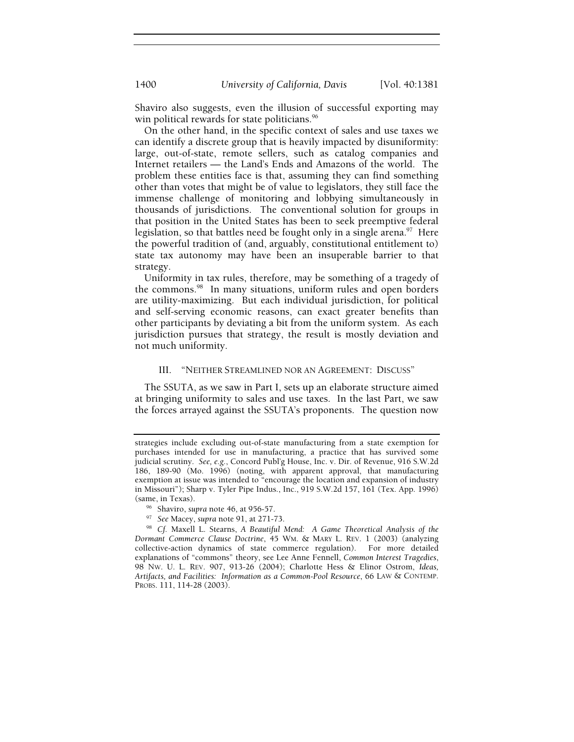Shaviro also suggests, even the illusion of successful exporting may win political rewards for state politicians.<sup>96</sup>

On the other hand, in the specific context of sales and use taxes we can identify a discrete group that is heavily impacted by disuniformity: large, out-of-state, remote sellers, such as catalog companies and Internet retailers — the Land's Ends and Amazons of the world. The problem these entities face is that, assuming they can find something other than votes that might be of value to legislators, they still face the immense challenge of monitoring and lobbying simultaneously in thousands of jurisdictions. The conventional solution for groups in that position in the United States has been to seek preemptive federal legislation, so that battles need be fought only in a single arena. $97$  Here the powerful tradition of (and, arguably, constitutional entitlement to) state tax autonomy may have been an insuperable barrier to that strategy.

Uniformity in tax rules, therefore, may be something of a tragedy of the commons.<sup>98</sup> In many situations, uniform rules and open borders are utility-maximizing. But each individual jurisdiction, for political and self-serving economic reasons, can exact greater benefits than other participants by deviating a bit from the uniform system. As each jurisdiction pursues that strategy, the result is mostly deviation and not much uniformity.

# III. "NEITHER STREAMLINED NOR AN AGREEMENT: DISCUSS"

The SSUTA, as we saw in Part I, sets up an elaborate structure aimed at bringing uniformity to sales and use taxes. In the last Part, we saw the forces arrayed against the SSUTA's proponents. The question now

strategies include excluding out-of-state manufacturing from a state exemption for purchases intended for use in manufacturing, a practice that has survived some judicial scrutiny. *See, e.g.*, Concord Publ'g House, Inc. v. Dir. of Revenue, 916 S.W.2d 186, 189-90 (Mo. 1996) (noting, with apparent approval, that manufacturing exemption at issue was intended to "encourage the location and expansion of industry in Missouri"); Sharp v. Tyler Pipe Indus., Inc., 919 S.W.2d 157, 161 (Tex. App. 1996)

<sup>%</sup> Shaviro, *supra* note 46, at 956-57.<br><sup>97</sup> See Macey, *supra* note 91, at 271-73.<br><sup>98</sup> Cf. Maxell L. Stearns, *A Beautiful Mend: A Game Theoretical Analysis of the Dormant Commerce Clause Doctrine*, 45 WM. & MARY L. REV. 1 (2003) (analyzing collective-action dynamics of state commerce regulation). For more detailed explanations of "commons" theory, see Lee Anne Fennell, *Common Interest Tragedies*, 98 NW. U. L. REV. 907, 913-26 (2004); Charlotte Hess & Elinor Ostrom, *Ideas, Artifacts, and Facilities: Information as a Common-Pool Resource*, 66 LAW & CONTEMP. PROBS. 111, 114-28 (2003).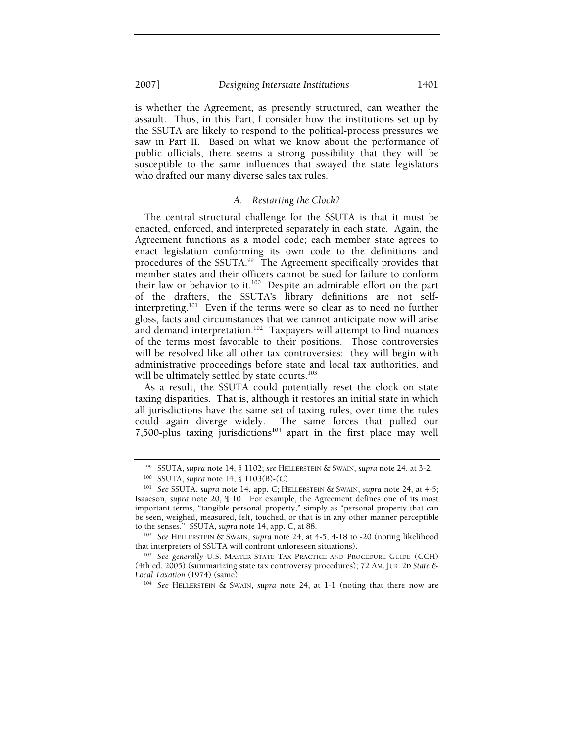is whether the Agreement, as presently structured, can weather the assault. Thus, in this Part, I consider how the institutions set up by the SSUTA are likely to respond to the political-process pressures we saw in Part II. Based on what we know about the performance of public officials, there seems a strong possibility that they will be susceptible to the same influences that swayed the state legislators who drafted our many diverse sales tax rules.

# *A. Restarting the Clock?*

The central structural challenge for the SSUTA is that it must be enacted, enforced, and interpreted separately in each state. Again, the Agreement functions as a model code; each member state agrees to enact legislation conforming its own code to the definitions and procedures of the SSUTA.<sup>99</sup> The Agreement specifically provides that member states and their officers cannot be sued for failure to conform their law or behavior to it.<sup>100</sup> Despite an admirable effort on the part of the drafters, the SSUTA's library definitions are not selfinterpreting.101 Even if the terms were so clear as to need no further gloss, facts and circumstances that we cannot anticipate now will arise and demand interpretation.<sup>102</sup> Taxpayers will attempt to find nuances of the terms most favorable to their positions. Those controversies will be resolved like all other tax controversies: they will begin with administrative proceedings before state and local tax authorities, and will be ultimately settled by state courts.<sup>103</sup>

As a result, the SSUTA could potentially reset the clock on state taxing disparities. That is, although it restores an initial state in which all jurisdictions have the same set of taxing rules, over time the rules could again diverge widely. The same forces that pulled our 7,500-plus taxing jurisdictions<sup>104</sup> apart in the first place may well

<sup>&</sup>lt;sup>99</sup> SSUTA, supra note 14, § 1102; see HELLERSTEIN & SWAIN, supra note 24, at 3-2.<br><sup>100</sup> SSUTA, supra note 14, § 1103(B)-(C).<br><sup>101</sup> See SSUTA, supra note 14, app. C; HELLERSTEIN & SWAIN, supra note 24, at 4-5; Isaacson, *supra* note 20, ¶ 10. For example, the Agreement defines one of its most important terms, "tangible personal property," simply as "personal property that can be seen, weighed, measured, felt, touched, or that is in any other manner perceptible to the senses." SSUTA, supra note 14, app. C, at 88.

<sup>&</sup>lt;sup>102</sup> See HELLERSTEIN & SWAIN, *supra* note 24, at 4-5, 4-18 to -20 (noting likelihood that interpreters of SSUTA will confront unforeseen situations). 103 *See generally* U.S. MASTER STATE TAX PRACTICE AND PROCEDURE GUIDE (CCH)

<sup>(4</sup>th ed. 2005) (summarizing state tax controversy procedures); 72 AM. JUR. 2D *State & Local Taxation* (1974) (same).<br><sup>104</sup> See HELLERSTEIN & SWAIN, *supra* note 24, at 1-1 (noting that there now are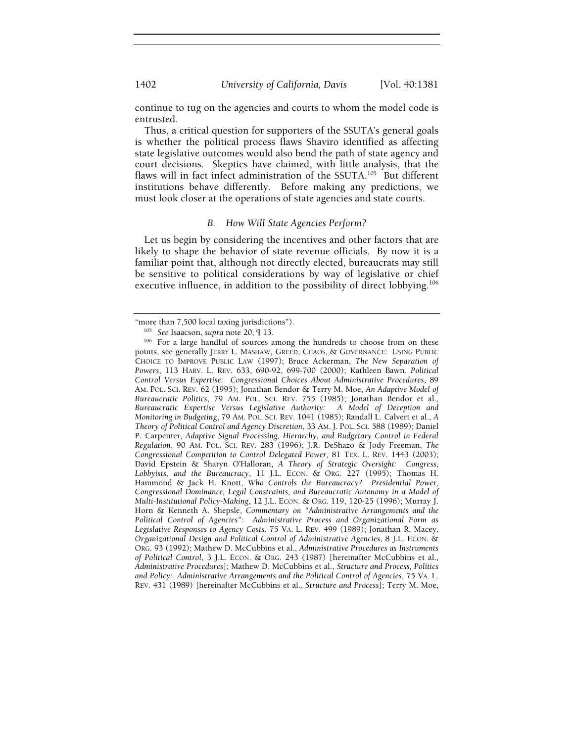continue to tug on the agencies and courts to whom the model code is entrusted.

Thus, a critical question for supporters of the SSUTA's general goals is whether the political process flaws Shaviro identified as affecting state legislative outcomes would also bend the path of state agency and court decisions. Skeptics have claimed, with little analysis, that the flaws will in fact infect administration of the SSUTA.<sup>105</sup> But different institutions behave differently. Before making any predictions, we must look closer at the operations of state agencies and state courts.

# *B. How Will State Agencies Perform?*

Let us begin by considering the incentives and other factors that are likely to shape the behavior of state revenue officials. By now it is a familiar point that, although not directly elected, bureaucrats may still be sensitive to political considerations by way of legislative or chief executive influence, in addition to the possibility of direct lobbying.<sup>106</sup>

<sup>&</sup>quot;more than 7,500 local taxing jurisdictions"). 105 *See* Isaacson, *supra* note 20, ¶ 13. 106 For a large handful of sources among the hundreds to choose from on these points, see generally JERRY L. MASHAW, GREED, CHAOS, & GOVERNANCE: USING PUBLIC CHOICE TO IMPROVE PUBLIC LAW (1997); Bruce Ackerman, *The New Separation of Powers*, 113 HARV. L. REV. 633, 690-92, 699-700 (2000); Kathleen Bawn, *Political Control Versus Expertise: Congressional Choices About Administrative Procedures*, 89 AM. POL. SCI. REV. 62 (1995); Jonathan Bendor & Terry M. Moe, *An Adaptive Model of Bureaucratic Politics*, 79 AM. POL. SCI. REV. 755 (1985); Jonathan Bendor et al., *Bureaucratic Expertise Versus Legislative Authority: A Model of Deception and Monitoring in Budgeting*, 79 AM. POL. SCI. REV. 1041 (1985); Randall L. Calvert et al., *A Theory of Political Control and Agency Discretion*, 33 AM. J. POL. SCI. 588 (1989); Daniel P. Carpenter, *Adaptive Signal Processing, Hierarchy, and Budgetary Control in Federal Regulation*, 90 AM. POL. SCI. REV. 283 (1996); J.R. DeShazo & Jody Freeman, *The Congressional Competition to Control Delegated Power*, 81 TEX. L. REV. 1443 (2003); David Epstein & Sharyn O'Halloran, *A Theory of Strategic Oversight: Congress, Lobbyists, and the Bureaucracy*, 11 J.L. ECON. & ORG. 227 (1995); Thomas H. Hammond & Jack H. Knott, *Who Controls the Bureaucracy? Presidential Power, Congressional Dominance, Legal Constraints, and Bureaucratic Autonomy in a Model of Multi-Institutional Policy-Making*, 12 J.L. ECON. & ORG. 119, 120-25 (1996); Murray J. Horn & Kenneth A. Shepsle, *Commentary on "Administrative Arrangements and the Political Control of Agencies": Administrative Process and Organizational Form as Legislative Responses to Agency Costs*, 75 VA. L. REV. 499 (1989); Jonathan R. Macey, *Organizational Design and Political Control of Administrative Agencies*, 8 J.L. ECON. & ORG. 93 (1992); Mathew D. McCubbins et al., *Administrative Procedures as Instruments of Political Control*, 3 J.L. ECON. & ORG. 243 (1987) [hereinafter McCubbins et al., *Administrative Procedures*]; Mathew D. McCubbins et al., *Structure and Process, Politics and Policy: Administrative Arrangements and the Political Control of Agencies*, 75 VA. L. REV. 431 (1989) [hereinafter McCubbins et al., *Structure and Process*]; Terry M. Moe,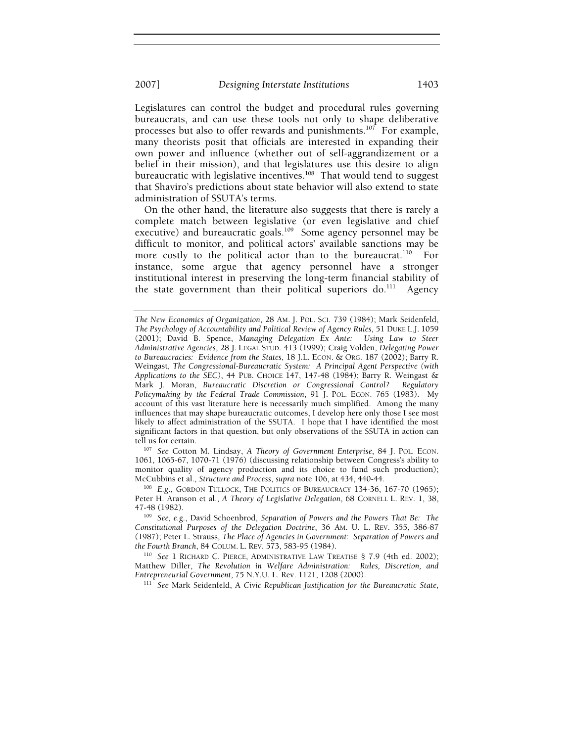Legislatures can control the budget and procedural rules governing bureaucrats, and can use these tools not only to shape deliberative processes but also to offer rewards and punishments.<sup>107</sup> For example, many theorists posit that officials are interested in expanding their own power and influence (whether out of self-aggrandizement or a belief in their mission), and that legislatures use this desire to align bureaucratic with legislative incentives.<sup>108</sup> That would tend to suggest that Shaviro's predictions about state behavior will also extend to state administration of SSUTA's terms.

On the other hand, the literature also suggests that there is rarely a complete match between legislative (or even legislative and chief executive) and bureaucratic goals.<sup>109</sup> Some agency personnel may be difficult to monitor, and political actors' available sanctions may be more costly to the political actor than to the bureaucrat.<sup>110</sup> For instance, some argue that agency personnel have a stronger institutional interest in preserving the long-term financial stability of the state government than their political superiors do.<sup>111</sup> Agency

1061, 1065-67, 1070-71 (1976) (discussing relationship between Congress's ability to monitor quality of agency production and its choice to fund such production);<br>McCubbins et al., Structure and Process, supra note 106, at 434, 440-44.

<sup>108</sup> E.g., GORDON TULLOCK, THE POLITICS OF BUREAUCRACY 134-36, 167-70 (1965); Peter H. Aranson et al., *A Theory of Legislative Delegation*, 68 CORNELL L. REV. 1, 38,

<sup>109</sup> See, e.g., David Schoenbrod, Separation of Powers and the Powers That Be: The *Constitutional Purposes of the Delegation Doctrine*, 36 AM. U. L. REV. 355, 386-87 (1987); Peter L. Strauss, *The Place of Agencies in Government: Separation of Powers and the Fourth Branch*, 84 COLUM. L. REV. 573, 583-95 (1984).<br><sup>110</sup> *See* 1 RICHARD C. PIERCE, ADMINISTRATIVE LAW TREATISE § 7.9 (4th ed. 2002);

Matthew Diller, *The Revolution in Welfare Administration: Rules, Discretion, and Entrepreneurial Government*, 75 N.Y.U. L. Rev. 1121, 1208 (2000). 111 *See* Mark Seidenfeld, A *Civic Republican Justification for the Bureaucratic State*,

*The New Economics of Organization*, 28 AM. J. POL. SCI. 739 (1984); Mark Seidenfeld, *The Psychology of Accountability and Political Review of Agency Rules*, 51 DUKE L.J. 1059 (2001); David B. Spence, *Managing Delegation Ex Ante: Using Law to Steer Administrative Agencies*, 28 J. LEGAL STUD. 413 (1999); Craig Volden, *Delegating Power to Bureaucracies: Evidence from the States*, 18 J.L. ECON. & ORG. 187 (2002); Barry R. Weingast, *The Congressional-Bureaucratic System: A Principal Agent Perspective (with Applications to the SEC)*, 44 PUB. CHOICE 147, 147-48 (1984); Barry R. Weingast & Mark J. Moran, *Bureaucratic Discretion or Congressional Control? Regulatory Policymaking by the Federal Trade Commission*, 91 J. POL. ECON. 765 (1983). My account of this vast literature here is necessarily much simplified. Among the many influences that may shape bureaucratic outcomes, I develop here only those I see most likely to affect administration of the SSUTA. I hope that I have identified the most significant factors in that question, but only observations of the SSUTA in action can tell us for certain. 107 *See* Cotton M. Lindsay, *A Theory of Government Enterprise*, 84 J. POL. ECON.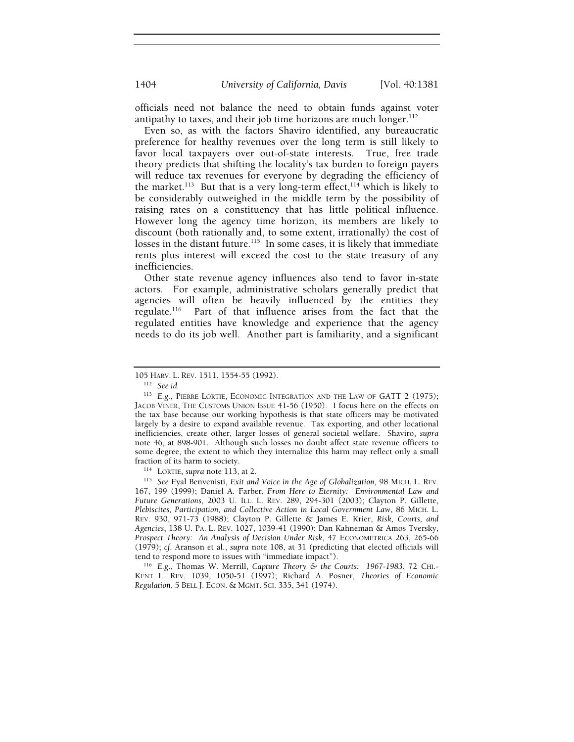1404 *University of California, Davis* [Vol. 40:1381

officials need not balance the need to obtain funds against voter antipathy to taxes, and their job time horizons are much longer.<sup>112</sup>

Even so, as with the factors Shaviro identified, any bureaucratic preference for healthy revenues over the long term is still likely to favor local taxpayers over out-of-state interests. True, free trade theory predicts that shifting the locality's tax burden to foreign payers will reduce tax revenues for everyone by degrading the efficiency of the market.<sup>113</sup> But that is a very long-term effect,<sup>114</sup> which is likely to be considerably outweighed in the middle term by the possibility of raising rates on a constituency that has little political influence. However long the agency time horizon, its members are likely to discount (both rationally and, to some extent, irrationally) the cost of losses in the distant future.<sup>115</sup> In some cases, it is likely that immediate rents plus interest will exceed the cost to the state treasury of any inefficiencies.

Other state revenue agency influences also tend to favor in-state actors. For example, administrative scholars generally predict that agencies will often be heavily influenced by the entities they regulate.116 Part of that influence arises from the fact that the regulated entities have knowledge and experience that the agency needs to do its job well. Another part is familiarity, and a significant

fraction of its harm to society. 114 LORTIE, *supra* note 113, at 2. 115 *See* Eyal Benvenisti, *Exit and Voice in the Age of Globalization*, 98 MICH. L. REV. 167, 199 (1999); Daniel A. Farber, *From Here to Eternity: Environmental Law and Future Generations*, 2003 U. ILL. L. REV. 289, 294-301 (2003); Clayton P. Gillette, *Plebiscites, Participation, and Collective Action in Local Government Law*, 86 MICH. L. REV. 930, 971-73 (1988); Clayton P. Gillette & James E. Krier, *Risk, Courts, and Agencies*, 138 U. PA. L. REV. 1027, 1039-41 (1990); Dan Kahneman & Amos Tversky, *Prospect Theory: An Analysis of Decision Under Risk*, 47 ECONOMETRICA 263, 265-66 (1979); *cf*. Aranson et al., *supra* note 108, at 31 (predicting that elected officials will

<sup>116</sup> E.g., Thomas W. Merrill, *Capture Theory & the Courts: 1967-1983*, 72 CHI.-KENT L. REV. 1039, 1050-51 (1997); Richard A. Posner, *Theories of Economic Regulation*, 5 BELL J. ECON. & MGMT. SCI. 335, 341 (1974).

<sup>105</sup> HARV. L. REV. 1511, 1554-55 (1992). 112 *See id.*

<sup>&</sup>lt;sup>113</sup> E.g., PIERRE LORTIE, ECONOMIC INTEGRATION AND THE LAW OF GATT 2 (1975); JACOB VINER, THE CUSTOMS UNION ISSUE 41-56 (1950). I focus here on the effects on the tax base because our working hypothesis is that state officers may be motivated largely by a desire to expand available revenue. Tax exporting, and other locational inefficiencies, create other, larger losses of general societal welfare. Shaviro, *supra* note 46, at 898-901. Although such losses no doubt affect state revenue officers to some degree, the extent to which they internalize this harm may reflect only a small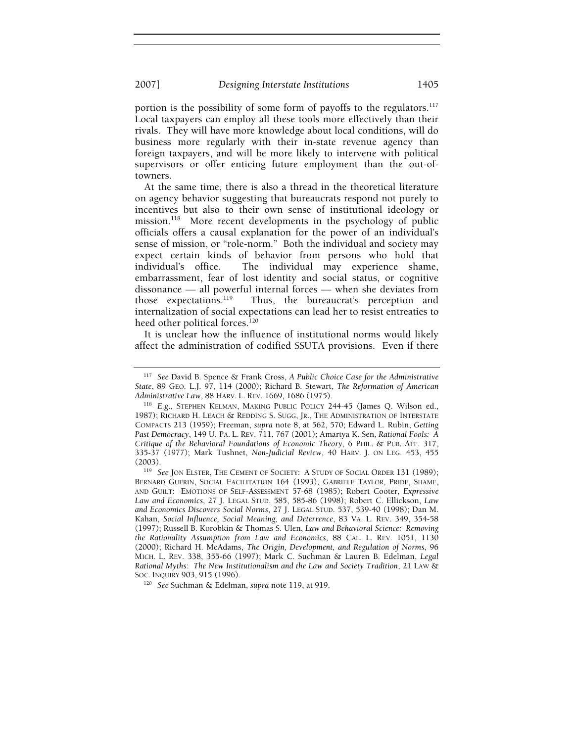portion is the possibility of some form of payoffs to the regulators.<sup>117</sup> Local taxpayers can employ all these tools more effectively than their rivals. They will have more knowledge about local conditions, will do business more regularly with their in-state revenue agency than foreign taxpayers, and will be more likely to intervene with political supervisors or offer enticing future employment than the out-oftowners.

At the same time, there is also a thread in the theoretical literature on agency behavior suggesting that bureaucrats respond not purely to incentives but also to their own sense of institutional ideology or mission.<sup>118</sup> More recent developments in the psychology of public officials offers a causal explanation for the power of an individual's sense of mission, or "role-norm." Both the individual and society may expect certain kinds of behavior from persons who hold that individual's office. The individual may experience shame, embarrassment, fear of lost identity and social status, or cognitive dissonance — all powerful internal forces — when she deviates from those expectations.119 Thus, the bureaucrat's perception and internalization of social expectations can lead her to resist entreaties to heed other political forces.<sup>120</sup>

It is unclear how the influence of institutional norms would likely affect the administration of codified SSUTA provisions. Even if there

<sup>117</sup> *See* David B. Spence & Frank Cross, *A Public Choice Case for the Administrative State*, 89 GEO. L.J. 97, 114 (2000); Richard B. Stewart, *The Reformation of American* 

<sup>&</sup>lt;sup>118</sup> E.g., STEPHEN KELMAN, MAKING PUBLIC POLICY 244-45 (James Q. Wilson ed., 1987); RICHARD H. LEACH & REDDING S. SUGG, JR., THE ADMINISTRATION OF INTERSTATE COMPACTS 213 (1959); Freeman, *supra* note 8, at 562, 570; Edward L. Rubin, *Getting Past Democracy*, 149 U. PA. L. REV. 711, 767 (2001); Amartya K. Sen, *Rational Fools: A Critique of the Behavioral Foundations of Economic Theory*, 6 PHIL. & PUB. AFF. 317, 335-37 (1977); Mark Tushnet, *Non-Judicial Review*, 40 HARV. J. ON LEG. 453, 455 (2003). 119 *See* JON ELSTER, THE CEMENT OF SOCIETY: A STUDY OF SOCIAL ORDER 131 (1989);

BERNARD GUERIN, SOCIAL FACILITATION 164 (1993); GABRIELE TAYLOR, PRIDE, SHAME, AND GUILT: EMOTIONS OF SELF-ASSESSMENT 57-68 (1985); Robert Cooter, *Expressive Law and Economics*, 27 J. LEGAL STUD. 585, 585-86 (1998); Robert C. Ellickson, *Law and Economics Discovers Social Norms*, 27 J. LEGAL STUD. 537, 539-40 (1998); Dan M. Kahan, *Social Influence, Social Meaning, and Deterrence*, 83 VA. L. REV. 349, 354-58 (1997); Russell B. Korobkin & Thomas S. Ulen, *Law and Behavioral Science: Removing the Rationality Assumption from Law and Economics*, 88 CAL. L. REV. 1051, 1130 (2000); Richard H. McAdams, *The Origin, Development, and Regulation of Norms*, 96 MICH. L. REV. 338, 355-66 (1997); Mark C. Suchman & Lauren B. Edelman, *Legal Rational Myths: The New Institutionalism and the Law and Society Tradition*, 21 LAW &

SOC. INQUIRY 903, 915 (1996). 120 *See* Suchman & Edelman, *supra* note 119, at 919.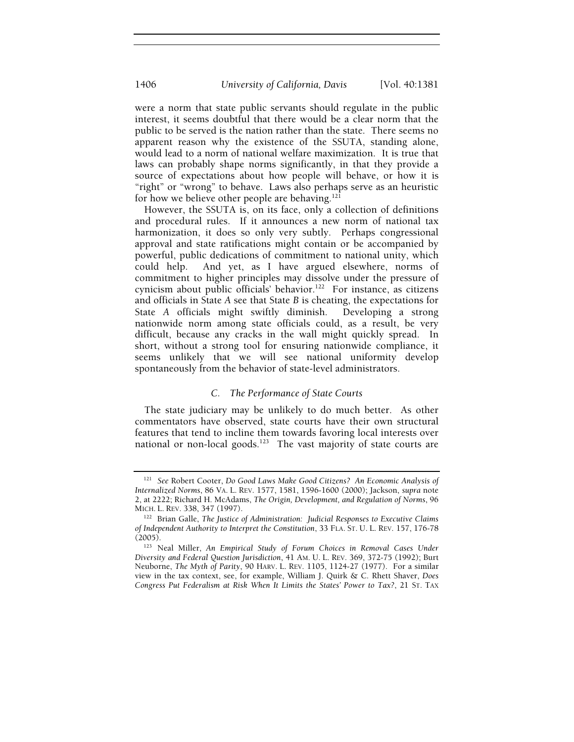were a norm that state public servants should regulate in the public interest, it seems doubtful that there would be a clear norm that the public to be served is the nation rather than the state. There seems no apparent reason why the existence of the SSUTA, standing alone, would lead to a norm of national welfare maximization. It is true that laws can probably shape norms significantly, in that they provide a source of expectations about how people will behave, or how it is "right" or "wrong" to behave. Laws also perhaps serve as an heuristic for how we believe other people are behaving.<sup>121</sup>

However, the SSUTA is, on its face, only a collection of definitions and procedural rules. If it announces a new norm of national tax harmonization, it does so only very subtly. Perhaps congressional approval and state ratifications might contain or be accompanied by powerful, public dedications of commitment to national unity, which could help. And yet, as I have argued elsewhere, norms of commitment to higher principles may dissolve under the pressure of cynicism about public officials' behavior.<sup>122</sup> For instance, as citizens and officials in State *A* see that State *B* is cheating, the expectations for State *A* officials might swiftly diminish. Developing a strong nationwide norm among state officials could, as a result, be very difficult, because any cracks in the wall might quickly spread. In short, without a strong tool for ensuring nationwide compliance, it seems unlikely that we will see national uniformity develop spontaneously from the behavior of state-level administrators.

# *C. The Performance of State Courts*

The state judiciary may be unlikely to do much better. As other commentators have observed, state courts have their own structural features that tend to incline them towards favoring local interests over national or non-local goods.<sup>123</sup> The vast majority of state courts are

<sup>121</sup> *See* Robert Cooter, *Do Good Laws Make Good Citizens? An Economic Analysis of Internalized Norms*, 86 VA. L. REV. 1577, 1581, 1596-1600 (2000); Jackson, *supra* note 2, at 2222; Richard H. McAdams, *The Origin, Development, and Regulation of Norms*, 96

MICH. L. REV. 338, 347 (1997). 122 Brian Galle, *The Justice of Administration: Judicial Responses to Executive Claims of Independent Authority to Interpret the Constitution*, 33 FLA. ST. U. L. REV. 157, 176-78

<sup>&</sup>lt;sup>123</sup> Neal Miller, An Empirical Study of Forum Choices in Removal Cases Under *Diversity and Federal Question Jurisdiction*, 41 AM. U. L. REV. 369, 372-75 (1992); Burt Neuborne, *The Myth of Parity*, 90 HARV. L. REV. 1105, 1124-27 (1977). For a similar view in the tax context, see, for example, William J. Quirk & C. Rhett Shaver, *Does Congress Put Federalism at Risk When It Limits the States' Power to Tax?*, 21 ST. TAX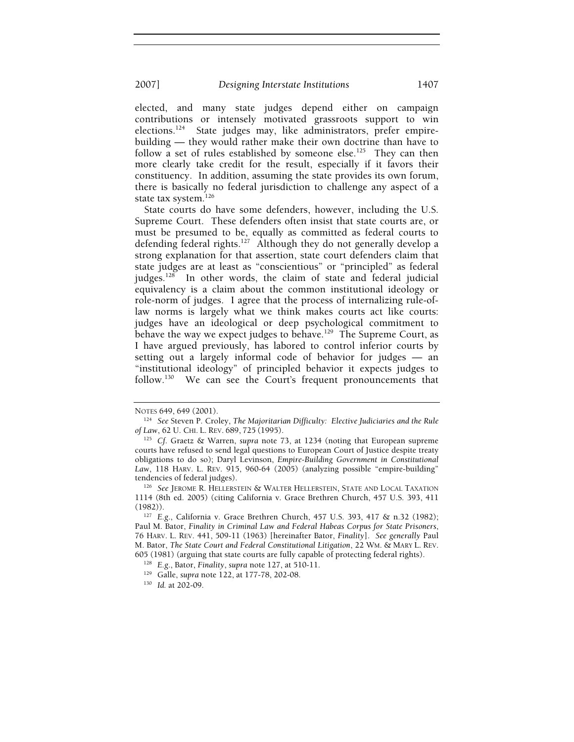elected, and many state judges depend either on campaign contributions or intensely motivated grassroots support to win elections.124 State judges may, like administrators, prefer empirebuilding — they would rather make their own doctrine than have to follow a set of rules established by someone else.<sup>125</sup> They can then more clearly take credit for the result, especially if it favors their constituency. In addition, assuming the state provides its own forum, there is basically no federal jurisdiction to challenge any aspect of a state tax system.<sup>126</sup>

State courts do have some defenders, however, including the U.S. Supreme Court. These defenders often insist that state courts are, or must be presumed to be, equally as committed as federal courts to defending federal rights.<sup>127</sup> Although they do not generally develop a strong explanation for that assertion, state court defenders claim that state judges are at least as "conscientious" or "principled" as federal judges.<sup>128</sup> In other words, the claim of state and federal judicial equivalency is a claim about the common institutional ideology or role-norm of judges. I agree that the process of internalizing rule-oflaw norms is largely what we think makes courts act like courts: judges have an ideological or deep psychological commitment to behave the way we expect judges to behave.<sup>129</sup> The Supreme Court, as I have argued previously, has labored to control inferior courts by setting out a largely informal code of behavior for judges — an "institutional ideology" of principled behavior it expects judges to follow.130 We can see the Court's frequent pronouncements that

NOTES 649, 649 (2001).<br><sup>124</sup> See Steven P. Croley, *The Majoritarian Difficulty: Elective Judiciaries and the Rule of Law*, 62 U. CHI. L. REV. 689, 725 (1995).

<sup>&</sup>lt;sup>125</sup> Cf. Graetz & Warren, *supra* note 73, at 1234 (noting that European supreme courts have refused to send legal questions to European Court of Justice despite treaty obligations to do so); Daryl Levinson, *Empire-Building Government in Constitutional Law*, 118 HARV. L. REV. 915, 960-64 (2005) (analyzing possible "empire-building"

<sup>126</sup> See JEROME R. HELLERSTEIN & WALTER HELLERSTEIN, STATE AND LOCAL TAXATION 1114 (8th ed. 2005) (citing California v. Grace Brethren Church, 457 U.S. 393, 411 (1982)). 127 *E.g*., California v. Grace Brethren Church, 457 U.S. 393, 417 & n.32 (1982);

Paul M. Bator, *Finality in Criminal Law and Federal Habeas Corpus for State Prisoners*, 76 HARV. L. REV. 441, 509-11 (1963) [hereinafter Bator, *Finality*]. *See generally* Paul M. Bator, *The State Court and Federal Constitutional Litigation*, 22 WM. & MARY L. REV. 605 (1981) (arguing that state courts are fully capable of protecting federal rights).

<sup>128</sup> *E.g*., Bator, *Finality*, *supra* note 127, at 510-11. 129 Galle, *supra* note 122, at 177-78, 202-08. 130 *Id.* at 202-09.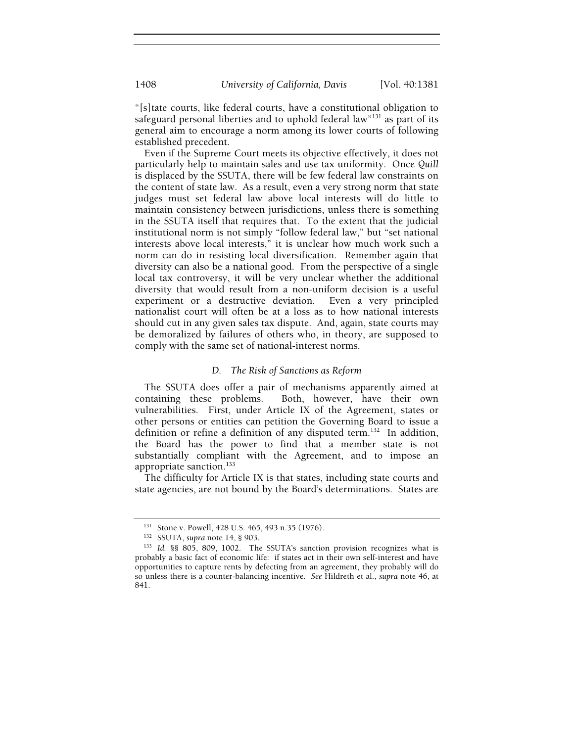"[s]tate courts, like federal courts, have a constitutional obligation to safeguard personal liberties and to uphold federal law<sup>"131</sup> as part of its general aim to encourage a norm among its lower courts of following established precedent.

Even if the Supreme Court meets its objective effectively, it does not particularly help to maintain sales and use tax uniformity. Once *Quill* is displaced by the SSUTA, there will be few federal law constraints on the content of state law. As a result, even a very strong norm that state judges must set federal law above local interests will do little to maintain consistency between jurisdictions, unless there is something in the SSUTA itself that requires that. To the extent that the judicial institutional norm is not simply "follow federal law," but "set national interests above local interests," it is unclear how much work such a norm can do in resisting local diversification. Remember again that diversity can also be a national good. From the perspective of a single local tax controversy, it will be very unclear whether the additional diversity that would result from a non-uniform decision is a useful experiment or a destructive deviation. Even a very principled nationalist court will often be at a loss as to how national interests should cut in any given sales tax dispute. And, again, state courts may be demoralized by failures of others who, in theory, are supposed to comply with the same set of national-interest norms.

# *D. The Risk of Sanctions as Reform*

The SSUTA does offer a pair of mechanisms apparently aimed at containing these problems. Both, however, have their own vulnerabilities. First, under Article IX of the Agreement, states or other persons or entities can petition the Governing Board to issue a definition or refine a definition of any disputed term.<sup>132</sup> In addition, the Board has the power to find that a member state is not substantially compliant with the Agreement, and to impose an appropriate sanction.<sup>133</sup>

The difficulty for Article IX is that states, including state courts and state agencies, are not bound by the Board's determinations. States are

<sup>131</sup> Stone v. Powell, 428 U.S. 465, 493 n.35 (1976).<br><sup>132</sup> SSUTA, *supra* note 14, § 903.<br><sup>133</sup> *Id.* §§ 805, 809, 1002. The SSUTA's sanction provision recognizes what is probably a basic fact of economic life: if states act in their own self-interest and have opportunities to capture rents by defecting from an agreement, they probably will do so unless there is a counter-balancing incentive. *See* Hildreth et al., *supra* note 46, at 841.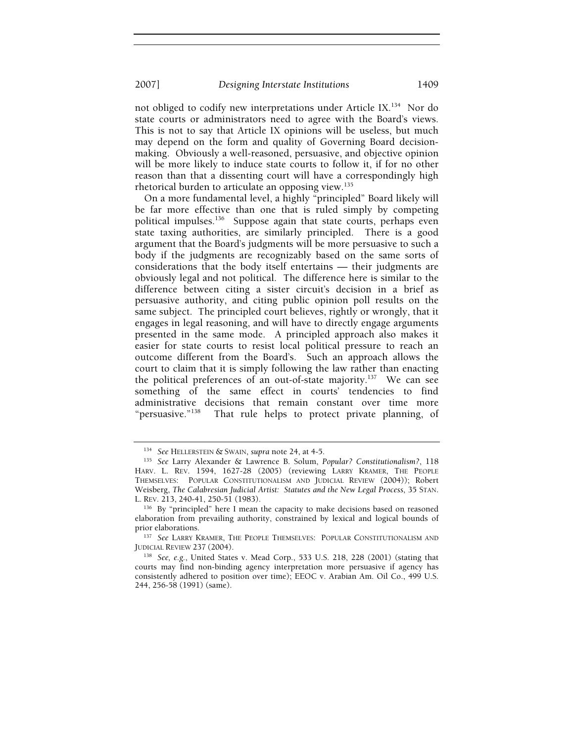not obliged to codify new interpretations under Article IX.<sup>134</sup> Nor do state courts or administrators need to agree with the Board's views. This is not to say that Article IX opinions will be useless, but much may depend on the form and quality of Governing Board decisionmaking. Obviously a well-reasoned, persuasive, and objective opinion will be more likely to induce state courts to follow it, if for no other reason than that a dissenting court will have a correspondingly high rhetorical burden to articulate an opposing view.<sup>135</sup>

On a more fundamental level, a highly "principled" Board likely will be far more effective than one that is ruled simply by competing political impulses.<sup>136</sup> Suppose again that state courts, perhaps even state taxing authorities, are similarly principled. There is a good argument that the Board's judgments will be more persuasive to such a body if the judgments are recognizably based on the same sorts of considerations that the body itself entertains — their judgments are obviously legal and not political. The difference here is similar to the difference between citing a sister circuit's decision in a brief as persuasive authority, and citing public opinion poll results on the same subject. The principled court believes, rightly or wrongly, that it engages in legal reasoning, and will have to directly engage arguments presented in the same mode. A principled approach also makes it easier for state courts to resist local political pressure to reach an outcome different from the Board's. Such an approach allows the court to claim that it is simply following the law rather than enacting the political preferences of an out-of-state majority.<sup>137</sup> We can see something of the same effect in courts' tendencies to find administrative decisions that remain constant over time more "persuasive."<sup>138</sup> That rule helps to protect private planning, of That rule helps to protect private planning, of

<sup>134</sup> *See* HELLERSTEIN & SWAIN, *supra* note 24, at 4-5. 135 *See* Larry Alexander & Lawrence B. Solum, *Popular? Constitutionalism?*, 118 HARV. L. REV. 1594, 1627-28 (2005) (reviewing LARRY KRAMER, THE PEOPLE THEMSELVES: POPULAR CONSTITUTIONALISM AND JUDICIAL REVIEW (2004)); Robert Weisberg, *The Calabresian Judicial Artist: Statutes and the New Legal Process*, 35 STAN. L. REV. 213, 240-41, 250-51 (1983).<br><sup>136</sup> By "principled" here I mean the capacity to make decisions based on reasoned

elaboration from prevailing authority, constrained by lexical and logical bounds of

prior elaborations.<br><sup>137</sup> See LARRY KRAMER, THE PEOPLE THEMSELVES: POPULAR CONSTITUTIONALISM AND<br>JUDICIAL REVIEW 237 (2004).

<sup>&</sup>lt;sup>138</sup> See, e.g., United States v. Mead Corp., 533 U.S. 218, 228 (2001) (stating that courts may find non-binding agency interpretation more persuasive if agency has consistently adhered to position over time); EEOC v. Arabian Am. Oil Co., 499 U.S. 244, 256-58 (1991) (same).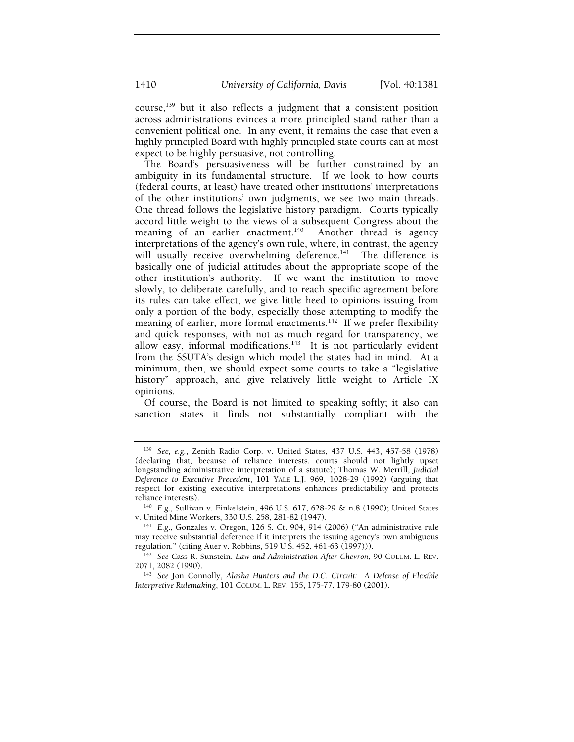course, $139$  but it also reflects a judgment that a consistent position across administrations evinces a more principled stand rather than a convenient political one. In any event, it remains the case that even a highly principled Board with highly principled state courts can at most expect to be highly persuasive, not controlling.

The Board's persuasiveness will be further constrained by an ambiguity in its fundamental structure. If we look to how courts (federal courts, at least) have treated other institutions' interpretations of the other institutions' own judgments, we see two main threads. One thread follows the legislative history paradigm. Courts typically accord little weight to the views of a subsequent Congress about the meaning of an earlier enactment.<sup>140</sup> Another thread is agency interpretations of the agency's own rule, where, in contrast, the agency will usually receive overwhelming deference.<sup>141</sup> The difference is basically one of judicial attitudes about the appropriate scope of the other institution's authority. If we want the institution to move slowly, to deliberate carefully, and to reach specific agreement before its rules can take effect, we give little heed to opinions issuing from only a portion of the body, especially those attempting to modify the meaning of earlier, more formal enactments.<sup>142</sup> If we prefer flexibility and quick responses, with not as much regard for transparency, we allow easy, informal modifications.<sup>143</sup> It is not particularly evident from the SSUTA's design which model the states had in mind. At a minimum, then, we should expect some courts to take a "legislative history" approach, and give relatively little weight to Article IX opinions.

Of course, the Board is not limited to speaking softly; it also can sanction states it finds not substantially compliant with the

<sup>139</sup> *See, e.g.*, Zenith Radio Corp. v. United States, 437 U.S. 443, 457-58 (1978) (declaring that, because of reliance interests, courts should not lightly upset longstanding administrative interpretation of a statute); Thomas W. Merrill, *Judicial Deference to Executive Precedent*, 101 YALE L.J. 969, 1028-29 (1992) (arguing that respect for existing executive interpretations enhances predictability and protects

reliance interests).<br><sup>140</sup> E.g., Sullivan v. Finkelstein, 496 U.S. 617, 628-29 & n.8 (1990); United States<br>v. United Mine Workers, 330 U.S. 258, 281-82 (1947).

<sup>&</sup>lt;sup>141</sup> E.g., Gonzales v. Oregon, 126 S. Ct. 904, 914 (2006) ("An administrative rule may receive substantial deference if it interprets the issuing agency's own ambiguous regulation." (citing Auer v. Robbins, 519 U.S. 452, 461-63 (1997))).

<sup>&</sup>lt;sup>142</sup> See Cass R. Sunstein, *Law and Administration After Chevron*, 90 COLUM. L. REV. 2071, 2082 (1990). 143 *See* Jon Connolly, *Alaska Hunters and the D.C. Circuit: A Defense of Flexible* 

*Interpretive Rulemaking*, 101 COLUM. L. REV. 155, 175-77, 179-80 (2001).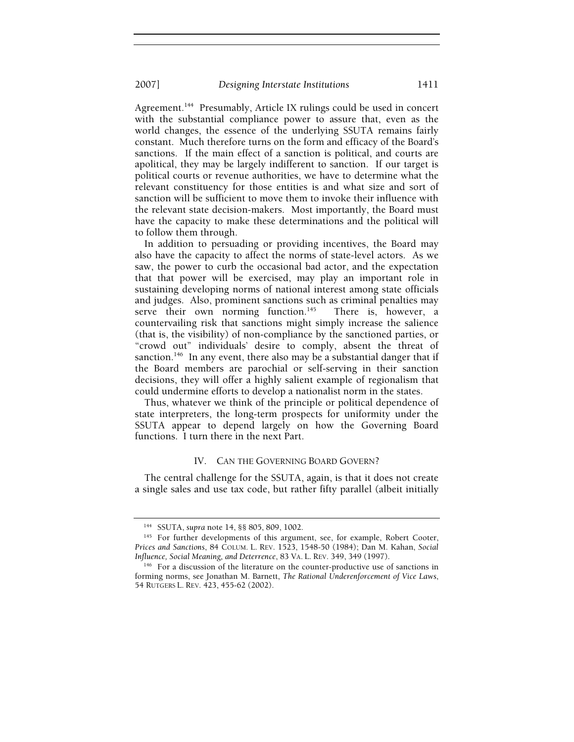Agreement.<sup>144</sup> Presumably, Article IX rulings could be used in concert with the substantial compliance power to assure that, even as the world changes, the essence of the underlying SSUTA remains fairly constant. Much therefore turns on the form and efficacy of the Board's sanctions. If the main effect of a sanction is political, and courts are apolitical, they may be largely indifferent to sanction. If our target is political courts or revenue authorities, we have to determine what the relevant constituency for those entities is and what size and sort of sanction will be sufficient to move them to invoke their influence with the relevant state decision-makers. Most importantly, the Board must have the capacity to make these determinations and the political will to follow them through.

In addition to persuading or providing incentives, the Board may also have the capacity to affect the norms of state-level actors. As we saw, the power to curb the occasional bad actor, and the expectation that that power will be exercised, may play an important role in sustaining developing norms of national interest among state officials and judges. Also, prominent sanctions such as criminal penalties may serve their own norming function.<sup>145</sup> There is, however, a countervailing risk that sanctions might simply increase the salience (that is, the visibility) of non-compliance by the sanctioned parties, or "crowd out" individuals' desire to comply, absent the threat of sanction. $146$  In any event, there also may be a substantial danger that if the Board members are parochial or self-serving in their sanction decisions, they will offer a highly salient example of regionalism that could undermine efforts to develop a nationalist norm in the states.

Thus, whatever we think of the principle or political dependence of state interpreters, the long-term prospects for uniformity under the SSUTA appear to depend largely on how the Governing Board functions. I turn there in the next Part.

#### IV. CAN THE GOVERNING BOARD GOVERN?

The central challenge for the SSUTA, again, is that it does not create a single sales and use tax code, but rather fifty parallel (albeit initially

<sup>&</sup>lt;sup>144</sup> SSUTA, supra note 14, §§ 805, 809, 1002.<br><sup>145</sup> For further developments of this argument, see, for example, Robert Cooter, *Prices and Sanctions*, 84 COLUM. L. REV. 1523, 1548-50 (1984); Dan M. Kahan, *Social Influence, Social Meaning, and Deterrence*, 83 VA. L. REV. 349, 349 (1997).<br><sup>146</sup> For a discussion of the literature on the counter-productive use of sanctions in

forming norms, see Jonathan M. Barnett, *The Rational Underenforcement of Vice Laws*, 54 RUTGERS L. REV. 423, 455-62 (2002).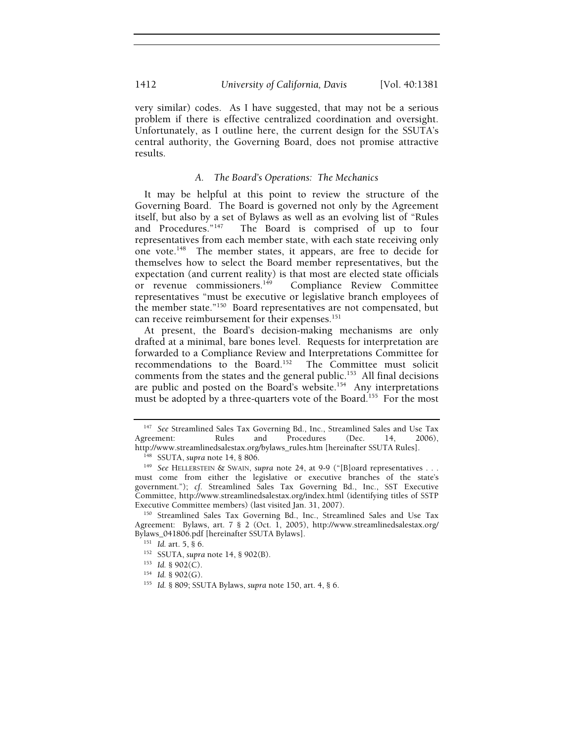very similar) codes. As I have suggested, that may not be a serious problem if there is effective centralized coordination and oversight. Unfortunately, as I outline here, the current design for the SSUTA's central authority, the Governing Board, does not promise attractive results.

# *A. The Board's Operations: The Mechanics*

It may be helpful at this point to review the structure of the Governing Board. The Board is governed not only by the Agreement itself, but also by a set of Bylaws as well as an evolving list of "Rules<br>and Procedures."<sup>147</sup> The Board is comprised of up to four The Board is comprised of up to four representatives from each member state, with each state receiving only one vote.148 The member states, it appears, are free to decide for themselves how to select the Board member representatives, but the expectation (and current reality) is that most are elected state officials<br>or revenue commissioners.<sup>149</sup> Compliance Review Committee Compliance Review Committee representatives "must be executive or legislative branch employees of the member state."150 Board representatives are not compensated, but can receive reimbursement for their expenses.<sup>151</sup>

At present, the Board's decision-making mechanisms are only drafted at a minimal, bare bones level. Requests for interpretation are forwarded to a Compliance Review and Interpretations Committee for recommendations to the Board.152 The Committee must solicit comments from the states and the general public.<sup>153</sup> All final decisions are public and posted on the Board's website.<sup>154</sup> Any interpretations must be adopted by a three-quarters vote of the Board.<sup>155</sup> For the most

<sup>&</sup>lt;sup>147</sup> See Streamlined Sales Tax Governing Bd., Inc., Streamlined Sales and Use Tax Agreement: Rules and Procedures (Dec. 14, 2006). Agreement: Rules and Procedures (Dec. 14, 2006), 14, 2006), 2016, 2016, 2016, 2016, 2016, 2016, 2016

<sup>&</sup>lt;sup>148</sup> SSUTA, supra note 14, § 806.<br><sup>149</sup> See HELLERSTEIN & SWAIN, *supra* note 24, at 9-9 ("[B]oard representatives . . . must come from either the legislative or executive branches of the state's government."); *cf*. Streamlined Sales Tax Governing Bd., Inc., SST Executive Committee, http://www.streamlinedsalestax.org/index.html (identifying titles of SSTP Executive Committee members) (last visited Jan. 31, 2007).<br><sup>150</sup> Streamlined Sales Tax Governing Bd., Inc., Streamlined Sales and Use Tax

Agreement: Bylaws, art. 7 § 2 (Oct. 1, 2005), http://www.streamlinedsalestax.org/ Bylaws\_041806.pdf [hereinafter SSUTA Bylaws].<br><sup>151</sup> Id. art. 5, § 6.<br><sup>152</sup> SSUTA, supra note 14, § 902(B).<br><sup>153</sup> Id. § 902(C).<br><sup>154</sup> Id. § 902(G).<br><sup>154</sup> Id. § 902(G).<br><sup>155</sup> Id. § 809; SSUTA Bylaws, supra note 150, art. 4,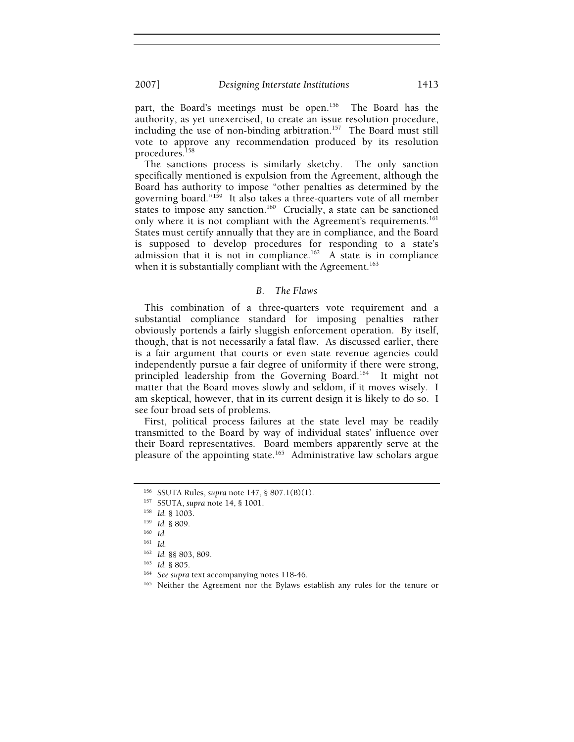part, the Board's meetings must be open.<sup>156</sup> The Board has the authority, as yet unexercised, to create an issue resolution procedure, including the use of non-binding arbitration.<sup>157</sup> The Board must still vote to approve any recommendation produced by its resolution procedures.<sup>158</sup>

The sanctions process is similarly sketchy. The only sanction specifically mentioned is expulsion from the Agreement, although the Board has authority to impose "other penalties as determined by the governing board."159 It also takes a three-quarters vote of all member states to impose any sanction.<sup>160</sup> Crucially, a state can be sanctioned only where it is not compliant with the Agreement's requirements.<sup>161</sup> States must certify annually that they are in compliance, and the Board is supposed to develop procedures for responding to a state's admission that it is not in compliance.<sup>162</sup> A state is in compliance when it is substantially compliant with the Agreement.<sup>163</sup>

# *B. The Flaws*

This combination of a three-quarters vote requirement and a substantial compliance standard for imposing penalties rather obviously portends a fairly sluggish enforcement operation. By itself, though, that is not necessarily a fatal flaw. As discussed earlier, there is a fair argument that courts or even state revenue agencies could independently pursue a fair degree of uniformity if there were strong, principled leadership from the Governing Board.<sup>164</sup> It might not matter that the Board moves slowly and seldom, if it moves wisely. I am skeptical, however, that in its current design it is likely to do so. I see four broad sets of problems.

First, political process failures at the state level may be readily transmitted to the Board by way of individual states' influence over their Board representatives. Board members apparently serve at the pleasure of the appointing state.<sup>165</sup> Administrative law scholars argue

<sup>156</sup> SSUTA Rules, *supra* note 147, § 807.1(B)(1). 157 SSUTA, *supra* note 14, § 1001. 158 *Id.* § 1003. 159 *Id.* § 809. 160 *Id.*

<sup>&</sup>lt;sup>161</sup> *Id.*<br><sup>162</sup> *Id.* §§ 803, 809.

<sup>&</sup>lt;sup>163</sup> Id. § 805.<br><sup>164</sup> See supra text accompanying notes 118-46.<br><sup>165</sup> Neither the Agreement nor the Bylaws establish any rules for the tenure or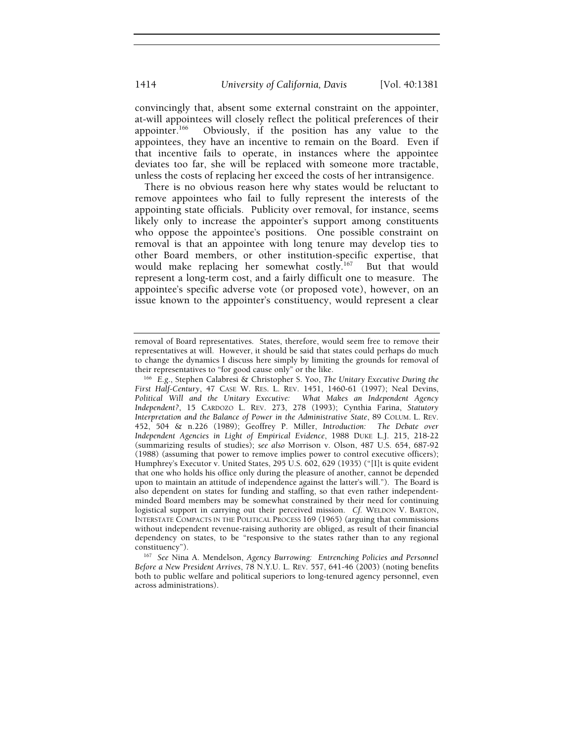convincingly that, absent some external constraint on the appointer, at-will appointees will closely reflect the political preferences of their<br>appointer.<sup>166</sup> Obviously, if the position has any value to the Obviously, if the position has any value to the appointees, they have an incentive to remain on the Board. Even if that incentive fails to operate, in instances where the appointee deviates too far, she will be replaced with someone more tractable, unless the costs of replacing her exceed the costs of her intransigence.

There is no obvious reason here why states would be reluctant to remove appointees who fail to fully represent the interests of the appointing state officials. Publicity over removal, for instance, seems likely only to increase the appointer's support among constituents who oppose the appointee's positions. One possible constraint on removal is that an appointee with long tenure may develop ties to other Board members, or other institution-specific expertise, that would make replacing her somewhat costly.<sup>167</sup> But that would represent a long-term cost, and a fairly difficult one to measure. The appointee's specific adverse vote (or proposed vote), however, on an issue known to the appointer's constituency, would represent a clear

constituency"). 167 *See* Nina A. Mendelson, *Agency Burrowing: Entrenching Policies and Personnel Before a New President Arrives*, 78 N.Y.U. L. REV. 557, 641-46 (2003) (noting benefits both to public welfare and political superiors to long-tenured agency personnel, even across administrations).

removal of Board representatives. States, therefore, would seem free to remove their representatives at will. However, it should be said that states could perhaps do much to change the dynamics I discuss here simply by limiting the grounds for removal of their representatives to "for good cause only" or the like.

<sup>&</sup>lt;sup>166</sup> E.g., Stephen Calabresi & Christopher S. Yoo, *The Unitary Executive During the First Half-Century*, 47 CASE W. RES. L. REV. 1451, 1460-61 (1997); Neal Devins, *Political Will and the Unitary Executive: What Makes an Independent Agency Independent?*, 15 CARDOZO L. REV. 273, 278 (1993); Cynthia Farina, *Statutory Interpretation and the Balance of Power in the Administrative State*, 89 COLUM. L. REV. 452, 504 & n.226 (1989); Geoffrey P. Miller, *Introduction: The Debate over Independent Agencies in Light of Empirical Evidence*, 1988 DUKE L.J. 215, 218-22 (summarizing results of studies); *see also* Morrison v. Olson, 487 U.S. 654, 687-92 (1988) (assuming that power to remove implies power to control executive officers); Humphrey's Executor v. United States, 295 U.S. 602, 629 (1935) ("[I]t is quite evident that one who holds his office only during the pleasure of another, cannot be depended upon to maintain an attitude of independence against the latter's will."). The Board is also dependent on states for funding and staffing, so that even rather independentminded Board members may be somewhat constrained by their need for continuing logistical support in carrying out their perceived mission. *Cf.* WELDON V. BARTON, INTERSTATE COMPACTS IN THE POLITICAL PROCESS 169 (1965) (arguing that commissions without independent revenue-raising authority are obliged, as result of their financial dependency on states, to be "responsive to the states rather than to any regional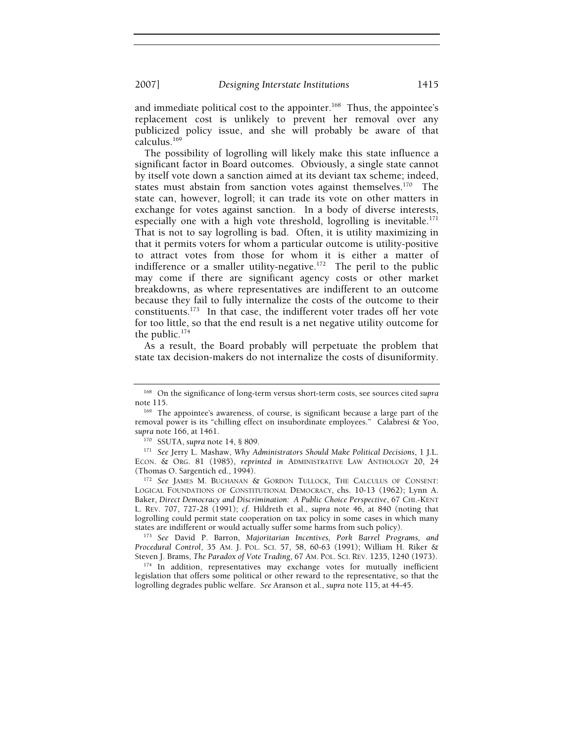and immediate political cost to the appointer.<sup>168</sup> Thus, the appointee's replacement cost is unlikely to prevent her removal over any publicized policy issue, and she will probably be aware of that calculus.169

The possibility of logrolling will likely make this state influence a significant factor in Board outcomes. Obviously, a single state cannot by itself vote down a sanction aimed at its deviant tax scheme; indeed, states must abstain from sanction votes against themselves.<sup>170</sup> The state can, however, logroll; it can trade its vote on other matters in exchange for votes against sanction. In a body of diverse interests, especially one with a high vote threshold, logrolling is inevitable.<sup>171</sup> That is not to say logrolling is bad. Often, it is utility maximizing in that it permits voters for whom a particular outcome is utility-positive to attract votes from those for whom it is either a matter of indifference or a smaller utility-negative.<sup>172</sup> The peril to the public may come if there are significant agency costs or other market breakdowns, as where representatives are indifferent to an outcome because they fail to fully internalize the costs of the outcome to their constituents.<sup>173</sup> In that case, the indifferent voter trades off her vote for too little, so that the end result is a net negative utility outcome for the public.174

As a result, the Board probably will perpetuate the problem that state tax decision-makers do not internalize the costs of disuniformity.

LOGICAL FOUNDATIONS OF CONSTITUTIONAL DEMOCRACY, chs. 10-13 (1962); Lynn A. Baker, *Direct Democracy and Discrimination: A Public Choice Perspective*, 67 CHI.-KENT L. REV. 707, 727-28 (1991); *cf*. Hildreth et al., *supra* note 46, at 840 (noting that logrolling could permit state cooperation on tax policy in some cases in which many states are indifferent or would actually suffer some harms from such policy). 173 *See* David P. Barron, *Majoritarian Incentives, Pork Barrel Programs, and* 

*Procedural Control*, 35 AM. J. POL. SCI. 57, 58, 60-63 (1991); William H. Riker &

<sup>174</sup> In addition, representatives may exchange votes for mutually inefficient legislation that offers some political or other reward to the representative, so that the logrolling degrades public welfare. *See* Aranson et al., *supra* note 115, at 44-45.

<sup>168</sup> On the significance of long-term versus short-term costs, see sources cited *supra* note 115.<br><sup>169</sup> The appointee's awareness, of course, is significant because a large part of the

removal power is its "chilling effect on insubordinate employees." Calabresi & Yoo, *supra* note 166, at 1461. 170 SSUTA, *supra* note 14, § 809. 171 *See* Jerry L. Mashaw, *Why Administrators Should Make Political Decisions*, 1 J.L.

ECON. & ORG. 81 (1985), *reprinted in* ADMINISTRATIVE LAW ANTHOLOGY 20, 24 (Thomas O. Sargentich ed., 1994). 172 *See* JAMES M. BUCHANAN & GORDON TULLOCK, THE CALCULUS OF CONSENT: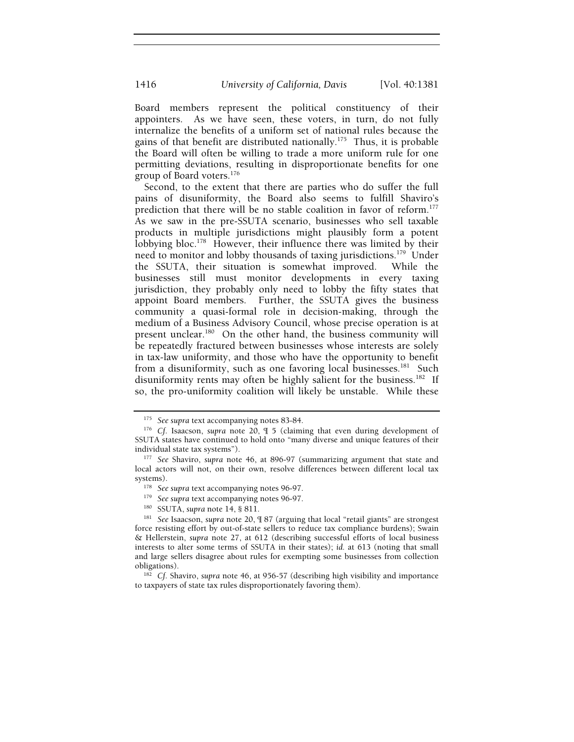1416 *University of California, Davis* [Vol. 40:1381

Board members represent the political constituency of their appointers. As we have seen, these voters, in turn, do not fully internalize the benefits of a uniform set of national rules because the gains of that benefit are distributed nationally.<sup>175</sup> Thus, it is probable the Board will often be willing to trade a more uniform rule for one permitting deviations, resulting in disproportionate benefits for one group of Board voters.176

Second, to the extent that there are parties who do suffer the full pains of disuniformity, the Board also seems to fulfill Shaviro's prediction that there will be no stable coalition in favor of reform.177 As we saw in the pre-SSUTA scenario, businesses who sell taxable products in multiple jurisdictions might plausibly form a potent lobbying bloc.<sup>178</sup> However, their influence there was limited by their need to monitor and lobby thousands of taxing jurisdictions.<sup>179</sup> Under the SSUTA, their situation is somewhat improved. While the businesses still must monitor developments in every taxing jurisdiction, they probably only need to lobby the fifty states that appoint Board members. Further, the SSUTA gives the business community a quasi-formal role in decision-making, through the medium of a Business Advisory Council, whose precise operation is at present unclear.<sup>180</sup> On the other hand, the business community will be repeatedly fractured between businesses whose interests are solely in tax-law uniformity, and those who have the opportunity to benefit from a disuniformity, such as one favoring local businesses.<sup>181</sup> Such disuniformity rents may often be highly salient for the business.<sup>182</sup> If so, the pro-uniformity coalition will likely be unstable. While these

<sup>175</sup> *See supra* text accompanying notes 83-84. 176 *Cf*. Isaacson, *supra* note 20, ¶ 5 (claiming that even during development of SSUTA states have continued to hold onto "many diverse and unique features of their individual state tax systems"). 177 *See* Shaviro, *supra* note 46, at 896-97 (summarizing argument that state and

local actors will not, on their own, resolve differences between different local tax systems).

<sup>&</sup>lt;sup>178</sup> See supra text accompanying notes 96-97.<br><sup>179</sup> See supra text accompanying notes 96-97.<br><sup>180</sup> SSUTA, supra note 14, § 811.<br><sup>181</sup> See Isaacson, supra note 20, ¶ 87 (arguing that local "retail giants" are strongest force resisting effort by out-of-state sellers to reduce tax compliance burdens); Swain & Hellerstein, *supra* note 27, at 612 (describing successful efforts of local business interests to alter some terms of SSUTA in their states); *id.* at 613 (noting that small and large sellers disagree about rules for exempting some businesses from collection obligations). 182 *Cf*. Shaviro, *supra* note 46, at 956-57 (describing high visibility and importance

to taxpayers of state tax rules disproportionately favoring them).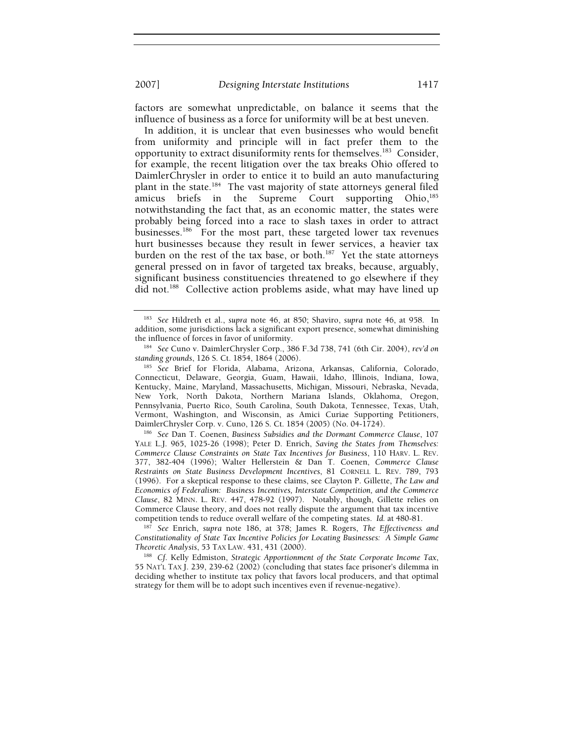factors are somewhat unpredictable, on balance it seems that the influence of business as a force for uniformity will be at best uneven.

In addition, it is unclear that even businesses who would benefit from uniformity and principle will in fact prefer them to the opportunity to extract disuniformity rents for themselves.183 Consider, for example, the recent litigation over the tax breaks Ohio offered to DaimlerChrysler in order to entice it to build an auto manufacturing plant in the state.<sup>184</sup> The vast majority of state attorneys general filed amicus briefs in the Supreme Court supporting  $Ohio<sub>185</sub>$ notwithstanding the fact that, as an economic matter, the states were probably being forced into a race to slash taxes in order to attract businesses.<sup>186</sup> For the most part, these targeted lower tax revenues hurt businesses because they result in fewer services, a heavier tax burden on the rest of the tax base, or both.<sup>187</sup> Yet the state attorneys general pressed on in favor of targeted tax breaks, because, arguably, significant business constituencies threatened to go elsewhere if they did not.<sup>188</sup> Collective action problems aside, what may have lined up

DaimlerChrysler Corp. v. Cuno, 126 S. Ct. 1854 (2005) (No. 04-1724). 186 *See* Dan T. Coenen, *Business Subsidies and the Dormant Commerce Clause*, 107 YALE L.J. 965, 1025-26 (1998); Peter D. Enrich, *Saving the States from Themselves: Commerce Clause Constraints on State Tax Incentives for Business*, 110 HARV. L. REV. 377, 382-404 (1996); Walter Hellerstein & Dan T. Coenen, *Commerce Clause Restraints on State Business Development Incentives*, 81 CORNELL L. REV. 789, 793 (1996). For a skeptical response to these claims, see Clayton P. Gillette, *The Law and Economics of Federalism: Business Incentives, Interstate Competition, and the Commerce Clause*, 82 MINN. L. REV. 447, 478-92 (1997). Notably, though, Gillette relies on Commerce Clause theory, and does not really dispute the argument that tax incentive

competition tends to reduce overall welfare of the competing states. *Id.* at 480-81. 187 *See* Enrich, *supra* note 186, at 378; James R. Rogers, *The Effectiveness and Constitutionality of State Tax Incentive Policies for Locating Businesses: A Simple Game Theoretic Analysis*, 53 TAX LAW. 431, 431 (2000).<br><sup>188</sup> Cf. Kelly Edmiston, *Strategic Apportionment of the State Corporate Income Tax*,

55 NAT'L TAX J. 239, 239-62 (2002) (concluding that states face prisoner's dilemma in deciding whether to institute tax policy that favors local producers, and that optimal strategy for them will be to adopt such incentives even if revenue-negative).

<sup>183</sup> *See* Hildreth et al., *supra* note 46, at 850; Shaviro, *supra* note 46, at 958. In addition, some jurisdictions lack a significant export presence, somewhat diminishing

the influence of forces in favor of uniformity. 184 *See* Cuno v. DaimlerChrysler Corp., 386 F.3d 738, 741 (6th Cir. 2004), *rev'd on standing grounds*, 126 S. Ct. 1854, 1864 (2006). 185 *See* Brief for Florida, Alabama, Arizona, Arkansas, California, Colorado,

Connecticut, Delaware, Georgia, Guam, Hawaii, Idaho, Illinois, Indiana, Iowa, Kentucky, Maine, Maryland, Massachusetts, Michigan, Missouri, Nebraska, Nevada, New York, North Dakota, Northern Mariana Islands, Oklahoma, Oregon, Pennsylvania, Puerto Rico, South Carolina, South Dakota, Tennessee, Texas, Utah, Vermont, Washington, and Wisconsin, as Amici Curiae Supporting Petitioners,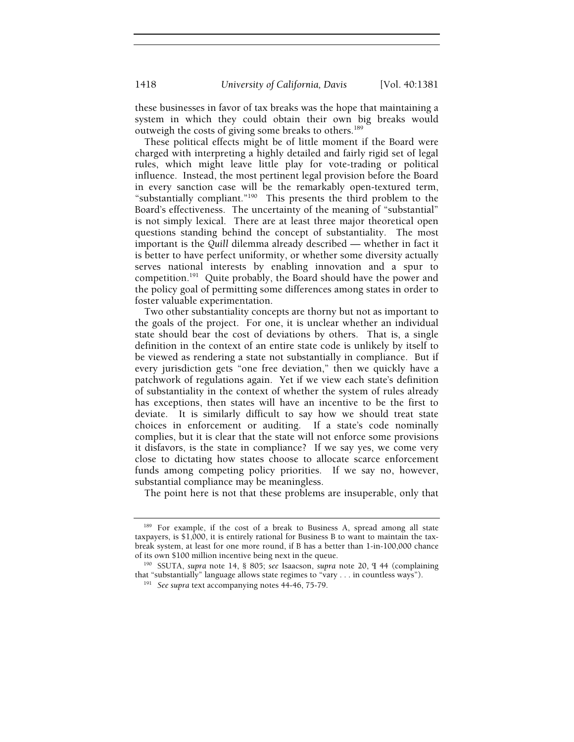these businesses in favor of tax breaks was the hope that maintaining a system in which they could obtain their own big breaks would outweigh the costs of giving some breaks to others.189

These political effects might be of little moment if the Board were charged with interpreting a highly detailed and fairly rigid set of legal rules, which might leave little play for vote-trading or political influence. Instead, the most pertinent legal provision before the Board in every sanction case will be the remarkably open-textured term, "substantially compliant."190 This presents the third problem to the Board's effectiveness. The uncertainty of the meaning of "substantial" is not simply lexical. There are at least three major theoretical open questions standing behind the concept of substantiality. The most important is the *Quill* dilemma already described — whether in fact it is better to have perfect uniformity, or whether some diversity actually serves national interests by enabling innovation and a spur to competition.<sup>191</sup> Quite probably, the Board should have the power and the policy goal of permitting some differences among states in order to foster valuable experimentation.

Two other substantiality concepts are thorny but not as important to the goals of the project. For one, it is unclear whether an individual state should bear the cost of deviations by others. That is, a single definition in the context of an entire state code is unlikely by itself to be viewed as rendering a state not substantially in compliance. But if every jurisdiction gets "one free deviation," then we quickly have a patchwork of regulations again. Yet if we view each state's definition of substantiality in the context of whether the system of rules already has exceptions, then states will have an incentive to be the first to deviate. It is similarly difficult to say how we should treat state choices in enforcement or auditing. If a state's code nominally complies, but it is clear that the state will not enforce some provisions it disfavors, is the state in compliance? If we say yes, we come very close to dictating how states choose to allocate scarce enforcement funds among competing policy priorities. If we say no, however, substantial compliance may be meaningless.

The point here is not that these problems are insuperable, only that

<sup>189</sup> For example, if the cost of a break to Business A, spread among all state taxpayers, is \$1,000, it is entirely rational for Business B to want to maintain the taxbreak system, at least for one more round, if B has a better than 1-in-100,000 chance of its own \$100 million incentive being next in the queue. 190 SSUTA, *supra* note 14, § 805; *see* Isaacson, *supra* note 20, ¶ 44 (complaining

that "substantially" language allows state regimes to "vary . . . in countless ways"). 191 *See supra* text accompanying notes 44-46, 75-79.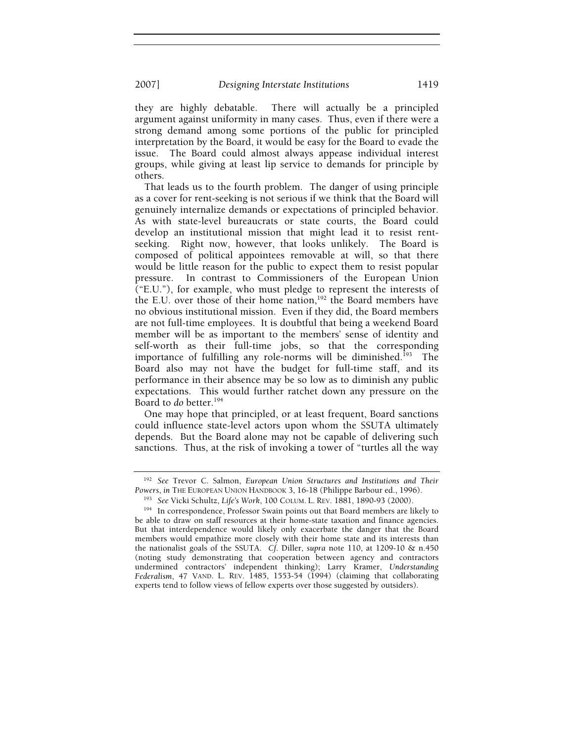they are highly debatable. There will actually be a principled argument against uniformity in many cases. Thus, even if there were a strong demand among some portions of the public for principled interpretation by the Board, it would be easy for the Board to evade the issue. The Board could almost always appease individual interest groups, while giving at least lip service to demands for principle by others.

That leads us to the fourth problem. The danger of using principle as a cover for rent-seeking is not serious if we think that the Board will genuinely internalize demands or expectations of principled behavior. As with state-level bureaucrats or state courts, the Board could develop an institutional mission that might lead it to resist rentseeking. Right now, however, that looks unlikely. The Board is composed of political appointees removable at will, so that there would be little reason for the public to expect them to resist popular pressure. In contrast to Commissioners of the European Union ("E.U."), for example, who must pledge to represent the interests of the E.U. over those of their home nation,<sup>192</sup> the Board members have no obvious institutional mission. Even if they did, the Board members are not full-time employees. It is doubtful that being a weekend Board member will be as important to the members' sense of identity and self-worth as their full-time jobs, so that the corresponding importance of fulfilling any role-norms will be diminished.<sup>193</sup> The Board also may not have the budget for full-time staff, and its performance in their absence may be so low as to diminish any public expectations. This would further ratchet down any pressure on the Board to *do* better.<sup>194</sup>

One may hope that principled, or at least frequent, Board sanctions could influence state-level actors upon whom the SSUTA ultimately depends. But the Board alone may not be capable of delivering such sanctions. Thus, at the risk of invoking a tower of "turtles all the way

<sup>&</sup>lt;sup>192</sup> See Trevor C. Salmon, *European Union Structures and Institutions and Their Powers, in THE EUROPEAN UNION HANDBOOK 3, 16-18 (Philippe Barbour ed., 1996).* 

<sup>&</sup>lt;sup>193</sup> See Vicki Schultz, Life's Work, 100 COLUM. L. REV. 1881, 1890-93 (2000).<br><sup>194</sup> In correspondence, Professor Swain points out that Board members are likely to

be able to draw on staff resources at their home-state taxation and finance agencies. But that interdependence would likely only exacerbate the danger that the Board members would empathize more closely with their home state and its interests than the nationalist goals of the SSUTA. *Cf*. Diller, *supra* note 110, at 1209-10 & n.450 (noting study demonstrating that cooperation between agency and contractors undermined contractors' independent thinking); Larry Kramer, *Understanding Federalism*, 47 VAND. L. REV. 1485, 1553-54 (1994) (claiming that collaborating experts tend to follow views of fellow experts over those suggested by outsiders).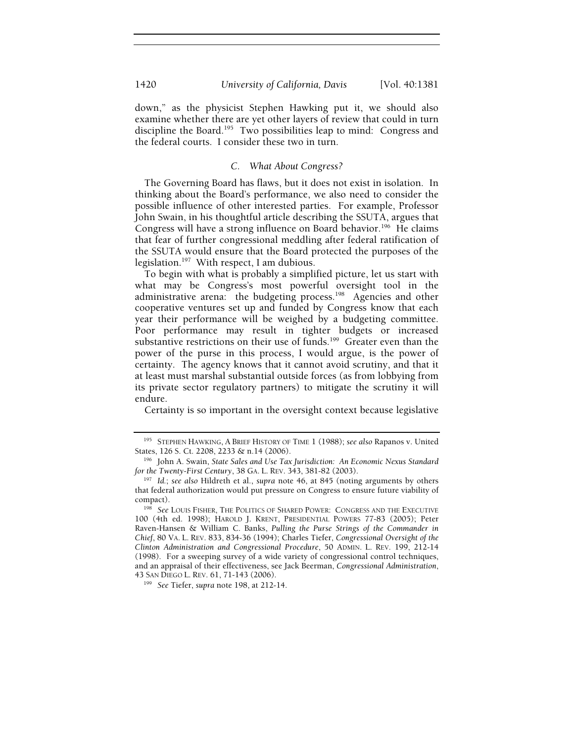down," as the physicist Stephen Hawking put it, we should also examine whether there are yet other layers of review that could in turn discipline the Board.<sup>195</sup> Two possibilities leap to mind: Congress and the federal courts. I consider these two in turn.

# *C. What About Congress?*

The Governing Board has flaws, but it does not exist in isolation. In thinking about the Board's performance, we also need to consider the possible influence of other interested parties. For example, Professor John Swain, in his thoughtful article describing the SSUTA, argues that Congress will have a strong influence on Board behavior.<sup>196</sup> He claims that fear of further congressional meddling after federal ratification of the SSUTA would ensure that the Board protected the purposes of the legislation.<sup>197</sup> With respect, I am dubious.

To begin with what is probably a simplified picture, let us start with what may be Congress's most powerful oversight tool in the administrative arena: the budgeting process.<sup>198</sup> Agencies and other cooperative ventures set up and funded by Congress know that each year their performance will be weighed by a budgeting committee. Poor performance may result in tighter budgets or increased substantive restrictions on their use of funds.<sup>199</sup> Greater even than the power of the purse in this process, I would argue, is the power of certainty. The agency knows that it cannot avoid scrutiny, and that it at least must marshal substantial outside forces (as from lobbying from its private sector regulatory partners) to mitigate the scrutiny it will endure.

Certainty is so important in the oversight context because legislative

<sup>195</sup> STEPHEN HAWKING, A BRIEF HISTORY OF TIME 1 (1988); *see also* Rapanos v. United States, 126 S. Ct. 2208, 2233 & n.14 (2006). 196 John A. Swain, *State Sales and Use Tax Jurisdiction: An Economic Nexus Standard* 

*for the Twenty-First Century*, 38 GA. L. REV. 343, 381-82 (2003). 197 *Id.*; *see also* Hildreth et al., *supra* note 46, at 845 (noting arguments by others

that federal authorization would put pressure on Congress to ensure future viability of compact). 198 *See* LOUIS FISHER, THE POLITICS OF SHARED POWER: CONGRESS AND THE EXECUTIVE

<sup>100 (4</sup>th ed. 1998); HAROLD J. KRENT, PRESIDENTIAL POWERS 77-83 (2005); Peter Raven-Hansen & William C. Banks, *Pulling the Purse Strings of the Commander in Chief*, 80 VA. L. REV. 833, 834-36 (1994); Charles Tiefer, *Congressional Oversight of the Clinton Administration and Congressional Procedure*, 50 ADMIN. L. REV. 199, 212-14 (1998). For a sweeping survey of a wide variety of congressional control techniques, and an appraisal of their effectiveness, see Jack Beerman, *Congressional Administration*,

<sup>43</sup> SAN DIEGO L. REV. 61, 71-143 (2006). 199 *See* Tiefer, *supra* note 198, at 212-14.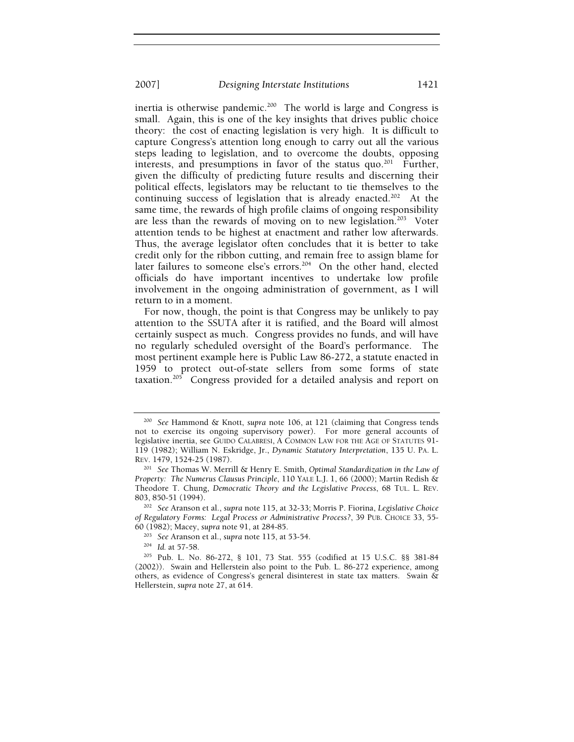inertia is otherwise pandemic.<sup>200</sup> The world is large and Congress is small. Again, this is one of the key insights that drives public choice theory: the cost of enacting legislation is very high. It is difficult to capture Congress's attention long enough to carry out all the various steps leading to legislation, and to overcome the doubts, opposing interests, and presumptions in favor of the status quo.201 Further, given the difficulty of predicting future results and discerning their political effects, legislators may be reluctant to tie themselves to the continuing success of legislation that is already enacted.<sup>202</sup> At the same time, the rewards of high profile claims of ongoing responsibility are less than the rewards of moving on to new legislation.<sup>203</sup> Voter attention tends to be highest at enactment and rather low afterwards. Thus, the average legislator often concludes that it is better to take credit only for the ribbon cutting, and remain free to assign blame for later failures to someone else's errors.<sup>204</sup> On the other hand, elected officials do have important incentives to undertake low profile involvement in the ongoing administration of government, as I will return to in a moment.

For now, though, the point is that Congress may be unlikely to pay attention to the SSUTA after it is ratified, and the Board will almost certainly suspect as much. Congress provides no funds, and will have no regularly scheduled oversight of the Board's performance. The most pertinent example here is Public Law 86-272, a statute enacted in 1959 to protect out-of-state sellers from some forms of state taxation.<sup>205</sup> Congress provided for a detailed analysis and report on

<sup>200</sup> *See* Hammond & Knott, *supra* note 106, at 121 (claiming that Congress tends not to exercise its ongoing supervisory power). For more general accounts of legislative inertia, see GUIDO CALABRESI, A COMMON LAW FOR THE AGE OF STATUTES 91- 119 (1982); William N. Eskridge, Jr., *Dynamic Statutory Interpretation*, 135 U. PA. L. REV. 1479, 1524-25 (1987).

<sup>201</sup> *See* Thomas W. Merrill & Henry E. Smith, *Optimal Standardization in the Law of Property: The Numerus Clausus Principle*, 110 YALE L.J. 1, 66 (2000); Martin Redish & Theodore T. Chung, *Democratic Theory and the Legislative Process*, 68 TUL. L. REV.

<sup>803, 850-51 (1994). 202</sup> *See* Aranson et al., *supra* note 115, at 32-33; Morris P. Fiorina, *Legislative Choice of Regulatory Forms: Legal Process or Administrative Process?*, 39 PUB. CHOICE 33, 55-60 (1982); Macey, supra note 91, at 284-85.

<sup>&</sup>lt;sup>203</sup> See Aranson et al., *supra* note 115, at 53-54.<br><sup>204</sup> Id. at 57-58.<br><sup>205</sup> Pub. L. No. 86-272, § 101, 73 Stat. 555 (codified at 15 U.S.C. §§ 381-84 (2002)). Swain and Hellerstein also point to the Pub. L. 86-272 experience, among others, as evidence of Congress's general disinterest in state tax matters. Swain & Hellerstein, *supra* note 27, at 614.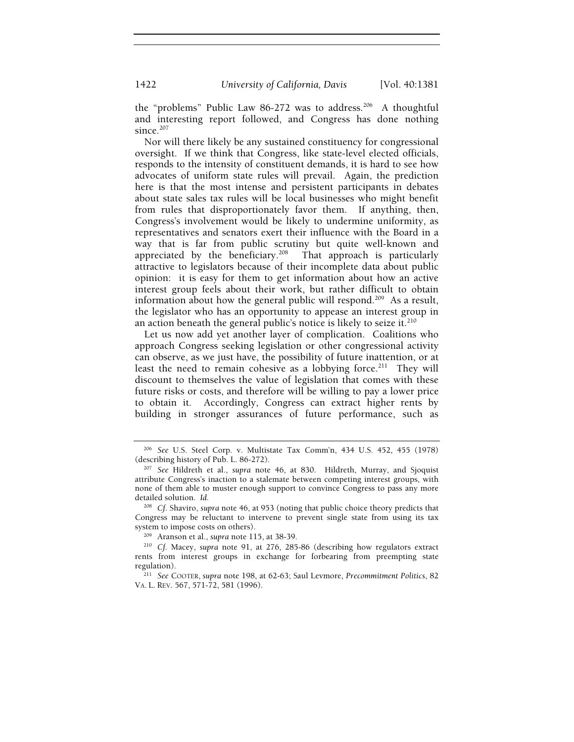the "problems" Public Law 86-272 was to address.<sup>206</sup> A thoughtful and interesting report followed, and Congress has done nothing since.<sup>207</sup>

Nor will there likely be any sustained constituency for congressional oversight. If we think that Congress, like state-level elected officials, responds to the intensity of constituent demands, it is hard to see how advocates of uniform state rules will prevail. Again, the prediction here is that the most intense and persistent participants in debates about state sales tax rules will be local businesses who might benefit from rules that disproportionately favor them. If anything, then, Congress's involvement would be likely to undermine uniformity, as representatives and senators exert their influence with the Board in a way that is far from public scrutiny but quite well-known and appreciated by the beneficiary.<sup>208</sup> That approach is particularly attractive to legislators because of their incomplete data about public opinion: it is easy for them to get information about how an active interest group feels about their work, but rather difficult to obtain information about how the general public will respond.<sup>209</sup> As a result, the legislator who has an opportunity to appease an interest group in an action beneath the general public's notice is likely to seize it. $^{210}$ 

Let us now add yet another layer of complication. Coalitions who approach Congress seeking legislation or other congressional activity can observe, as we just have, the possibility of future inattention, or at least the need to remain cohesive as a lobbying force.<sup>211</sup> They will discount to themselves the value of legislation that comes with these future risks or costs, and therefore will be willing to pay a lower price to obtain it. Accordingly, Congress can extract higher rents by building in stronger assurances of future performance, such as

<sup>&</sup>lt;sup>206</sup> See U.S. Steel Corp. v. Multistate Tax Comm'n, 434 U.S. 452, 455 (1978) (describing history of Pub. L. 86-272).

<sup>&</sup>lt;sup>207</sup> See Hildreth et al., *supra* note 46, at 830. Hildreth, Murray, and Sjoquist attribute Congress's inaction to a stalemate between competing interest groups, with none of them able to muster enough support to convince Congress to pass any more detailed solution. *Id.*

<sup>208</sup> *Cf*. Shaviro, *supra* note 46, at 953 (noting that public choice theory predicts that Congress may be reluctant to intervene to prevent single state from using its tax system to impose costs on others).

system to impose costs on others). 209 Aranson et al., *supra* note 115, at 38-39. 210 *Cf.* Macey, *supra* note 91, at 276, 285-86 (describing how regulators extract rents from interest groups in exchange for forbearing from preempting state regulation). 211 *See* COOTER, *supra* note 198, at 62-63; Saul Levmore, *Precommitment Politics*, 82

VA. L. REV. 567, 571-72, 581 (1996).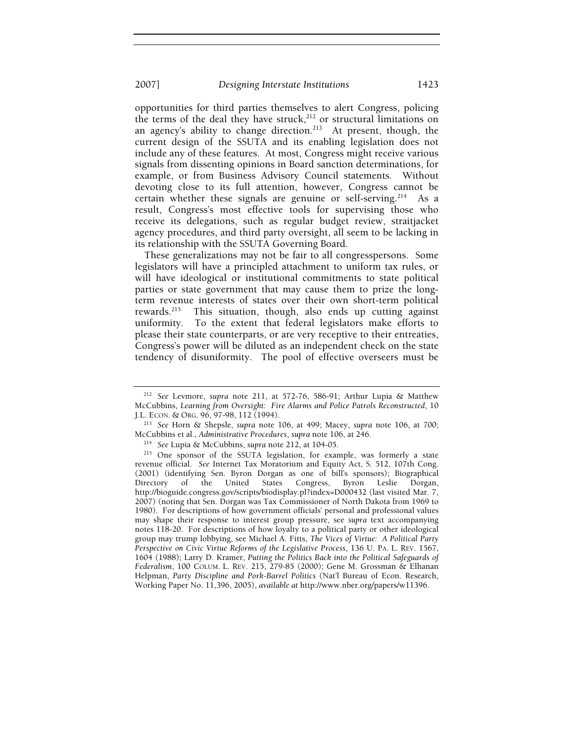opportunities for third parties themselves to alert Congress, policing the terms of the deal they have struck,<sup>212</sup> or structural limitations on an agency's ability to change direction.<sup>213</sup> At present, though, the current design of the SSUTA and its enabling legislation does not include any of these features. At most, Congress might receive various signals from dissenting opinions in Board sanction determinations, for example, or from Business Advisory Council statements. Without devoting close to its full attention, however, Congress cannot be certain whether these signals are genuine or self-serving.<sup>214</sup> As a result, Congress's most effective tools for supervising those who receive its delegations, such as regular budget review, straitjacket agency procedures, and third party oversight, all seem to be lacking in its relationship with the SSUTA Governing Board.

These generalizations may not be fair to all congresspersons. Some legislators will have a principled attachment to uniform tax rules, or will have ideological or institutional commitments to state political parties or state government that may cause them to prize the longterm revenue interests of states over their own short-term political rewards.<sup>215</sup> This situation, though, also ends up cutting against uniformity. To the extent that federal legislators make efforts to please their state counterparts, or are very receptive to their entreaties, Congress's power will be diluted as an independent check on the state tendency of disuniformity. The pool of effective overseers must be

<sup>212</sup> *See* Levmore, *supra* note 211, at 572-76, 586-91; Arthur Lupia & Matthew McCubbins, *Learning from Oversight: Fire Alarms and Police Patrols Reconstructed*, 10 J.L. ECON. & ORG. 96, 97-98, 112 (1994). 213 *See* Horn & Shepsle, *supra* note 106, at 499; Macey, *supra* note 106, at 700;

McCubbins et al., *Administrative Procedures*, *supra* note 106, at 246.<br><sup>214</sup> See Lupia & McCubbins, *supra* note 212, at 104-05.<br><sup>215</sup> One sponsor of the SSUTA legislation, for example, was formerly a state revenue official. *See* Internet Tax Moratorium and Equity Act, S. 512, 107th Cong. (2001) (identifying Sen. Byron Dorgan as one of bill's sponsors); Biographical Directory of the United States Congress, Byron Leslie Dorgan, http://bioguide.congress.gov/scripts/biodisplay.pl?index=D000432 (last visited Mar. 7, 2007) (noting that Sen. Dorgan was Tax Commissioner of North Dakota from 1969 to 1980). For descriptions of how government officials' personal and professional values may shape their response to interest group pressure, see *supra* text accompanying notes 118-20. For descriptions of how loyalty to a political party or other ideological group may trump lobbying, see Michael A. Fitts, *The Vices of Virtue: A Political Party Perspective on Civic Virtue Reforms of the Legislative Process*, 136 U. PA. L. REV. 1567, 1604 (1988); Larry D. Kramer, *Putting the Politics Back into the Political Safeguards of Federalism*, 100 COLUM. L. REV. 215, 279-85 (2000); Gene M. Grossman & Elhanan Helpman, *Party Discipline and Pork-Barrel Politics* (Nat'l Bureau of Econ. Research, Working Paper No. 11,396, 2005), *available at* http://www.nber.org/papers/w11396.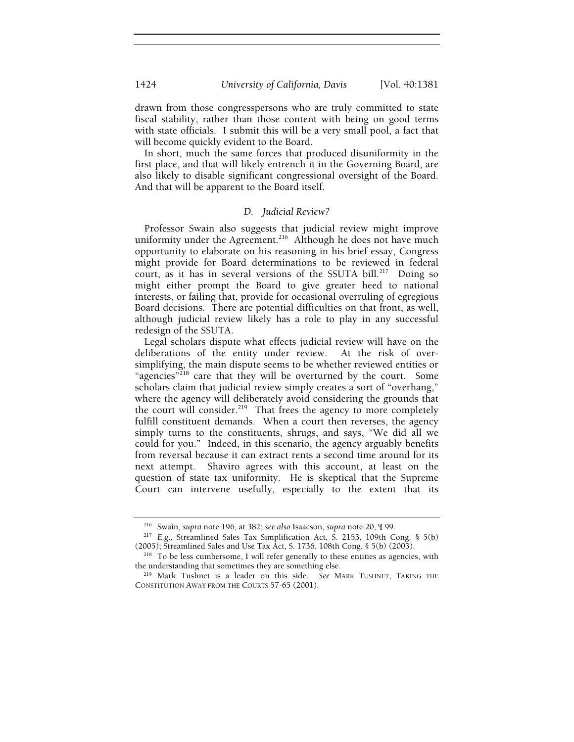drawn from those congresspersons who are truly committed to state fiscal stability, rather than those content with being on good terms with state officials. I submit this will be a very small pool, a fact that will become quickly evident to the Board.

In short, much the same forces that produced disuniformity in the first place, and that will likely entrench it in the Governing Board, are also likely to disable significant congressional oversight of the Board. And that will be apparent to the Board itself.

# *D. Judicial Review?*

Professor Swain also suggests that judicial review might improve uniformity under the Agreement.<sup>216</sup> Although he does not have much opportunity to elaborate on his reasoning in his brief essay, Congress might provide for Board determinations to be reviewed in federal court, as it has in several versions of the SSUTA bill.<sup>217</sup> Doing so might either prompt the Board to give greater heed to national interests, or failing that, provide for occasional overruling of egregious Board decisions. There are potential difficulties on that front, as well, although judicial review likely has a role to play in any successful redesign of the SSUTA.

Legal scholars dispute what effects judicial review will have on the deliberations of the entity under review. At the risk of oversimplifying, the main dispute seems to be whether reviewed entities or "agencies"<sup>218</sup> care that they will be overturned by the court. Some scholars claim that judicial review simply creates a sort of "overhang," where the agency will deliberately avoid considering the grounds that the court will consider. $219$  That frees the agency to more completely fulfill constituent demands. When a court then reverses, the agency simply turns to the constituents, shrugs, and says, "We did all we could for you." Indeed, in this scenario, the agency arguably benefits from reversal because it can extract rents a second time around for its next attempt. Shaviro agrees with this account, at least on the question of state tax uniformity. He is skeptical that the Supreme Court can intervene usefully, especially to the extent that its

<sup>&</sup>lt;sup>216</sup> Swain, *supra* note 196, at 382; *see also* Isaacson, *supra* note 20, ¶ 99.<br><sup>217</sup> E.g., Streamlined Sales Tax Simplification Act, S. 2153, 109th Cong. § 5(b) (2005); Streamlined Sales and Use Tax Act, S. 1736, 108th

 $218$  To be less cumbersome, I will refer generally to these entities as agencies, with the understanding that sometimes they are something else. 219 Mark Tushnet is a leader on this side. *See* MARK TUSHNET, TAKING THE

CONSTITUTION AWAY FROM THE COURTS 57-65 (2001).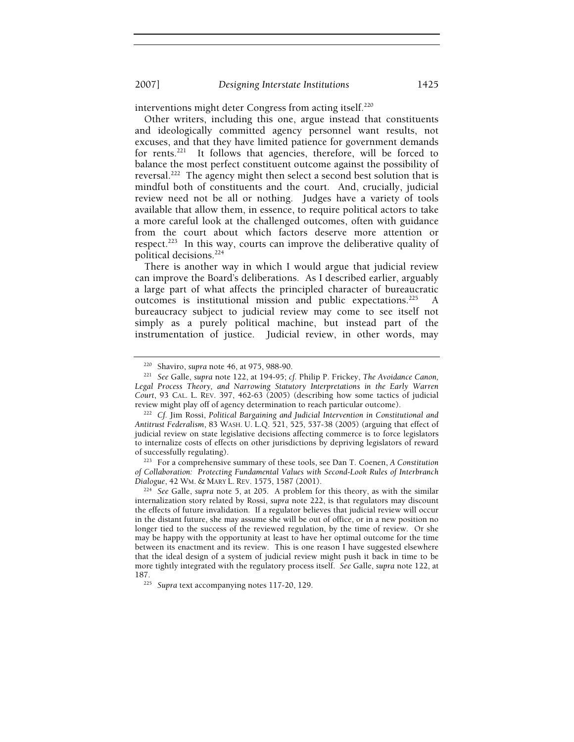interventions might deter Congress from acting itself.<sup>220</sup>

Other writers, including this one, argue instead that constituents and ideologically committed agency personnel want results, not excuses, and that they have limited patience for government demands for rents.<sup>221</sup> It follows that agencies, therefore, will be forced to balance the most perfect constituent outcome against the possibility of reversal.222 The agency might then select a second best solution that is mindful both of constituents and the court. And, crucially, judicial review need not be all or nothing. Judges have a variety of tools available that allow them, in essence, to require political actors to take a more careful look at the challenged outcomes, often with guidance from the court about which factors deserve more attention or respect. $223$  In this way, courts can improve the deliberative quality of political decisions.224

There is another way in which I would argue that judicial review can improve the Board's deliberations. As I described earlier, arguably a large part of what affects the principled character of bureaucratic outcomes is institutional mission and public expectations.<sup>225</sup> bureaucracy subject to judicial review may come to see itself not simply as a purely political machine, but instead part of the instrumentation of justice. Judicial review, in other words, may

<sup>223</sup> For a comprehensive summary of these tools, see Dan T. Coenen, *A Constitution of Collaboration: Protecting Fundamental Values with Second-Look Rules of Interbranch Dialogue*, 42 WM. & MARY L. REV. 1575, 1587 (2001).<br><sup>224</sup> See Galle, *supra* note 5, at 205. A problem for this theory, as with the similar

<sup>220</sup> Shaviro, *supra* note 46, at 975, 988-90. 221 *See* Galle, *supra* note 122, at 194-95; *cf.* Philip P. Frickey, *The Avoidance Canon,*  Legal Process Theory, and Narrowing Statutory Interpretations in the Early Warren *Court*, 93 CAL. L. REV. 397, 462-63 (2005) (describing how some tactics of judicial

review might play off of agency determination to reach particular outcome). 222 *Cf.* Jim Rossi, *Political Bargaining and Judicial Intervention in Constitutional and Antitrust Federalism*, 83 WASH. U. L.Q. 521, 525, 537-38 (2005) (arguing that effect of judicial review on state legislative decisions affecting commerce is to force legislators to internalize costs of effects on other jurisdictions by depriving legislators of reward

internalization story related by Rossi, *supra* note 222, is that regulators may discount the effects of future invalidation. If a regulator believes that judicial review will occur in the distant future, she may assume she will be out of office, or in a new position no longer tied to the success of the reviewed regulation, by the time of review. Or she may be happy with the opportunity at least to have her optimal outcome for the time between its enactment and its review. This is one reason I have suggested elsewhere that the ideal design of a system of judicial review might push it back in time to be more tightly integrated with the regulatory process itself. *See* Galle, *supra* note 122, at

<sup>187. 225</sup> *Supra* text accompanying notes 117-20, 129.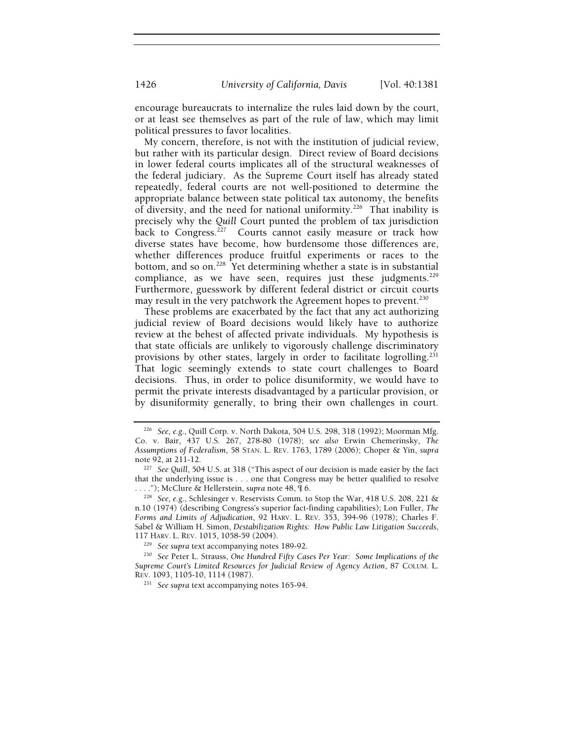encourage bureaucrats to internalize the rules laid down by the court, or at least see themselves as part of the rule of law, which may limit political pressures to favor localities.

My concern, therefore, is not with the institution of judicial review, but rather with its particular design. Direct review of Board decisions in lower federal courts implicates all of the structural weaknesses of the federal judiciary. As the Supreme Court itself has already stated repeatedly, federal courts are not well-positioned to determine the appropriate balance between state political tax autonomy, the benefits of diversity, and the need for national uniformity.226 That inability is precisely why the *Quill* Court punted the problem of tax jurisdiction back to Congress.<sup>227</sup> Courts cannot easily measure or track how diverse states have become, how burdensome those differences are, whether differences produce fruitful experiments or races to the bottom, and so on.<sup>228</sup> Yet determining whether a state is in substantial compliance, as we have seen, requires just these judgments. $229$ Furthermore, guesswork by different federal district or circuit courts may result in the very patchwork the Agreement hopes to prevent.<sup>230</sup>

These problems are exacerbated by the fact that any act authorizing judicial review of Board decisions would likely have to authorize review at the behest of affected private individuals. My hypothesis is that state officials are unlikely to vigorously challenge discriminatory provisions by other states, largely in order to facilitate logrolling.<sup>231</sup> That logic seemingly extends to state court challenges to Board decisions. Thus, in order to police disuniformity, we would have to permit the private interests disadvantaged by a particular provision, or by disuniformity generally, to bring their own challenges in court.

<sup>226</sup> *See, e.g.*, Quill Corp. v. North Dakota, 504 U.S. 298, 318 (1992); Moorman Mfg. Co. v. Bair, 437 U.S. 267, 278-80 (1978); *see also* Erwin Chemerinsky, *The Assumptions of Federalism*, 58 STAN. L. REV. 1763, 1789 (2006); Choper & Yin, *supra*

note 92, at 211-12.<br><sup>227</sup> See Quill, 504 U.S. at 318 ("This aspect of our decision is made easier by the fact that the underlying issue is . . . one that Congress may be better qualified to resolve . . . . "); McClure & Hellerstein, *supra* note 48, ¶ 6.<br><sup>228</sup> See, e.g., Schlesinger v. Reservists Comm. to Stop the War, 418 U.S. 208, 221 &

n.10 (1974) (describing Congress's superior fact-finding capabilities); Lon Fuller, *The Forms and Limits of Adjudication*, 92 HARV. L. REV. 353, 394-96 (1978); Charles F. Sabel & William H. Simon, *Destabilization Rights: How Public Law Litigation Succeeds*, 117 HARV. L. REV. 1015, 1058-59 (2004).

<sup>&</sup>lt;sup>229</sup> See supra text accompanying notes 189-92.<br><sup>230</sup> See Peter L. Strauss, *One Hundred Fifty Cases Per Year: Some Implications of the Supreme Court's Limited Resources for Judicial Review of Agency Action*, 87 COLUM. L. REV. 1093, 1105-10, 1114 (1987).

<sup>231</sup> *See supra* text accompanying notes 165-94.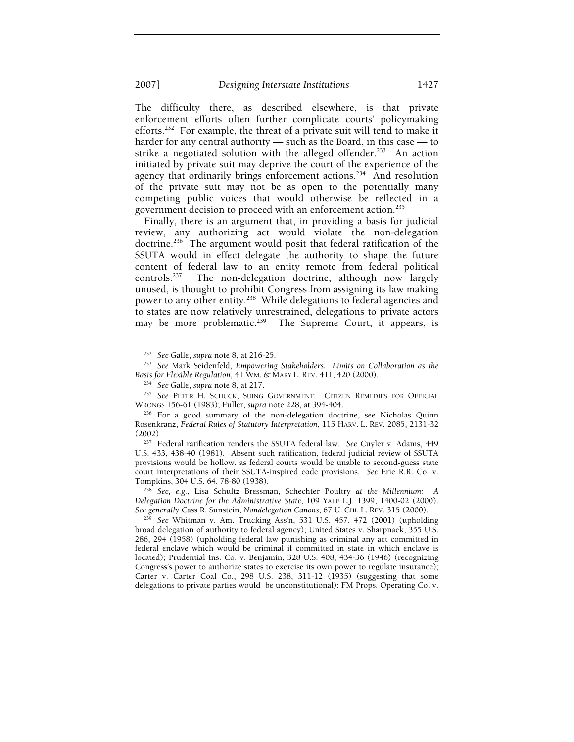The difficulty there, as described elsewhere, is that private enforcement efforts often further complicate courts' policymaking efforts.232 For example, the threat of a private suit will tend to make it harder for any central authority — such as the Board, in this case — to strike a negotiated solution with the alleged offender.<sup>233</sup> An action initiated by private suit may deprive the court of the experience of the agency that ordinarily brings enforcement actions.<sup>234</sup> And resolution of the private suit may not be as open to the potentially many competing public voices that would otherwise be reflected in a government decision to proceed with an enforcement action.235

Finally, there is an argument that, in providing a basis for judicial review, any authorizing act would violate the non-delegation doctrine.<sup>236</sup> The argument would posit that federal ratification of the SSUTA would in effect delegate the authority to shape the future content of federal law to an entity remote from federal political controls.<sup>237</sup> The non-delegation doctrine, although now largely The non-delegation doctrine, although now largely unused, is thought to prohibit Congress from assigning its law making power to any other entity.<sup>238</sup> While delegations to federal agencies and to states are now relatively unrestrained, delegations to private actors may be more problematic.<sup>239</sup> The Supreme Court, it appears, is

*Delegation Doctrine for the Administrative State*, 109 YALE L.J. 1399, 1400-02 (2000).

<sup>239</sup> See Whitman v. Am. Trucking Ass'n, 531 U.S. 457, 472 (2001) (upholding broad delegation of authority to federal agency); United States v. Sharpnack, 355 U.S. 286, 294 (1958) (upholding federal law punishing as criminal any act committed in federal enclave which would be criminal if committed in state in which enclave is located); Prudential Ins. Co. v. Benjamin, 328 U.S. 408, 434-36 (1946) (recognizing Congress's power to authorize states to exercise its own power to regulate insurance); Carter v. Carter Coal Co., 298 U.S. 238, 311-12 (1935) (suggesting that some delegations to private parties would be unconstitutional); FM Props. Operating Co. v.

<sup>&</sup>lt;sup>232</sup> See Galle, *supra* note 8, at 216-25.<br><sup>233</sup> See Mark Seidenfeld, *Empowering Stakeholders: Limits on Collaboration as the* Basis for Flexible Regulation, 41 WM. & MARY L. REV. 411, 420 (2000).

<sup>&</sup>lt;sup>234</sup> See Galle, *supra* note 8, at 217.<br><sup>235</sup> See PETER H. SCHUCK, SUING GOVERNMENT: CITIZEN REMEDIES FOR OFFICIAL WRONGS 156-61 (1983); Fuller, *supra* note 228, at 394-404.<br><sup>236</sup> For a good summary of the non-delegation doctrine, see Nicholas Quinn

Rosenkranz, *Federal Rules of Statutory Interpretation*, 115 HARV. L. REV. 2085, 2131-32 (2002). 237 Federal ratification renders the SSUTA federal law. *See* Cuyler v. Adams, 449

U.S. 433, 438-40 (1981). Absent such ratification, federal judicial review of SSUTA provisions would be hollow, as federal courts would be unable to second-guess state court interpretations of their SSUTA-inspired code provisions. *See* Erie R.R. Co. v. Tompkins, 304 U.S. 64, 78-80 (1938). 238 *See, e.g.*, Lisa Schultz Bressman, Schechter Poultry *at the Millennium: A*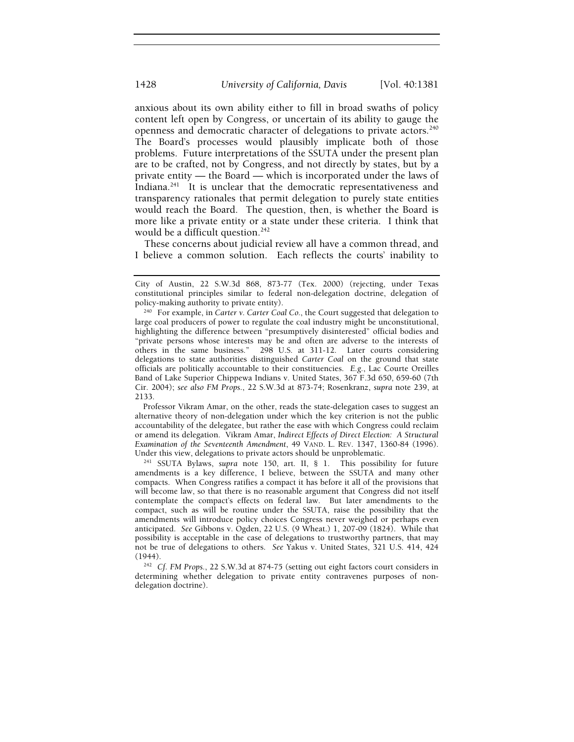anxious about its own ability either to fill in broad swaths of policy content left open by Congress, or uncertain of its ability to gauge the openness and democratic character of delegations to private actors.240 The Board's processes would plausibly implicate both of those problems. Future interpretations of the SSUTA under the present plan are to be crafted, not by Congress, and not directly by states, but by a private entity — the Board — which is incorporated under the laws of Indiana.241 It is unclear that the democratic representativeness and transparency rationales that permit delegation to purely state entities would reach the Board. The question, then, is whether the Board is more like a private entity or a state under these criteria. I think that would be a difficult question.<sup>242</sup>

These concerns about judicial review all have a common thread, and I believe a common solution. Each reflects the courts' inability to

Professor Vikram Amar, on the other, reads the state-delegation cases to suggest an alternative theory of non-delegation under which the key criterion is not the public accountability of the delegatee, but rather the ease with which Congress could reclaim or amend its delegation. Vikram Amar, *Indirect Effects of Direct Election: A Structural Examination of the Seventeenth Amendment*, 49 VAND. L. REV. 1347, 1360-84 (1996).

<sup>241</sup> SSUTA Bylaws, supra note 150, art. II, § 1. This possibility for future amendments is a key difference, I believe, between the SSUTA and many other compacts. When Congress ratifies a compact it has before it all of the provisions that will become law, so that there is no reasonable argument that Congress did not itself contemplate the compact's effects on federal law. But later amendments to the compact, such as will be routine under the SSUTA, raise the possibility that the amendments will introduce policy choices Congress never weighed or perhaps even anticipated. *See* Gibbons v. Ogden, 22 U.S. (9 Wheat.) 1, 207-09 (1824). While that possibility is acceptable in the case of delegations to trustworthy partners, that may not be true of delegations to others. *See* Yakus v. United States, 321 U.S. 414, 424 (1944). 242 *Cf*. *FM Props.*, 22 S.W.3d at 874-75 (setting out eight factors court considers in

City of Austin, 22 S.W.3d 868, 873-77 (Tex. 2000) (rejecting, under Texas constitutional principles similar to federal non-delegation doctrine, delegation of policy-making authority to private entity).<br><sup>240</sup> For example, in *Carter v. Carter Coal Co.*, the Court suggested that delegation to

large coal producers of power to regulate the coal industry might be unconstitutional, highlighting the difference between "presumptively disinterested" official bodies and "private persons whose interests may be and often are adverse to the interests of others in the same business." 298 U.S. at 311-12. Later courts considering delegations to state authorities distinguished *Carter Coal* on the ground that state officials are politically accountable to their constituencies. *E.g.*, Lac Courte Oreilles Band of Lake Superior Chippewa Indians v. United States, 367 F.3d 650, 659-60 (7th Cir. 2004); *see also FM Props*., 22 S.W.3d at 873-74; Rosenkranz, *supra* note 239, at 2133.

determining whether delegation to private entity contravenes purposes of nondelegation doctrine).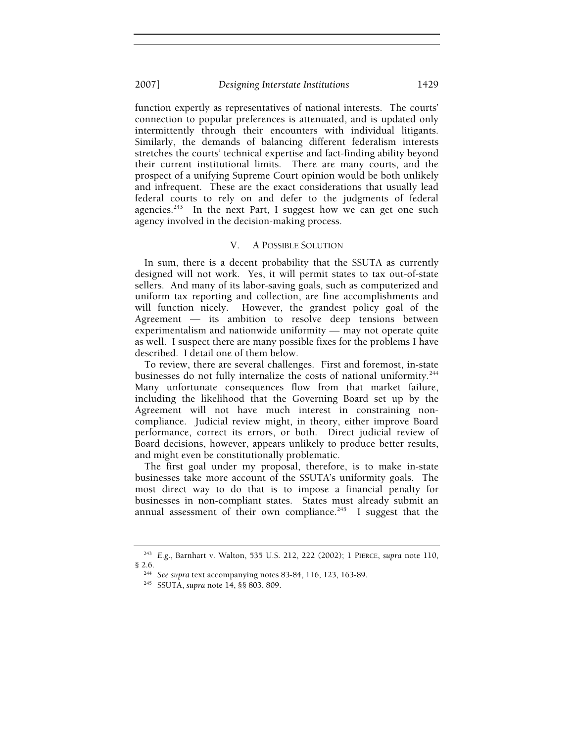function expertly as representatives of national interests. The courts' connection to popular preferences is attenuated, and is updated only intermittently through their encounters with individual litigants. Similarly, the demands of balancing different federalism interests stretches the courts' technical expertise and fact-finding ability beyond their current institutional limits. There are many courts, and the prospect of a unifying Supreme Court opinion would be both unlikely and infrequent. These are the exact considerations that usually lead federal courts to rely on and defer to the judgments of federal agencies.<sup>243</sup> In the next Part, I suggest how we can get one such agency involved in the decision-making process.

# V. A POSSIBLE SOLUTION

In sum, there is a decent probability that the SSUTA as currently designed will not work. Yes, it will permit states to tax out-of-state sellers. And many of its labor-saving goals, such as computerized and uniform tax reporting and collection, are fine accomplishments and will function nicely. However, the grandest policy goal of the Agreement — its ambition to resolve deep tensions between experimentalism and nationwide uniformity — may not operate quite as well. I suspect there are many possible fixes for the problems I have described. I detail one of them below.

To review, there are several challenges. First and foremost, in-state businesses do not fully internalize the costs of national uniformity.<sup>244</sup> Many unfortunate consequences flow from that market failure, including the likelihood that the Governing Board set up by the Agreement will not have much interest in constraining noncompliance. Judicial review might, in theory, either improve Board performance, correct its errors, or both. Direct judicial review of Board decisions, however, appears unlikely to produce better results, and might even be constitutionally problematic.

The first goal under my proposal, therefore, is to make in-state businesses take more account of the SSUTA's uniformity goals. The most direct way to do that is to impose a financial penalty for businesses in non-compliant states. States must already submit an annual assessment of their own compliance.<sup>245</sup> I suggest that the

<sup>243</sup> *E.g*., Barnhart v. Walton, 535 U.S. 212, 222 (2002); 1 PIERCE, *supra* note 110,

<sup>§ 2.6. 244</sup> *See supra* text accompanying notes 83-84, 116, 123, 163-89. 245 SSUTA, *supra* note 14, §§ 803, 809.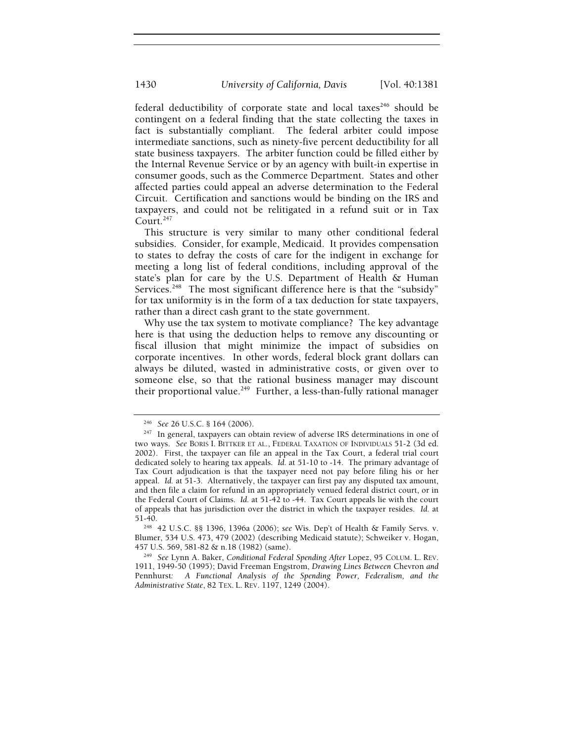federal deductibility of corporate state and local taxes $246$  should be contingent on a federal finding that the state collecting the taxes in fact is substantially compliant. The federal arbiter could impose intermediate sanctions, such as ninety-five percent deductibility for all state business taxpayers. The arbiter function could be filled either by the Internal Revenue Service or by an agency with built-in expertise in consumer goods, such as the Commerce Department. States and other affected parties could appeal an adverse determination to the Federal Circuit. Certification and sanctions would be binding on the IRS and taxpayers, and could not be relitigated in a refund suit or in Tax  $C$ ourt. $247$ 

This structure is very similar to many other conditional federal subsidies. Consider, for example, Medicaid. It provides compensation to states to defray the costs of care for the indigent in exchange for meeting a long list of federal conditions, including approval of the state's plan for care by the U.S. Department of Health & Human Services.<sup>248</sup> The most significant difference here is that the "subsidy" for tax uniformity is in the form of a tax deduction for state taxpayers, rather than a direct cash grant to the state government.

Why use the tax system to motivate compliance? The key advantage here is that using the deduction helps to remove any discounting or fiscal illusion that might minimize the impact of subsidies on corporate incentives. In other words, federal block grant dollars can always be diluted, wasted in administrative costs, or given over to someone else, so that the rational business manager may discount their proportional value.<sup>249</sup> Further, a less-than-fully rational manager

<sup>246</sup> *See* 26 U.S.C. § 164 (2006). 247 In general, taxpayers can obtain review of adverse IRS determinations in one of two ways. *See* BORIS I. BITTKER ET AL., FEDERAL TAXATION OF INDIVIDUALS 51-2 (3d ed. 2002). First, the taxpayer can file an appeal in the Tax Court, a federal trial court dedicated solely to hearing tax appeals. *Id.* at 51-10 to -14. The primary advantage of Tax Court adjudication is that the taxpayer need not pay before filing his or her appeal. *Id.* at 51-3. Alternatively, the taxpayer can first pay any disputed tax amount, and then file a claim for refund in an appropriately venued federal district court, or in the Federal Court of Claims. *Id.* at 51-42 to -44. Tax Court appeals lie with the court of appeals that has jurisdiction over the district in which the taxpayer resides. *Id.* at

<sup>51-40. 248 42</sup> U.S.C. §§ 1396, 1396a (2006); *see* Wis. Dep't of Health & Family Servs. v. Blumer, 534 U.S. 473, 479 (2002) (describing Medicaid statute); Schweiker v. Hogan,

<sup>&</sup>lt;sup>249</sup> See Lynn A. Baker, *Conditional Federal Spending After Lopez*, 95 COLUM. L. REV. 1911, 1949-50 (1995); David Freeman Engstrom, *Drawing Lines Between* Chevron *and*  Pennhurst*: A Functional Analysis of the Spending Power, Federalism, and the Administrative State*, 82 TEX. L. REV. 1197, 1249 (2004).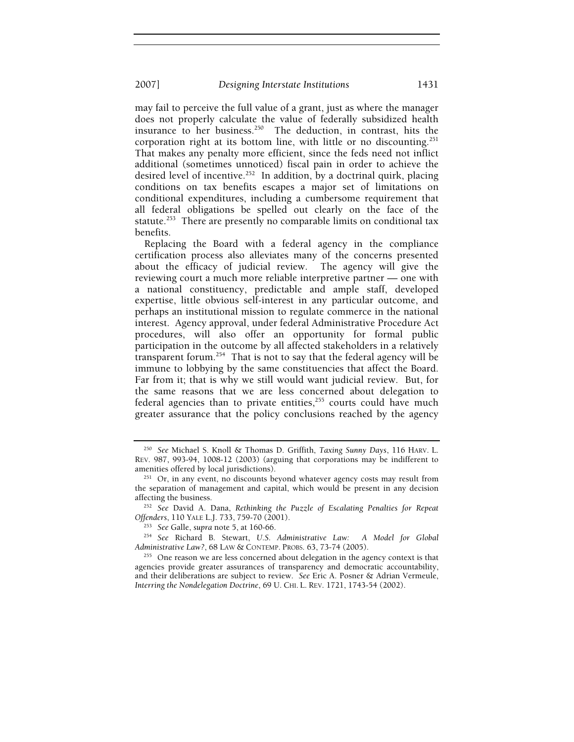may fail to perceive the full value of a grant, just as where the manager does not properly calculate the value of federally subsidized health insurance to her business.250 The deduction, in contrast, hits the corporation right at its bottom line, with little or no discounting.<sup>251</sup> That makes any penalty more efficient, since the feds need not inflict additional (sometimes unnoticed) fiscal pain in order to achieve the desired level of incentive.<sup>252</sup> In addition, by a doctrinal quirk, placing conditions on tax benefits escapes a major set of limitations on conditional expenditures, including a cumbersome requirement that all federal obligations be spelled out clearly on the face of the statute.<sup>253</sup> There are presently no comparable limits on conditional tax benefits.

Replacing the Board with a federal agency in the compliance certification process also alleviates many of the concerns presented about the efficacy of judicial review. The agency will give the reviewing court a much more reliable interpretive partner — one with a national constituency, predictable and ample staff, developed expertise, little obvious self-interest in any particular outcome, and perhaps an institutional mission to regulate commerce in the national interest. Agency approval, under federal Administrative Procedure Act procedures, will also offer an opportunity for formal public participation in the outcome by all affected stakeholders in a relatively transparent forum.<sup>254</sup> That is not to say that the federal agency will be immune to lobbying by the same constituencies that affect the Board. Far from it; that is why we still would want judicial review. But, for the same reasons that we are less concerned about delegation to federal agencies than to private entities,  $255$  courts could have much greater assurance that the policy conclusions reached by the agency

<sup>250</sup> *See* Michael S. Knoll & Thomas D. Griffith, *Taxing Sunny Days*, 116 HARV. L. REV. 987, 993-94, 1008-12 (2003) (arguing that corporations may be indifferent to amenities offered by local jurisdictions).<br><sup>251</sup> Or, in any event, no discounts beyond whatever agency costs may result from

the separation of management and capital, which would be present in any decision affecting the business. 252 *See* David A. Dana, *Rethinking the Puzzle of Escalating Penalties for Repeat* 

*Offenders*, 110 YALE L.J. 733, 759-70 (2001). 253 *See* Galle, *supra* note 5, at 160-66. 254 *See* Richard B. Stewart, *U.S. Administrative Law: A Model for Global* 

*Administrative Law?*, 68 LAW & CONTEMP. PROBS. 63, 73-74 (2005).<br><sup>255</sup> One reason we are less concerned about delegation in the agency context is that

agencies provide greater assurances of transparency and democratic accountability, and their deliberations are subject to review. *See* Eric A. Posner & Adrian Vermeule, *Interring the Nondelegation Doctrine*, 69 U. CHI. L. REV. 1721, 1743-54 (2002).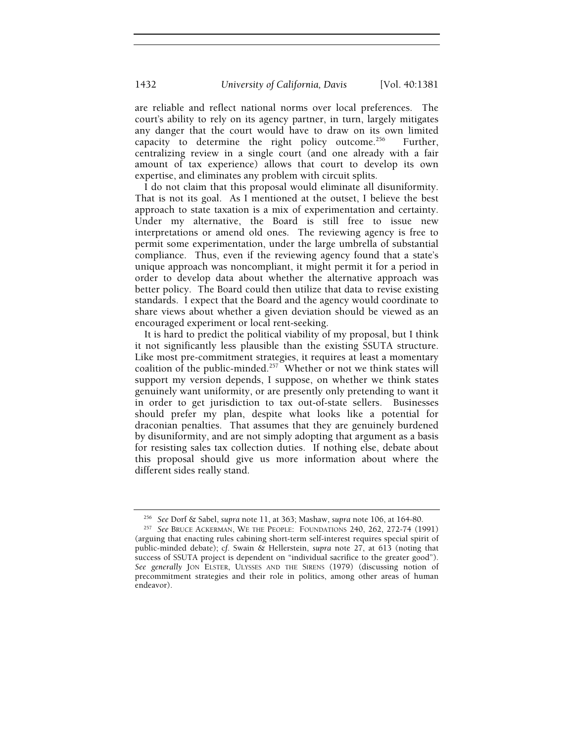are reliable and reflect national norms over local preferences. The court's ability to rely on its agency partner, in turn, largely mitigates any danger that the court would have to draw on its own limited capacity to determine the right policy outcome.<sup>256</sup> Further, centralizing review in a single court (and one already with a fair amount of tax experience) allows that court to develop its own expertise, and eliminates any problem with circuit splits.

I do not claim that this proposal would eliminate all disuniformity. That is not its goal. As I mentioned at the outset, I believe the best approach to state taxation is a mix of experimentation and certainty. Under my alternative, the Board is still free to issue new interpretations or amend old ones. The reviewing agency is free to permit some experimentation, under the large umbrella of substantial compliance. Thus, even if the reviewing agency found that a state's unique approach was noncompliant, it might permit it for a period in order to develop data about whether the alternative approach was better policy. The Board could then utilize that data to revise existing standards. I expect that the Board and the agency would coordinate to share views about whether a given deviation should be viewed as an encouraged experiment or local rent-seeking.

It is hard to predict the political viability of my proposal, but I think it not significantly less plausible than the existing SSUTA structure. Like most pre-commitment strategies, it requires at least a momentary coalition of the public-minded.<sup>257</sup> Whether or not we think states will support my version depends, I suppose, on whether we think states genuinely want uniformity, or are presently only pretending to want it in order to get jurisdiction to tax out-of-state sellers. Businesses should prefer my plan, despite what looks like a potential for draconian penalties. That assumes that they are genuinely burdened by disuniformity, and are not simply adopting that argument as a basis for resisting sales tax collection duties. If nothing else, debate about this proposal should give us more information about where the different sides really stand.

<sup>256</sup> *See* Dorf & Sabel, *supra* note 11, at 363; Mashaw, *supra* note 106, at 164-80. 257 *See* BRUCE ACKERMAN, WE THE PEOPLE: FOUNDATIONS 240, 262, 272-74 (1991) (arguing that enacting rules cabining short-term self-interest requires special spirit of public-minded debate); c*f.* Swain & Hellerstein, *supra* note 27, at 613 (noting that success of SSUTA project is dependent on "individual sacrifice to the greater good"). *See generally* JON ELSTER, ULYSSES AND THE SIRENS (1979) (discussing notion of precommitment strategies and their role in politics, among other areas of human endeavor).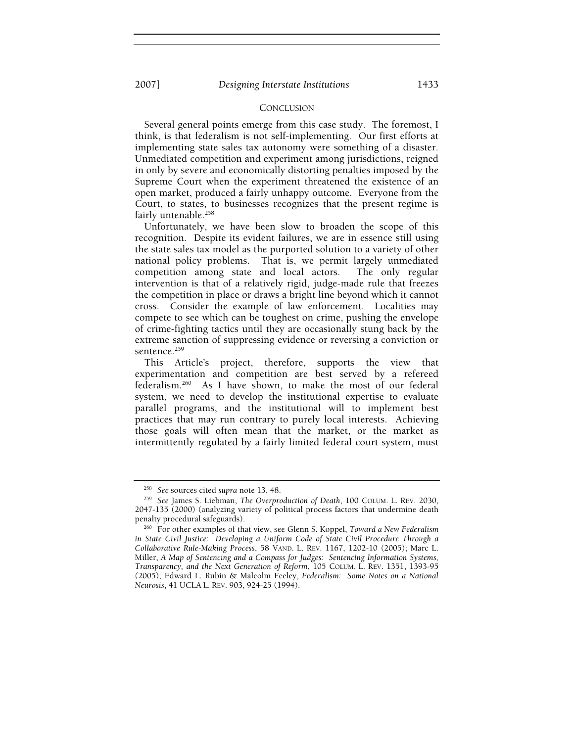#### **CONCLUSION**

Several general points emerge from this case study. The foremost, I think, is that federalism is not self-implementing. Our first efforts at implementing state sales tax autonomy were something of a disaster. Unmediated competition and experiment among jurisdictions, reigned in only by severe and economically distorting penalties imposed by the Supreme Court when the experiment threatened the existence of an open market, produced a fairly unhappy outcome. Everyone from the Court, to states, to businesses recognizes that the present regime is fairly untenable.<sup>258</sup>

Unfortunately, we have been slow to broaden the scope of this recognition. Despite its evident failures, we are in essence still using the state sales tax model as the purported solution to a variety of other national policy problems. That is, we permit largely unmediated competition among state and local actors. The only regular intervention is that of a relatively rigid, judge-made rule that freezes the competition in place or draws a bright line beyond which it cannot cross. Consider the example of law enforcement. Localities may compete to see which can be toughest on crime, pushing the envelope of crime-fighting tactics until they are occasionally stung back by the extreme sanction of suppressing evidence or reversing a conviction or sentence.<sup>259</sup>

This Article's project, therefore, supports the view that experimentation and competition are best served by a refereed federalism.260 As I have shown, to make the most of our federal system, we need to develop the institutional expertise to evaluate parallel programs, and the institutional will to implement best practices that may run contrary to purely local interests. Achieving those goals will often mean that the market, or the market as intermittently regulated by a fairly limited federal court system, must

<sup>258</sup> *See* sources cited *supra* note 13, 48. 259 *See* James S. Liebman, *The Overproduction of Death*, 100 COLUM. L. REV. 2030, 2047-135 (2000) (analyzing variety of political process factors that undermine death

<sup>&</sup>lt;sup>260</sup> For other examples of that view, see Glenn S. Koppel, *Toward a New Federalism in State Civil Justice: Developing a Uniform Code of State Civil Procedure Through a Collaborative Rule-Making Process*, 58 VAND. L. REV. 1167, 1202-10 (2005); Marc L. Miller, *A Map of Sentencing and a Compass for Judges: Sentencing Information Systems, Transparency, and the Next Generation of Reform*, 105 COLUM. L. REV. 1351, 1393-95 (2005); Edward L. Rubin & Malcolm Feeley, *Federalism: Some Notes on a National Neurosis*, 41 UCLA L. REV. 903, 924-25 (1994).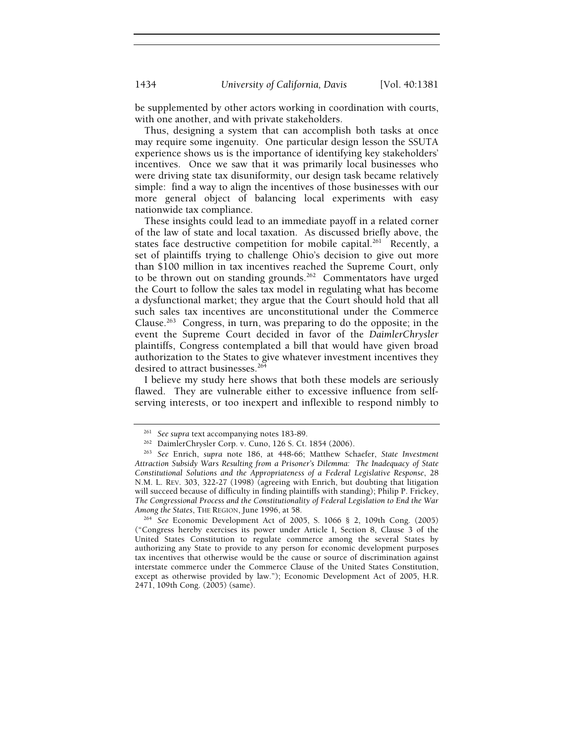be supplemented by other actors working in coordination with courts, with one another, and with private stakeholders.

Thus, designing a system that can accomplish both tasks at once may require some ingenuity. One particular design lesson the SSUTA experience shows us is the importance of identifying key stakeholders' incentives. Once we saw that it was primarily local businesses who were driving state tax disuniformity, our design task became relatively simple: find a way to align the incentives of those businesses with our more general object of balancing local experiments with easy nationwide tax compliance.

These insights could lead to an immediate payoff in a related corner of the law of state and local taxation. As discussed briefly above, the states face destructive competition for mobile capital.<sup>261</sup> Recently, a set of plaintiffs trying to challenge Ohio's decision to give out more than \$100 million in tax incentives reached the Supreme Court, only to be thrown out on standing grounds.<sup>262</sup> Commentators have urged the Court to follow the sales tax model in regulating what has become a dysfunctional market; they argue that the Court should hold that all such sales tax incentives are unconstitutional under the Commerce Clause.<sup>263</sup> Congress, in turn, was preparing to do the opposite; in the event the Supreme Court decided in favor of the *DaimlerChrysler* plaintiffs, Congress contemplated a bill that would have given broad authorization to the States to give whatever investment incentives they desired to attract businesses.<sup>264</sup>

I believe my study here shows that both these models are seriously flawed. They are vulnerable either to excessive influence from selfserving interests, or too inexpert and inflexible to respond nimbly to

<sup>261</sup> *See supra* text accompanying notes 183-89. 262 DaimlerChrysler Corp. v. Cuno, 126 S. Ct. 1854 (2006). 263 *See* Enrich, *supra* note 186, at 448-66; Matthew Schaefer, *State Investment Attraction Subsidy Wars Resulting from a Prisoner's Dilemma: The Inadequacy of State Constitutional Solutions and the Appropriateness of a Federal Legislative Response*, 28 N.M. L. REV. 303, 322-27 (1998) (agreeing with Enrich, but doubting that litigation will succeed because of difficulty in finding plaintiffs with standing); Philip P. Frickey, *The Congressional Process and the Constitutionality of Federal Legislation to End the War* 

<sup>&</sup>lt;sup>264</sup> See Economic Development Act of 2005, S. 1066 § 2, 109th Cong. (2005) ("Congress hereby exercises its power under Article I, Section 8, Clause 3 of the United States Constitution to regulate commerce among the several States by authorizing any State to provide to any person for economic development purposes tax incentives that otherwise would be the cause or source of discrimination against interstate commerce under the Commerce Clause of the United States Constitution, except as otherwise provided by law."); Economic Development Act of 2005, H.R. 2471, 109th Cong. (2005) (same).